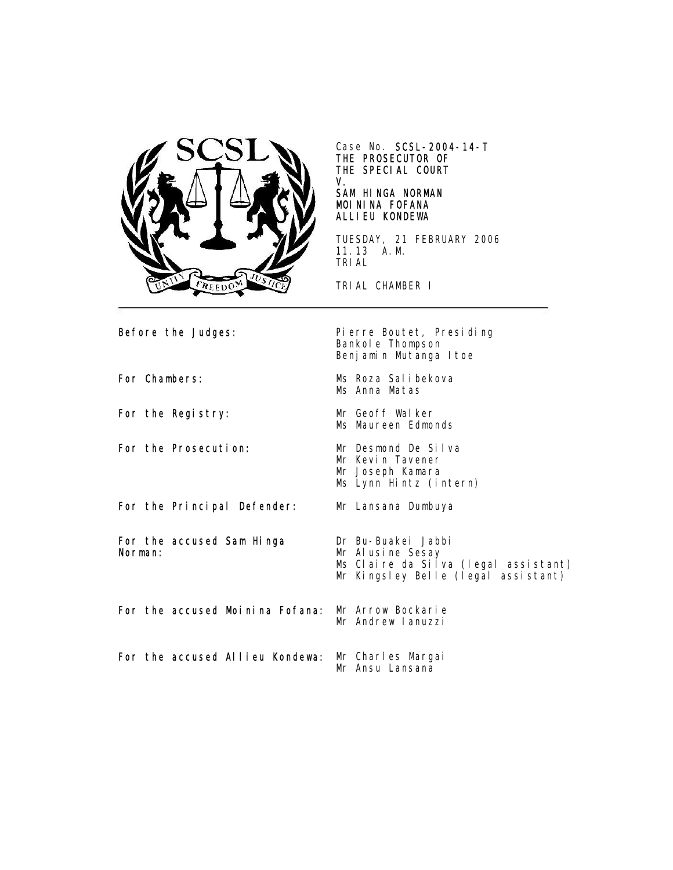

Case No. SCSL-2004-14-T THE PROSECUTOR OF THE SPECIAL COURT V.

### SAM HINGA NORMAN MOININA FOFANA ALLIEU KONDEWA

TUESDAY, 21 FEBRUARY 2006 11.13 A.M. TRIAL

TRIAL CHAMBER I

Before the Judges: Pierre Boutet, Presiding Bankole Thompson Benjamin Mutanga Itoe For Chambers: Ms Roza Salibekova Ms Anna Matas For the Registry: Mr Geoff Walker Ms Maureen Edmonds For the Prosecution: Mr Desmond De Silva Mr Kevin Tavener Mr Joseph Kamara Ms Lynn Hintz (intern) For the Principal Defender: Mr Lansana Dumbuya For the accused Sam Hinga Norman: Dr Bu-Buakei Jabbi Mr Alusine Sesay Ms Claire da Silva (legal assistant) Mr Kingsley Belle (legal assistant) For the accused Moinina Fofana: Mr Arrow Bockarie Mr Andrew Ianuzzi For the accused Allieu Kondewa: Mr Charles Margai Mr Ansu Lansana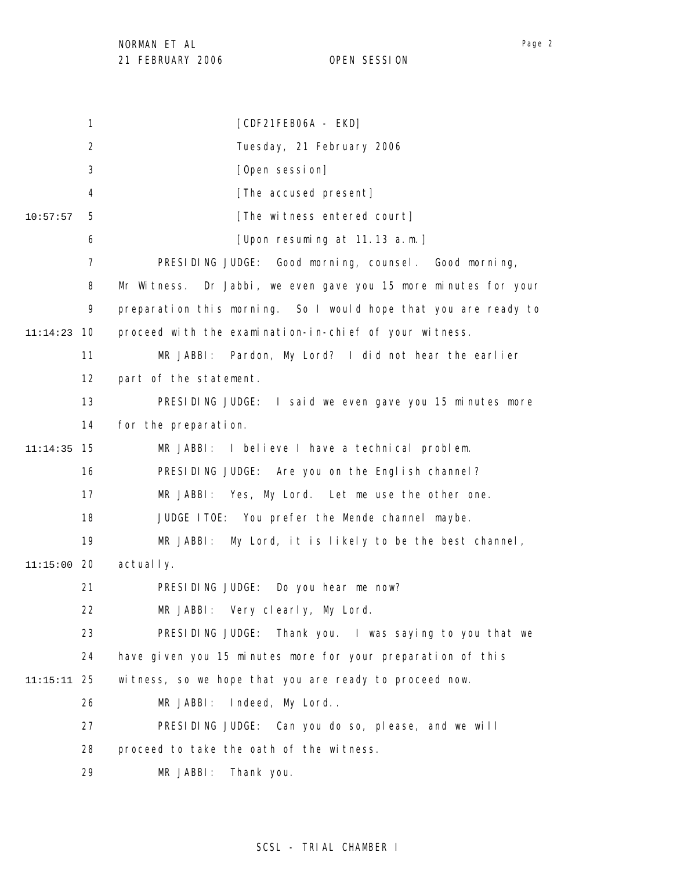1 2 3 4 5 6 7 8 9 10 11:14:23 11 12 13 14 15 11:14:35 16 17 18 19 20 11:15:00 21 22 23 24 25 11:15:11 26 27 28 29 10:57:57 [CDF21FEB06A - EKD] Tuesday, 21 February 2006 [Open session] [The accused present] [The witness entered court] [Upon resuming at 11.13 a.m.] PRESIDING JUDGE: Good morning, counsel. Good morning, Mr Witness. Dr Jabbi, we even gave you 15 more minutes for your preparation this morning. So I would hope that you are ready to proceed with the examination-in-chief of your witness. MR JABBI: Pardon, My Lord? I did not hear the earlier part of the statement. PRESIDING JUDGE: I said we even gave you 15 minutes more for the preparation. MR JABBI: I believe I have a technical problem. PRESIDING JUDGE: Are you on the English channel? MR JABBI: Yes, My Lord. Let me use the other one. JUDGE ITOE: You prefer the Mende channel maybe. MR JABBI: My Lord, it is likely to be the best channel, actual I v. PRESIDING JUDGE: Do you hear me now? MR JABBI: Very clearly, My Lord. PRESIDING JUDGE: Thank you. I was saying to you that we have given you 15 minutes more for your preparation of this witness, so we hope that you are ready to proceed now. MR JABBI: Indeed, My Lord.. PRESIDING JUDGE: Can you do so, please, and we will proceed to take the oath of the witness. MR JABBI: Thank you.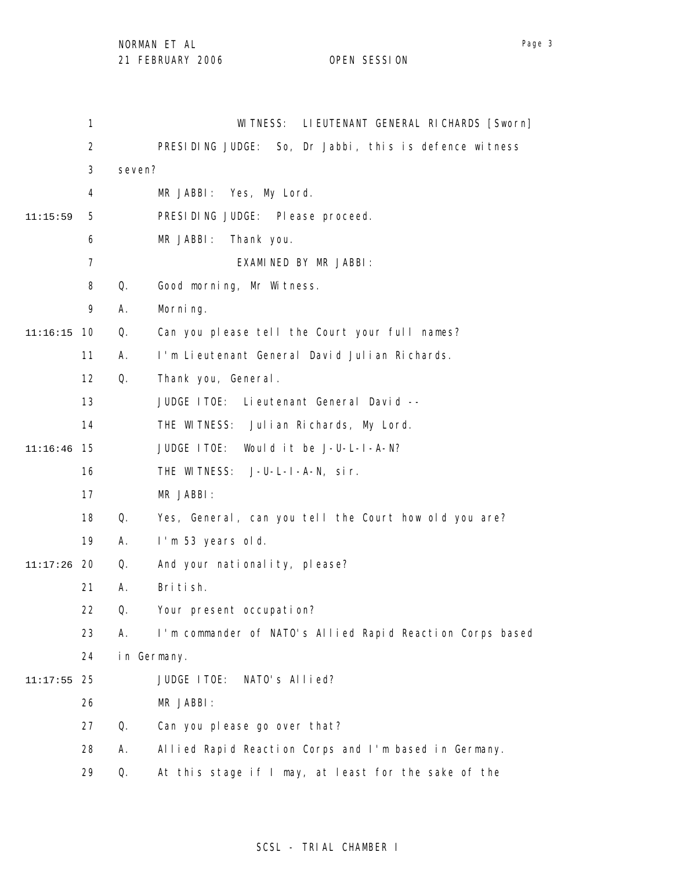|               | $\mathbf{1}$   |        | LI EUTENANT GENERAL RICHARDS [Sworn]<br>WI TNESS:         |
|---------------|----------------|--------|-----------------------------------------------------------|
|               | $\overline{2}$ |        | PRESIDING JUDGE: So, Dr Jabbi, this is defence witness    |
|               | 3              | seven? |                                                           |
|               | 4              |        | MR JABBI: Yes, My Lord.                                   |
| 11:15:59      | 5              |        | PRESIDING JUDGE: Please proceed.                          |
|               | 6              |        | MR JABBI:<br>Thank you.                                   |
|               | $\overline{7}$ |        | EXAMINED BY MR JABBI:                                     |
|               | 8              | Q.     | Good morning, Mr Witness.                                 |
|               | 9              | Α.     | Morning.                                                  |
| 11:16:15      | 10             | Q.     | Can you please tell the Court your full names?            |
|               | 11             | Α.     | I'm Lieutenant General David Julian Richards.             |
|               | 12             | Q.     | Thank you, General.                                       |
|               | 13             |        | JUDGE ITOE:<br>Lieutenant General David --                |
|               | 14             |        | THE WITNESS: Julian Richards, My Lord.                    |
| 11:16:46      | 15             |        | JUDGE ITOE:<br>Would it be J-U-L-I-A-N?                   |
|               | 16             |        | THE WITNESS: J-U-L-I-A-N, sir.                            |
|               | 17             |        | MR JABBI:                                                 |
|               | 18             | Q.     | Yes, General, can you tell the Court how old you are?     |
|               | 19             | Α.     | I'm 53 years old.                                         |
| $11:17:26$ 20 |                | Q.     | And your nationality, please?                             |
|               | 21             | Α.     | British.                                                  |
|               | 22             | Q.     | Your present occupation?                                  |
|               | 23             | Α.     | I'm commander of NATO's Allied Rapid Reaction Corps based |
|               | 24             |        | in Germany.                                               |
| 11:17:55      | 25             |        | NATO's Allied?<br>JUDGE ITOE:                             |
|               | 26             |        | MR JABBI:                                                 |
|               | 27             | Q.     | Can you please go over that?                              |
|               | 28             | Α.     | Allied Rapid Reaction Corps and I'm based in Germany.     |
|               | 29             | Q.     | At this stage if I may, at least for the sake of the      |

# SCSL - TRIAL CHAMBER I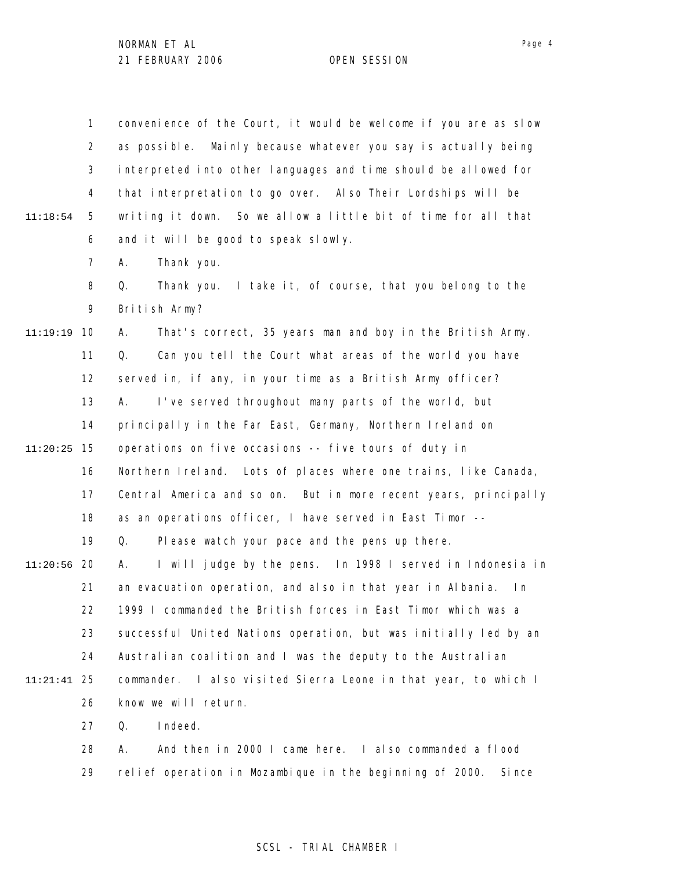1 2 3 4 5 6 7 8 9 10 11:19:19 11 12 13 14 15 11:20:25 16 17 18 19 20 11:20:56 21 22 23 24 25 11:21:41 26 27 28 29 11:18:54 convenience of the Court, it would be welcome if you are as slow as possible. Mainly because whatever you say is actually being interpreted into other languages and time should be allowed for that interpretation to go over. Also Their Lordships will be writing it down. So we allow a little bit of time for all that and it will be good to speak slowly. A. Thank you. Q. Thank you. I take it, of course, that you belong to the British Army? A. That's correct, 35 years man and boy in the British Army. Q. Can you tell the Court what areas of the world you have served in, if any, in your time as a British Army officer? A. I've served throughout many parts of the world, but principally in the Far East, Germany, Northern Ireland on operations on five occasions -- five tours of duty in Northern Ireland. Lots of places where one trains, like Canada, Central America and so on. But in more recent years, principally as an operations officer, I have served in East Timor -- Q. Please watch your pace and the pens up there. A. I will judge by the pens. In 1998 I served in Indonesia in an evacuation operation, and also in that year in Albania. In 1999 I commanded the British forces in East Timor which was a successful United Nations operation, but was initially led by an Australian coalition and I was the deputy to the Australian commander. I also visited Sierra Leone in that year, to which I know we will return. Q. Indeed. A. And then in 2000 I came here. I also commanded a flood relief operation in Mozambique in the beginning of 2000. Since

### SCSL - TRIAL CHAMBER I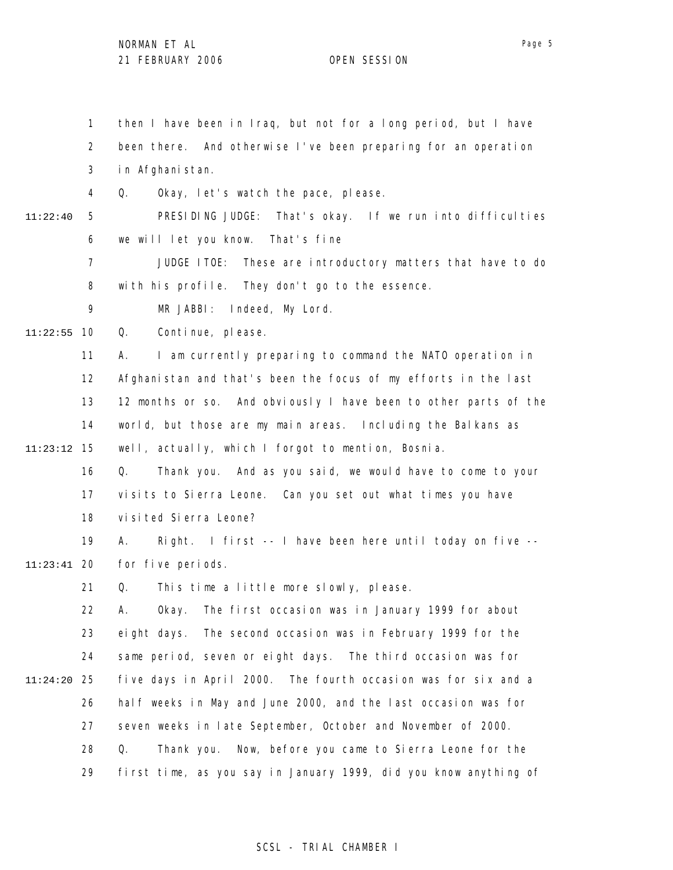1 2 3 4 5 6 7 8 9 10 11:22:55 11 12 13 14 15 11:23:12 16 17 18 19 20 11:23:41 21 22 23 24 25 11:24:20 26 27 28 29 11:22:40 then I have been in Iraq, but not for a long period, but I have been there. And otherwise I've been preparing for an operation in Afghanistan. Q. Okay, let's watch the pace, please. PRESIDING JUDGE: That's okay. If we run into difficulties we will let you know. That's fine JUDGE ITOE: These are introductory matters that have to do with his profile. They don't go to the essence. MR JABBI: Indeed, My Lord. Q. Continue, please. A. I am currently preparing to command the NATO operation in Afghanistan and that's been the focus of my efforts in the last 12 months or so. And obviously I have been to other parts of the world, but those are my main areas. Including the Balkans as well, actually, which I forgot to mention, Bosnia. Q. Thank you. And as you said, we would have to come to your visits to Sierra Leone. Can you set out what times you have visited Sierra Leone? A. Right. I first -- I have been here until today on five - for five periods. Q. This time a little more slowly, please. A. Okay. The first occasion was in January 1999 for about eight days. The second occasion was in February 1999 for the same period, seven or eight days. The third occasion was for five days in April 2000. The fourth occasion was for six and a half weeks in May and June 2000, and the last occasion was for seven weeks in late September, October and November of 2000. Q. Thank you. Now, before you came to Sierra Leone for the first time, as you say in January 1999, did you know anything of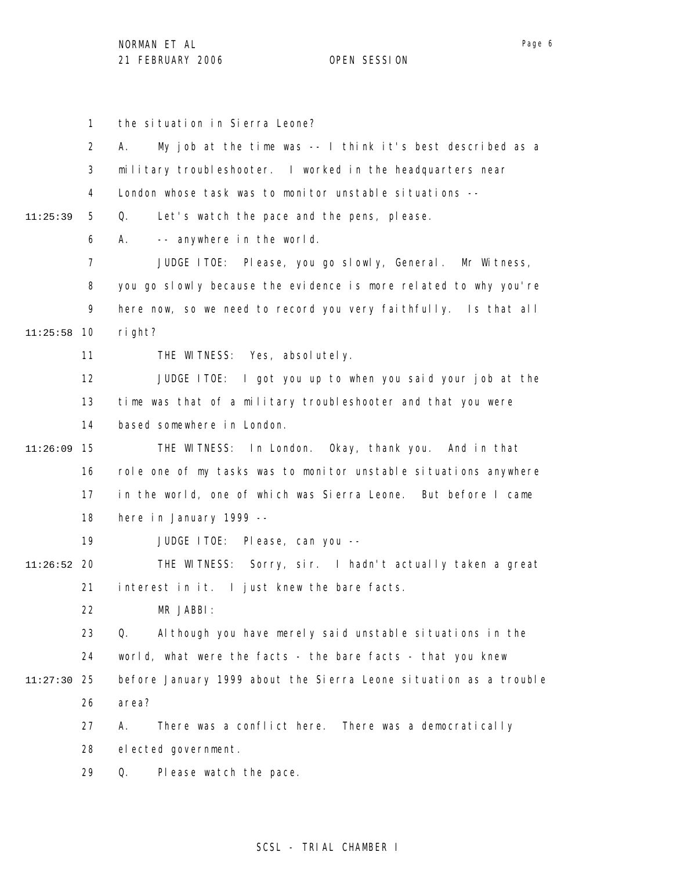1 2 3 4 5 6 7 8 9 10 11:25:58 11 12 13 14 15 11:26:09 16 17 18 19 20 11:26:52 21 22 23 24 25 11:27:30 26 27 28 29 11:25:39 the situation in Sierra Leone? A. My job at the time was -- I think it's best described as a military troubleshooter. I worked in the headquarters near London whose task was to monitor unstable situations -- Q. Let's watch the pace and the pens, please. A. -- anywhere in the world. JUDGE ITOE: Please, you go slowly, General. Mr Witness, you go slowly because the evidence is more related to why you're here now, so we need to record you very faithfully. Is that all right? THE WITNESS: Yes, absolutely. JUDGE ITOE: I got you up to when you said your job at the time was that of a military troubleshooter and that you were based somewhere in London. THE WITNESS: In London. Okay, thank you. And in that role one of my tasks was to monitor unstable situations anywhere in the world, one of which was Sierra Leone. But before I came here in January 1999 -- JUDGE ITOE: Please, can you -- THE WITNESS: Sorry, sir. I hadn't actually taken a great interest in it. I just knew the bare facts. MR JABBI: Q. Although you have merely said unstable situations in the world, what were the facts - the bare facts - that you knew before January 1999 about the Sierra Leone situation as a trouble area? A. There was a conflict here. There was a democratically elected government. Q. Please watch the pace.

## SCSL - TRIAL CHAMBER I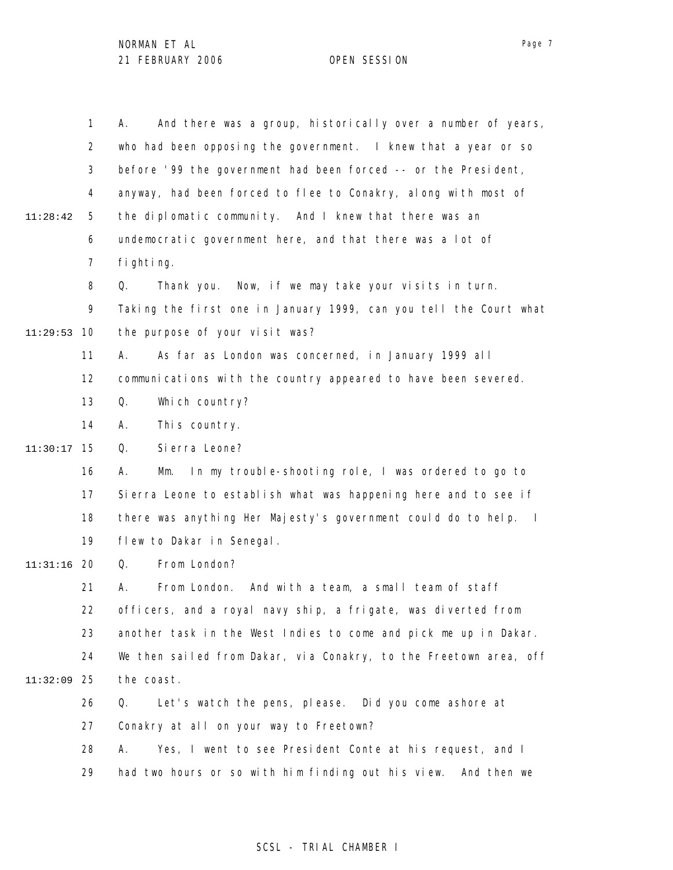|          | $\mathbf{1}$   | And there was a group, historically over a number of years,<br>А.               |
|----------|----------------|---------------------------------------------------------------------------------|
|          | $\overline{2}$ | who had been opposing the government. I knew that a year or so                  |
|          | 3              | before '99 the government had been forced -- or the President,                  |
|          | 4              | anyway, had been forced to flee to Conakry, along with most of                  |
| 11:28:42 | 5              | the diplomatic community. And I knew that there was an                          |
|          | 6              | undemocratic government here, and that there was a lot of                       |
|          | 7              | fi ghti ng.                                                                     |
|          | 8              | Thank you. Now, if we may take your visits in turn.<br>Q.                       |
|          | 9              | Taking the first one in January 1999, can you tell the Court what               |
| 11:29:53 | 10             | the purpose of your visit was?                                                  |
|          | 11             | As far as London was concerned, in January 1999 all<br>А.                       |
|          | 12             | communications with the country appeared to have been severed.                  |
|          | 13             | Q.<br>Which country?                                                            |
|          | 14             | Α.<br>This country.                                                             |
| 11:30:17 | 15             | Si erra Leone?<br>Q.                                                            |
|          | 16             | In my trouble-shooting role, I was ordered to go to<br>А.<br>Mm.                |
|          | 17             | Sierra Leone to establish what was happening here and to see if                 |
|          | 18             | there was anything Her Majesty's government could do to help.<br>$\blacksquare$ |
|          | 19             | flew to Dakar in Senegal.                                                       |
| 11:31:16 | 20             | From London?<br>Q.                                                              |
|          | 21             | From London.<br>And with a team, a small team of staff<br>Α.                    |
|          | 22             | officers, and a royal navy ship, a frigate, was diverted from                   |
|          | 23             | another task in the West Indies to come and pick me up in Dakar.                |
|          | 24             | We then sailed from Dakar, via Conakry, to the Freetown area, off               |
| 11:32:09 | -25            | the coast.                                                                      |
|          | 26             | Let's watch the pens, please. Did you come ashore at<br>Q.                      |
|          | 27             | Conakry at all on your way to Freetown?                                         |
|          | 28             | Yes, I went to see President Conte at his request, and I<br>А.                  |
|          | 29             | had two hours or so with him finding out his view.<br>And then we               |

# SCSL - TRIAL CHAMBER I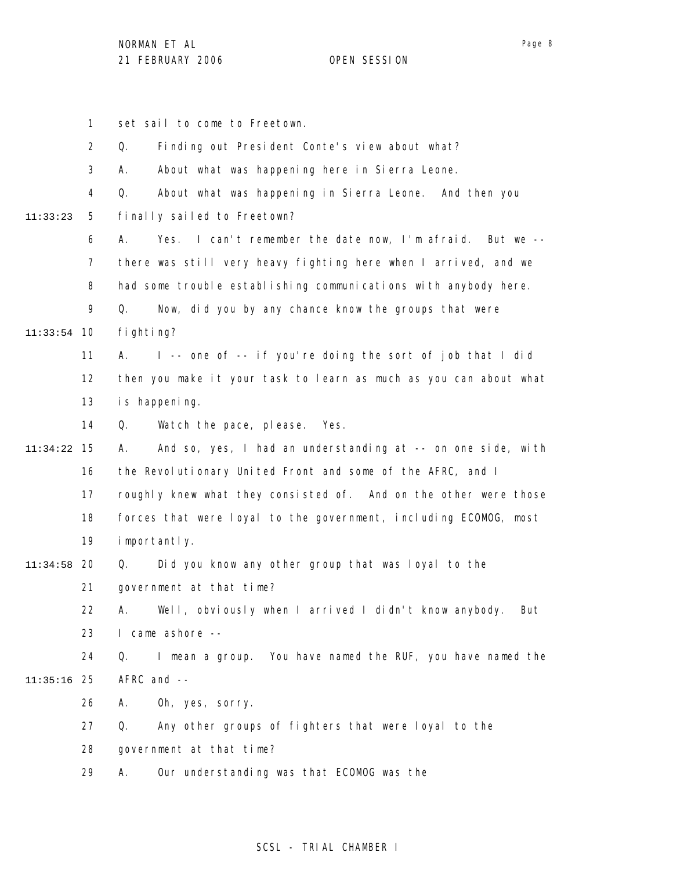1 2 3 4 5 6 7 8 9 10 11:33:54 11 12 13 14 15 11:34:22 16 17 18 19 20 11:34:58 21 22 23 24 25 11:35:16 26 27 28 29 11:33:23 set sail to come to Freetown. Q. Finding out President Conte's view about what? A. About what was happening here in Sierra Leone. Q. About what was happening in Sierra Leone. And then you finally sailed to Freetown? A. Yes. I can't remember the date now, I'm afraid. But we - there was still very heavy fighting here when I arrived, and we had some trouble establishing communications with anybody here. Q. Now, did you by any chance know the groups that were fighting? A. I -- one of -- if you're doing the sort of job that I did then you make it your task to learn as much as you can about what is happening. Q. Watch the pace, please. Yes. A. And so, yes, I had an understanding at -- on one side, with the Revolutionary United Front and some of the AFRC, and I roughly knew what they consisted of. And on the other were those forces that were loyal to the government, including ECOMOG, most importantly. Q. Did you know any other group that was loyal to the government at that time? A. Well, obviously when I arrived I didn't know anybody. But I came ashore -- Q. I mean a group. You have named the RUF, you have named the AFRC and -- A. Oh, yes, sorry. Q. Any other groups of fighters that were loyal to the government at that time? A. Our understanding was that ECOMOG was the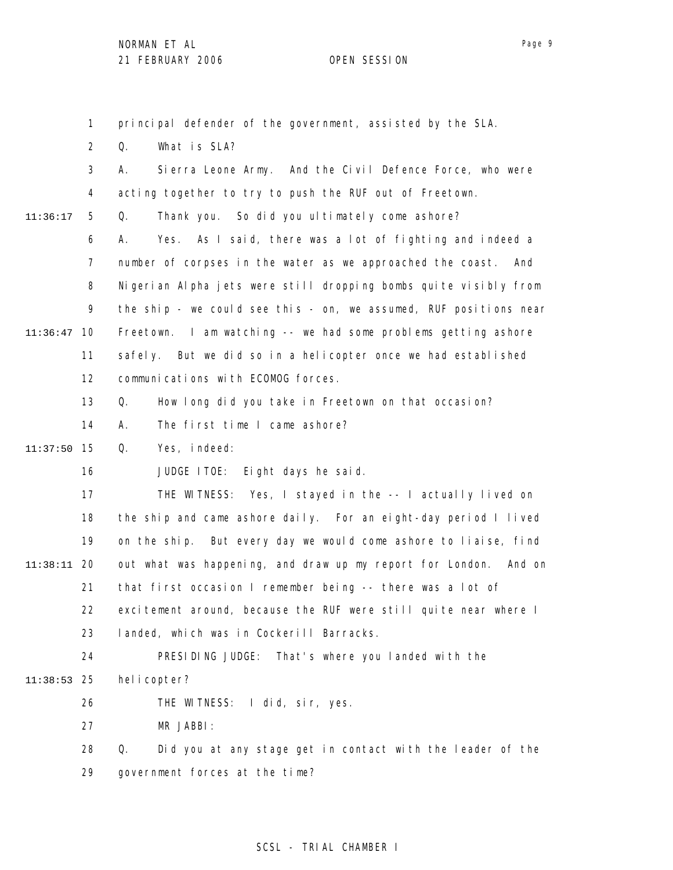1 principal defender of the government, assisted by the SLA.

2 Q. What is SLA?

|          | 3              | Sierra Leone Army. And the Civil Defence Force, who were<br>А.    |
|----------|----------------|-------------------------------------------------------------------|
|          |                |                                                                   |
|          | 4              | acting together to try to push the RUF out of Freetown.           |
| 11:36:17 | 5              | Thank you. So did you ultimately come ashore?<br>Q.               |
|          | 6              | Yes. As I said, there was a lot of fighting and indeed a<br>А.    |
|          | $\overline{7}$ | number of corpses in the water as we approached the coast. And    |
|          | 8              | Nigerian Alpha jets were still dropping bombs quite visibly from  |
|          | 9              | the ship - we could see this - on, we assumed, RUF positions near |
| 11:36:47 | 10             | Freetown. I am watching -- we had some problems getting ashore    |
|          | 11             | safely. But we did so in a helicopter once we had established     |
|          | 12             | communications with ECOMOG forces.                                |
|          | 13             | Q.<br>How long did you take in Freetown on that occasion?         |
|          | 14             | The first time I came ashore?<br>А.                               |
| 11:37:50 | 15             | Q.<br>Yes, indeed:                                                |
|          | 16             | JUDGE ITOE: Eight days he said.                                   |
|          | 17             | THE WITNESS: Yes, I stayed in the -- I actually lived on          |
|          | 18             | the ship and came ashore daily. For an eight-day period I lived   |
|          | 19             | on the ship. But every day we would come ashore to liaise, find   |
| 11:38:11 | 20             | out what was happening, and draw up my report for London. And on  |
|          | 21             | that first occasion I remember being -- there was a lot of        |
|          | 22             | excitement around, because the RUF were still quite near where I  |
|          | 23             | landed, which was in Cockerill Barracks.                          |
|          | 24             | PRESIDING JUDGE: That's where you landed with the                 |
| 11:38:53 | 25             | hel i copter?                                                     |
|          | 26             | THE WITNESS: I did, sir, yes.                                     |
|          | 27             | MR JABBI:                                                         |
|          | 28             | Did you at any stage get in contact with the leader of the<br>Q.  |
|          | 29             | government forces at the time?                                    |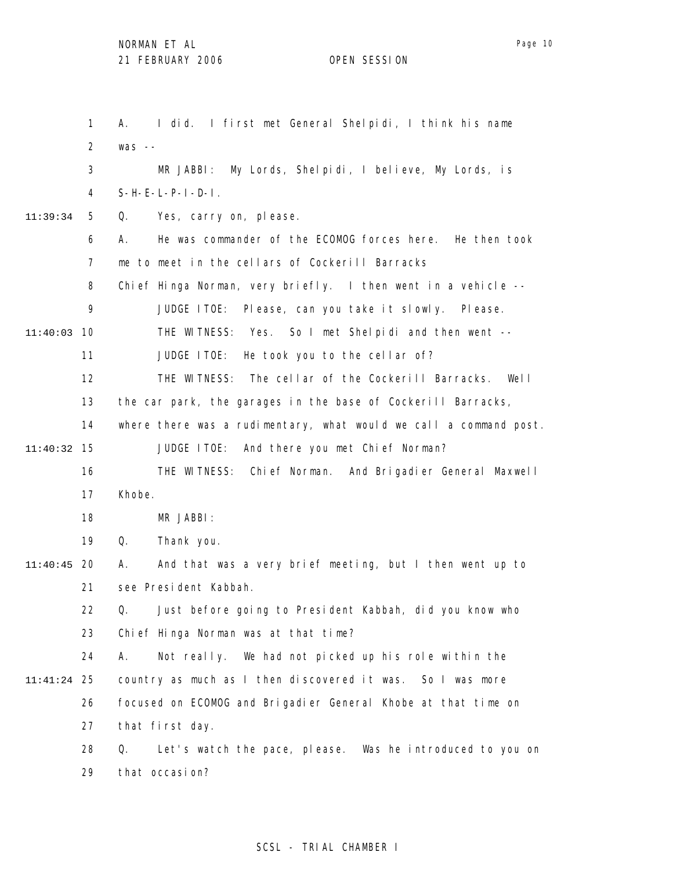1 2 3 4 5 6 7 8 9 11:40:03 10 11 12 13 14 15 11:40:32 16 17 18 19 20 11:40:45 21 22 23 24 25 11:41:24 26 27 28 29 11:39:34 A. I did. I first met General Shelpidi, I think his name was -- MR JABBI: My Lords, Shelpidi, I believe, My Lords, is  $S-H-E-L-P-I-D-I$ . Q. Yes, carry on, please. A. He was commander of the ECOMOG forces here. He then took me to meet in the cellars of Cockerill Barracks Chief Hinga Norman, very briefly. I then went in a vehicle -- JUDGE ITOE: Please, can you take it slowly. Please. THE WITNESS: Yes. So I met Shelpidi and then went -- JUDGE ITOE: He took you to the cellar of? THE WITNESS: The cellar of the Cockerill Barracks. Well the car park, the garages in the base of Cockerill Barracks, where there was a rudimentary, what would we call a command post. JUDGE ITOE: And there you met Chief Norman? THE WITNESS: Chief Norman. And Brigadier General Maxwell Khobe. MR JABBI: Q. Thank you. A. And that was a very brief meeting, but I then went up to see President Kabbah. Q. Just before going to President Kabbah, did you know who Chief Hinga Norman was at that time? A. Not really. We had not picked up his role within the country as much as I then discovered it was. So I was more focused on ECOMOG and Brigadier General Khobe at that time on that first day. Q. Let's watch the pace, please. Was he introduced to you on that occasion?

#### Page 10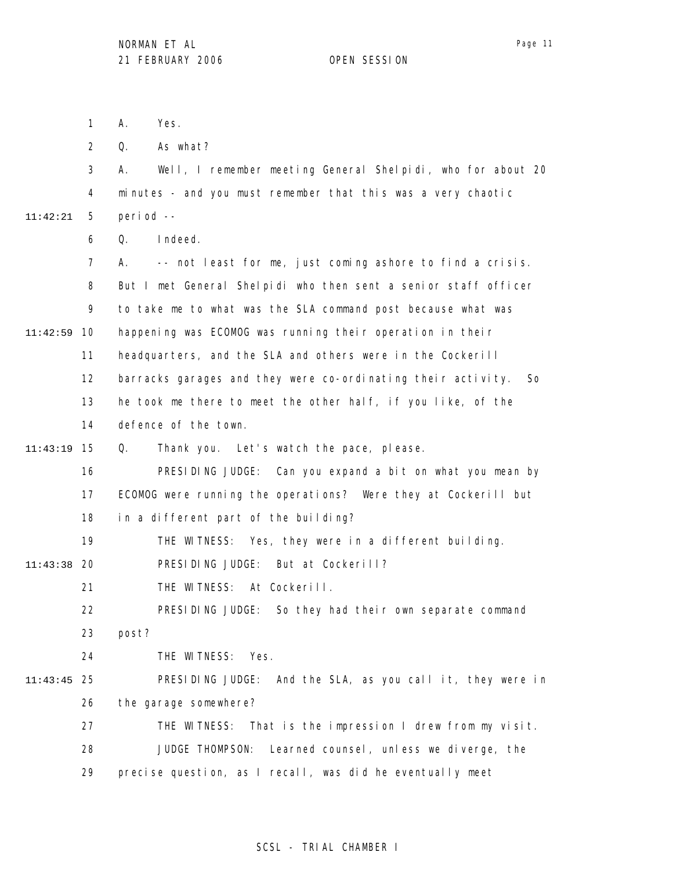1 2 3 4 5 6 7 8 9 10 11:42:59 11 12 13 14 15 11:43:19 16 17 18 19 20 11:43:38 21 22 23 24 25 11:43:45 26 27 28 29 11:42:21 A. Yes. Q. As what? A. Well, I remember meeting General Shelpidi, who for about 20 minutes - and you must remember that this was a very chaotic period -- Q. Indeed. A. -- not least for me, just coming ashore to find a crisis. But I met General Shelpidi who then sent a senior staff officer to take me to what was the SLA command post because what was happening was ECOMOG was running their operation in their headquarters, and the SLA and others were in the Cockerill barracks garages and they were co-ordinating their activity. So he took me there to meet the other half, if you like, of the defence of the town. Q. Thank you. Let's watch the pace, please. PRESIDING JUDGE: Can you expand a bit on what you mean by ECOMOG were running the operations? Were they at Cockerill but in a different part of the building? THE WITNESS: Yes, they were in a different building. PRESIDING JUDGE: But at Cockerill? THE WITNESS: At Cockerill. PRESIDING JUDGE: So they had their own separate command post? THE WITNESS: Yes. PRESIDING JUDGE: And the SLA, as you call it, they were in the garage somewhere? THE WITNESS: That is the impression I drew from my visit. JUDGE THOMPSON: Learned counsel, unless we diverge, the precise question, as I recall, was did he eventually meet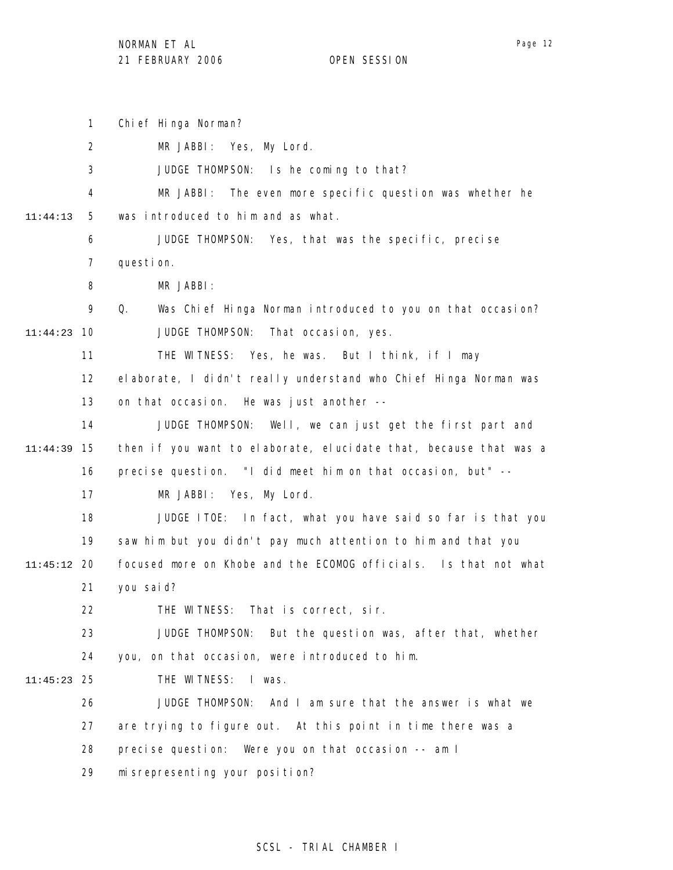1 2 3 4 5 6 7 8 9 10 11:44:23 11 12 13 14 15 11:44:39 16 17 18 19 20 11:45:12 21 22 23 24 25 11:45:23 26 27 28 29 11:44:13 Chief Hinga Norman? MR JABBI: Yes, My Lord. JUDGE THOMPSON: Is he coming to that? MR JABBI: The even more specific question was whether he was introduced to him and as what. JUDGE THOMPSON: Yes, that was the specific, precise question. MR JABBI: Q. Was Chief Hinga Norman introduced to you on that occasion? JUDGE THOMPSON: That occasion, yes. THE WITNESS: Yes, he was. But I think, if I may elaborate, I didn't really understand who Chief Hinga Norman was on that occasion. He was just another -- JUDGE THOMPSON: Well, we can just get the first part and then if you want to elaborate, elucidate that, because that was a precise question. "I did meet him on that occasion, but" -- MR JABBI: Yes, My Lord. JUDGE ITOE: In fact, what you have said so far is that you saw him but you didn't pay much attention to him and that you focused more on Khobe and the ECOMOG officials. Is that not what you said? THE WITNESS: That is correct, sir. JUDGE THOMPSON: But the question was, after that, whether you, on that occasion, were introduced to him. THE WITNESS: I was. JUDGE THOMPSON: And I am sure that the answer is what we are trying to figure out. At this point in time there was a precise question: Were you on that occasion -- am I misrepresenting your position?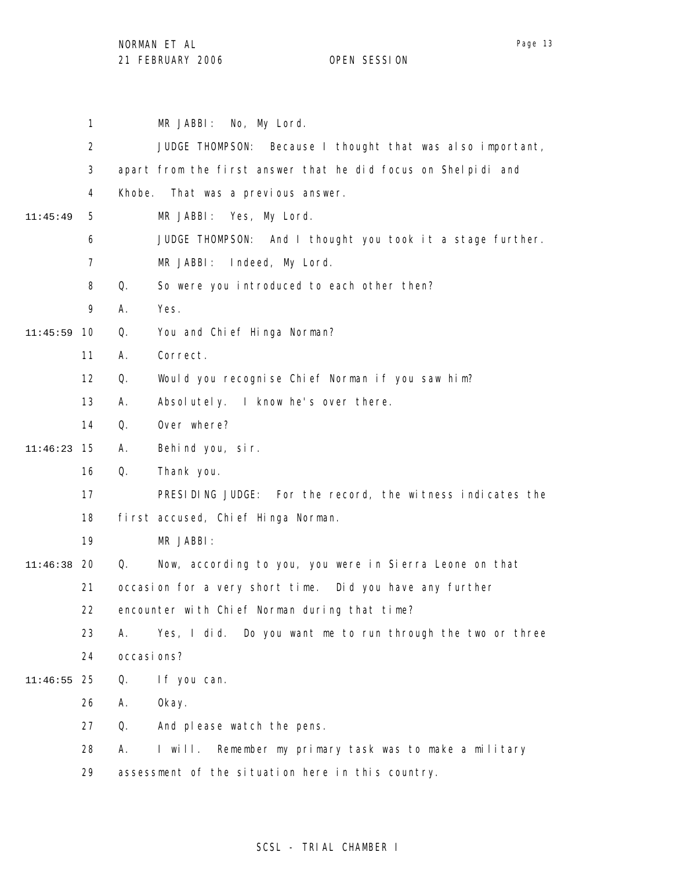NORMAN ET AL

21 FEBRUARY 2006 OPEN SESSION

1 2 3 4 5 6 7 8 9 10 11:45:59 11 12 13 14 15 11:46:23 16 17 18 19 20 11:46:38 21 22 23 24 25 11:46:55 26 27 28 29 11:45:49 MR JABBI: No, My Lord. JUDGE THOMPSON: Because I thought that was also important, apart from the first answer that he did focus on Shelpidi and Khobe. That was a previous answer. MR JABBI: Yes, My Lord. JUDGE THOMPSON: And I thought you took it a stage further. MR JABBI: Indeed, My Lord. Q. So were you introduced to each other then? A. Yes. Q. You and Chief Hinga Norman? A. Correct. Q. Would you recognise Chief Norman if you saw him? A. Absolutely. I know he's over there. Q. Over where? A. Behind you, sir. Q. Thank you. PRESIDING JUDGE: For the record, the witness indicates the first accused, Chief Hinga Norman. MR JABBI: Q. Now, according to you, you were in Sierra Leone on that occasion for a very short time. Did you have any further encounter with Chief Norman during that time? A. Yes, I did. Do you want me to run through the two or three occasions? Q. If you can. A. Okay. Q. And please watch the pens. A. I will. Remember my primary task was to make a military assessment of the situation here in this country.

## SCSL - TRIAL CHAMBER I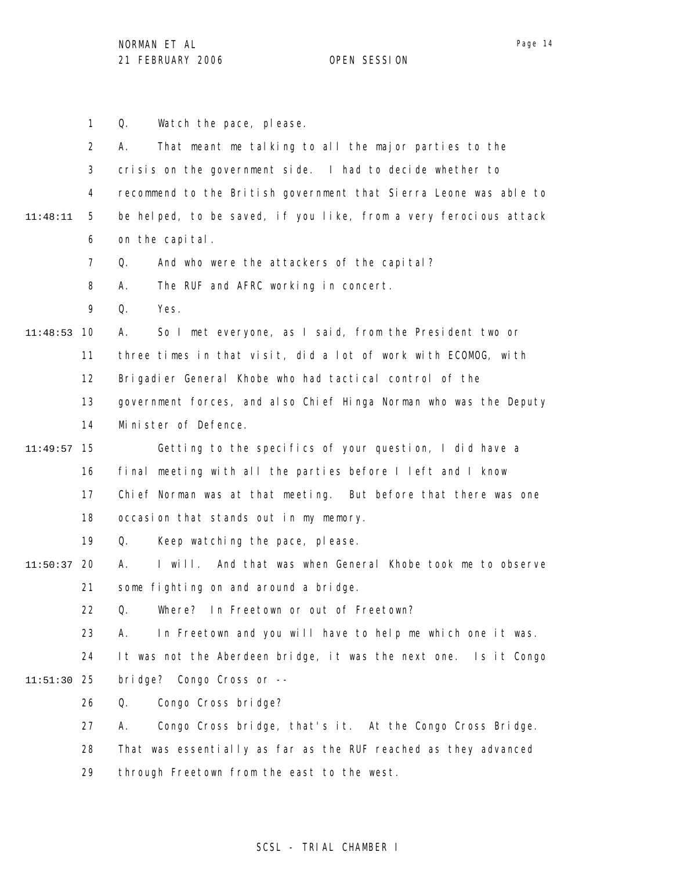1 2 3 4 5 6 7 8 9 10 11:48:53 11 12 13 14 15 11:49:57 16 17 18 19 20 11:50:37 21 22 23 24 25 11:51:30 26 27 28 29 11:48:11 Q. Watch the pace, please. A. That meant me talking to all the major parties to the crisis on the government side. I had to decide whether to recommend to the British government that Sierra Leone was able to be helped, to be saved, if you like, from a very ferocious attack on the capital. Q. And who were the attackers of the capital? A. The RUF and AFRC working in concert. Q. Yes. A. So I met everyone, as I said, from the President two or three times in that visit, did a lot of work with ECOMOG, with Brigadier General Khobe who had tactical control of the government forces, and also Chief Hinga Norman who was the Deputy Minister of Defence. Getting to the specifics of your question, I did have a final meeting with all the parties before I left and I know Chief Norman was at that meeting. But before that there was one occasion that stands out in my memory. Q. Keep watching the pace, please. A. I will. And that was when General Khobe took me to observe some fighting on and around a bridge. Q. Where? In Freetown or out of Freetown? A. In Freetown and you will have to help me which one it was. It was not the Aberdeen bridge, it was the next one. Is it Congo bridge? Congo Cross or -- Q. Congo Cross bridge? A. Congo Cross bridge, that's it. At the Congo Cross Bridge. That was essentially as far as the RUF reached as they advanced through Freetown from the east to the west.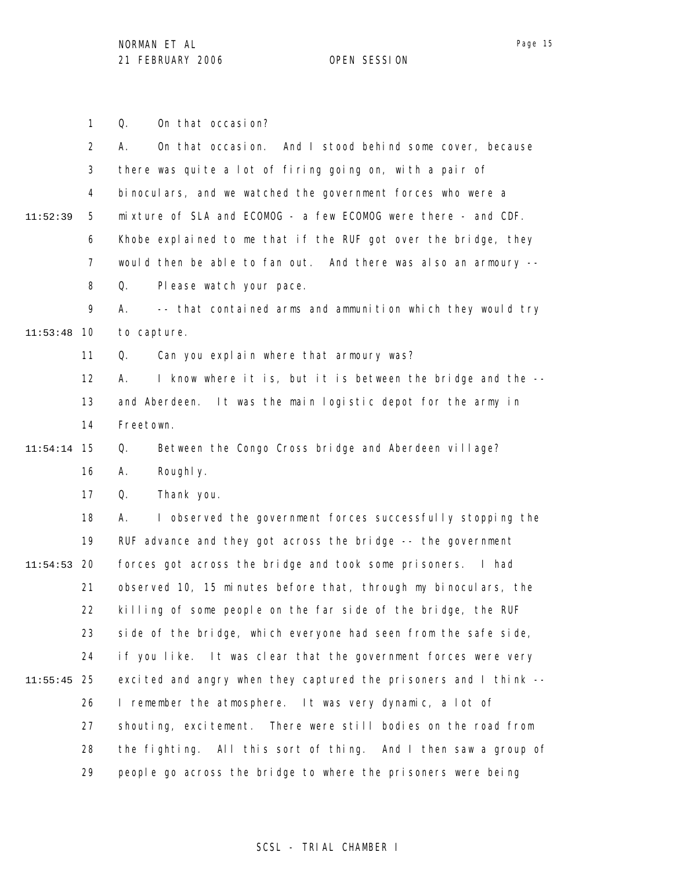Page 15

1 2 3 4 5 6 7 8 9 10 11:53:48 11 12 13 14 15 11:54:14 16 17 18 19 20 11:54:53 21 22 23 24 25 11:55:45 26 27 28 29 11:52:39 Q. On that occasion? A. On that occasion. And I stood behind some cover, because there was quite a lot of firing going on, with a pair of binoculars, and we watched the government forces who were a mixture of SLA and ECOMOG - a few ECOMOG were there - and CDF. Khobe explained to me that if the RUF got over the bridge, they would then be able to fan out. And there was also an armoury -- Q. Please watch your pace. A. -- that contained arms and ammunition which they would try to capture. Q. Can you explain where that armoury was? A. I know where it is, but it is between the bridge and the - and Aberdeen. It was the main logistic depot for the army in Freetown. Q. Between the Congo Cross bridge and Aberdeen village? A. Roughly. Q. Thank you. A. I observed the government forces successfully stopping the RUF advance and they got across the bridge -- the government forces got across the bridge and took some prisoners. I had observed 10, 15 minutes before that, through my binoculars, the killing of some people on the far side of the bridge, the RUF side of the bridge, which everyone had seen from the safe side, if you like. It was clear that the government forces were very excited and angry when they captured the prisoners and I think -- I remember the atmosphere. It was very dynamic, a lot of shouting, excitement. There were still bodies on the road from the fighting. All this sort of thing. And I then saw a group of people go across the bridge to where the prisoners were being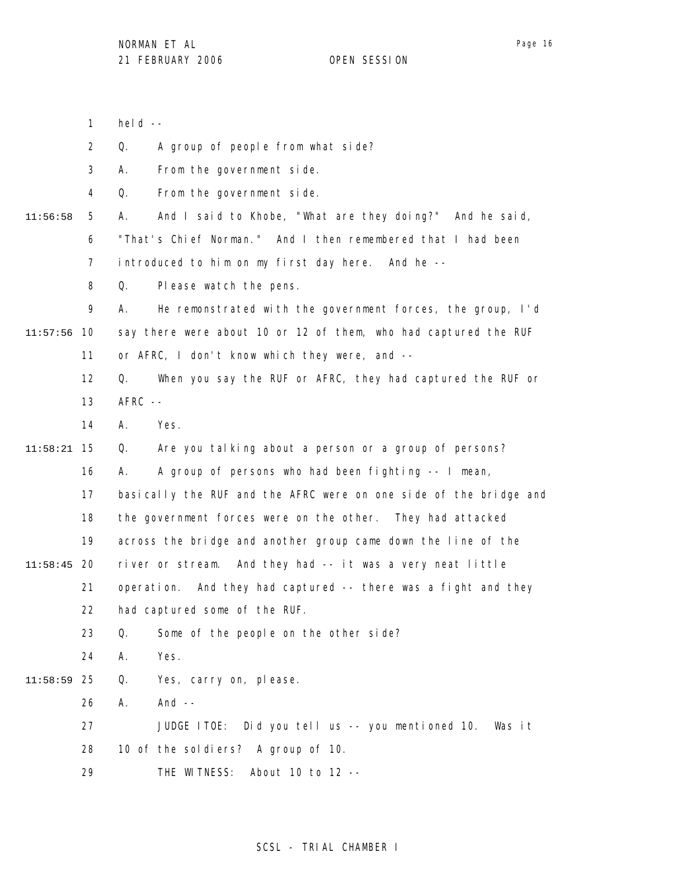1 held  $--$ 

2 Q. A group of people from what side?

3 A. From the government side.

4 Q. From the government side.

- 5 6 11:56:58 A. And I said to Khobe, "What are they doing?" And he said, "That's Chief Norman." And I then remembered that I had been
	- 7 introduced to him on my first day here. And he --
	- 8 Q. Please watch the pens.

9 10 11:57:56 11 A. He remonstrated with the government forces, the group, I'd say there were about 10 or 12 of them, who had captured the RUF or AFRC, I don't know which they were, and --

12 13 Q. When you say the RUF or AFRC, they had captured the RUF or  $AFRC$  --

14 A. Yes.

15 11:58:21 Q. Are you talking about a person or a group of persons?

16 A. A group of persons who had been fighting -- I mean,

- 17 basically the RUF and the AFRC were on one side of the bridge and
- 18 the government forces were on the other. They had attacked
- 19 across the bridge and another group came down the line of the
- 20 11:58:45 river or stream. And they had -- it was a very neat little
	- 21 22 operation. And they had captured -- there was a fight and they had captured some of the RUF.
		- 23 Q. Some of the people on the other side?
		- 24 A. Yes.
- 25 11:58:59 Q. Yes, carry on, please.
	- 26 A. And --
	- 27 28 JUDGE ITOE: Did you tell us -- you mentioned 10. Was it 10 of the soldiers? A group of 10.
	- 29 THE WITNESS: About 10 to 12 --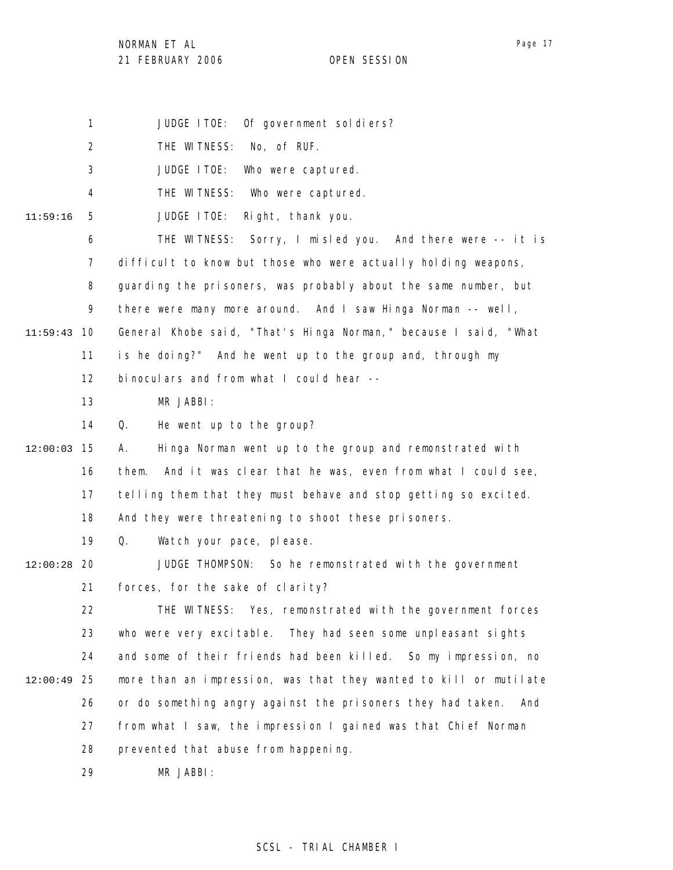NORMAN ET AL

Page 17

1 JUDGE ITOE: Of government soldiers?

2 THE WITNESS: No, of RUF.

3 JUDGE ITOE: Who were captured.

4 THE WITNESS: Who were captured.

5 11:59:16 JUDGE ITOE: Right, thank you.

6 7 THE WITNESS: Sorry, I misled you. And there were -- it is difficult to know but those who were actually holding weapons,

8 guarding the prisoners, was probably about the same number, but

9 there were many more around. And I saw Hinga Norman -- well,

10 11:59:43 General Khobe said, "That's Hinga Norman," because I said, "What

11 is he doing?" And he went up to the group and, through my

12 binoculars and from what I could hear --

13 MR JABBI:

14 Q. He went up to the group?

15 12:00:03 16 17 18 A. Hinga Norman went up to the group and remonstrated with them. And it was clear that he was, even from what I could see, telling them that they must behave and stop getting so excited. And they were threatening to shoot these prisoners.

> 19 Q. Watch your pace, please.

20 12:00:28 21 JUDGE THOMPSON: So he remonstrated with the government forces, for the sake of clarity?

22 23 24 25 12:00:49 26 27 28 THE WITNESS: Yes, remonstrated with the government forces who were very excitable. They had seen some unpleasant sights and some of their friends had been killed. So my impression, no more than an impression, was that they wanted to kill or mutilate or do something angry against the prisoners they had taken. And from what I saw, the impression I gained was that Chief Norman prevented that abuse from happening.

> 29 MR JABBI: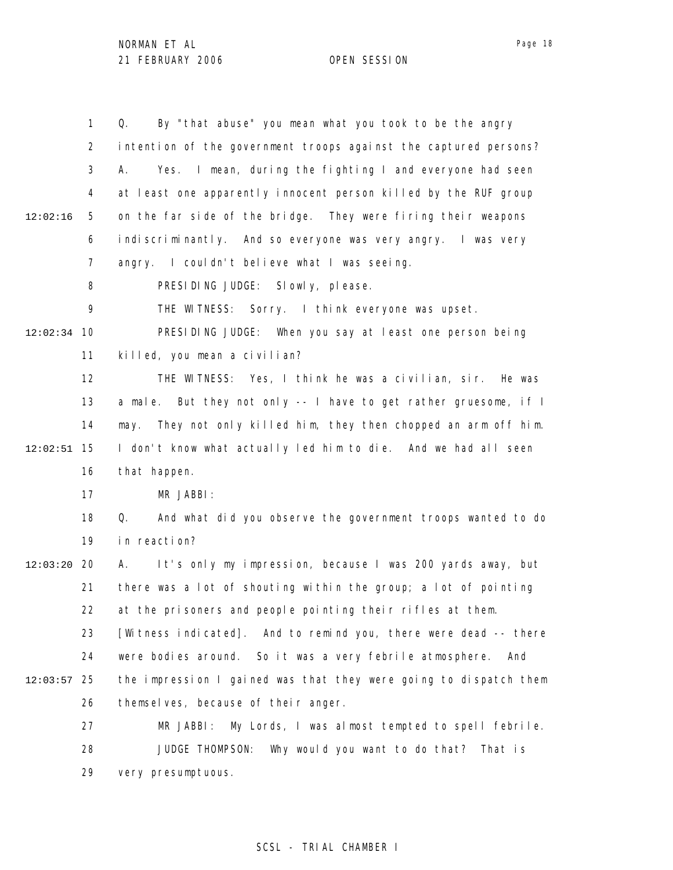1 2 3 4 5 6 7 8 9 10 12:02:34 11 12 13 14 15 12:02:51 16 17 18 19 20 12:03:20 21 22 23 24 25 12:03:57 26 27 28 29 12:02:16 Q. By "that abuse" you mean what you took to be the angry intention of the government troops against the captured persons? A. Yes. I mean, during the fighting I and everyone had seen at least one apparently innocent person killed by the RUF group on the far side of the bridge. They were firing their weapons indiscriminantly. And so everyone was very angry. I was very angry. I couldn't believe what I was seeing. PRESIDING JUDGE: Slowly, please. THE WITNESS: Sorry. I think everyone was upset. PRESIDING JUDGE: When you say at least one person being killed, you mean a civilian? THE WITNESS: Yes, I think he was a civilian, sir. He was a male. But they not only -- I have to get rather gruesome, if I may. They not only killed him, they then chopped an arm off him. I don't know what actually led him to die. And we had all seen that happen. MR JABBI: Q. And what did you observe the government troops wanted to do in reaction? A. It's only my impression, because I was 200 yards away, but there was a lot of shouting within the group; a lot of pointing at the prisoners and people pointing their rifles at them. [Witness indicated]. And to remind you, there were dead -- there were bodies around. So it was a very febrile atmosphere. And the impression I gained was that they were going to dispatch them themselves, because of their anger. MR JABBI: My Lords, I was almost tempted to spell febrile. JUDGE THOMPSON: Why would you want to do that? That is very presumptuous.

### SCSL - TRIAL CHAMBER I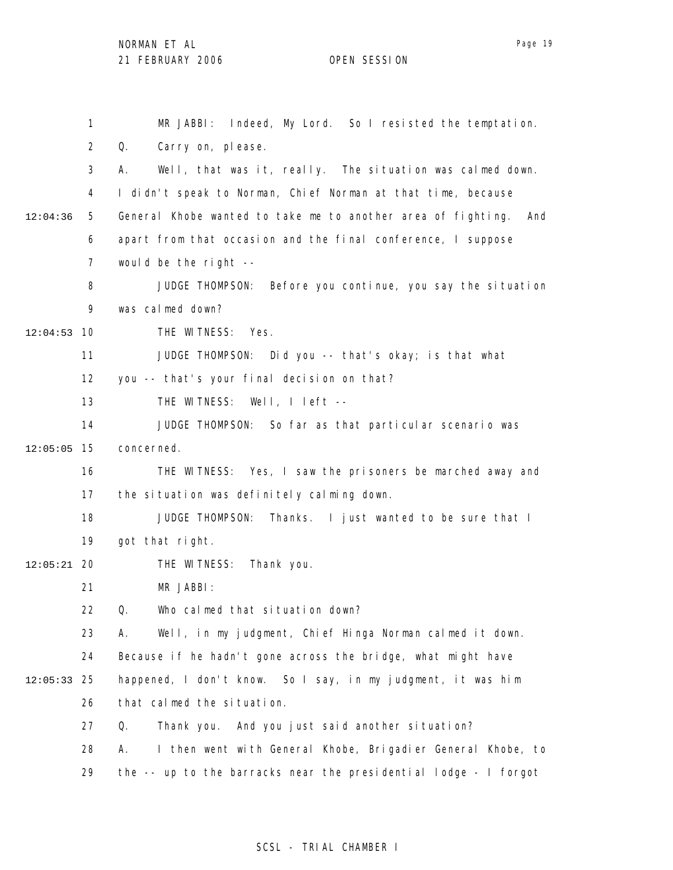|               | 1              | MR JABBI: Indeed, My Lord. So I resisted the temptation.            |
|---------------|----------------|---------------------------------------------------------------------|
|               | $\overline{2}$ | Q.<br>Carry on, please.                                             |
|               | 3              | Well, that was it, really. The situation was calmed down.<br>А.     |
|               | 4              | I didn't speak to Norman, Chief Norman at that time, because        |
| 12:04:36      | 5              | General Khobe wanted to take me to another area of fighting.<br>And |
|               | 6              | apart from that occasion and the final conference, I suppose        |
|               | 7              | would be the right $-$ -                                            |
|               | 8              | JUDGE THOMPSON: Before you continue, you say the situation          |
|               | 9              | was calmed down?                                                    |
| 12:04:53      | 10             | THE WITNESS: Yes.                                                   |
|               | 11             | JUDGE THOMPSON: Did you -- that's okay; is that what                |
|               | 12             | you -- that's your final decision on that?                          |
|               | 13             | THE WITNESS: Well, I left --                                        |
|               | 14             | JUDGE THOMPSON: So far as that particular scenario was              |
| 12:05:05      | 15             | concerned.                                                          |
|               | 16             | THE WITNESS: Yes, I saw the prisoners be marched away and           |
|               | 17             | the situation was definitely calming down.                          |
|               | 18             | JUDGE THOMPSON: Thanks. I just wanted to be sure that I             |
|               | 19             | got that right.                                                     |
| $12:05:21$ 20 |                | THE WITNESS:<br>Thank you.                                          |
|               | 21             | MR JABBI:                                                           |
|               | 22             | Q.<br>Who calmed that situation down?                               |
|               | 23             | Well, in my judgment, Chief Hinga Norman calmed it down.<br>А.      |
|               | 24             | Because if he hadn't gone across the bridge, what might have        |
| 12:05:33      | 25             | happened, I don't know. So I say, in my judgment, it was him        |
|               | 26             | that calmed the situation.                                          |
|               | 27             | And you just said another situation?<br>Q.<br>Thank you.            |
|               | 28             | Α.<br>I then went with General Khobe, Brigadier General Khobe, to   |
|               | 29             | the -- up to the barracks near the presidential lodge - I forgot    |

# SCSL - TRIAL CHAMBER I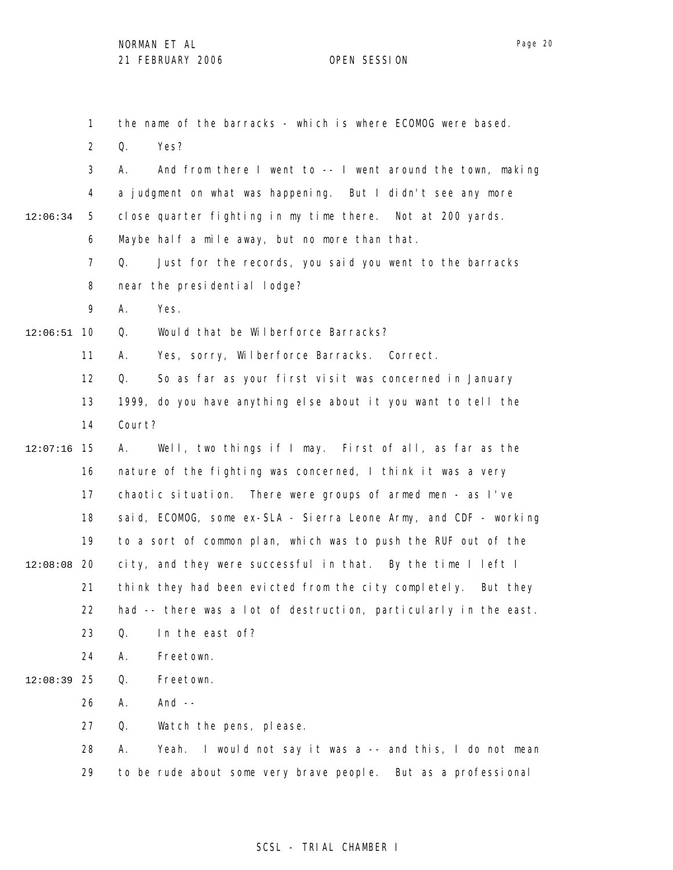Page 20

1 2 3 4 5 6 7 8 9 10 12:06:51 11 12 13 14 15 12:07:16 16 17 18 19 12:08:08 20 21 22 23 24 25 12:08:39 26 27 28 29 12:06:34 the name of the barracks - which is where ECOMOG were based. Q. Yes? A. And from there I went to -- I went around the town, making a judgment on what was happening. But I didn't see any more close quarter fighting in my time there. Not at 200 yards. Maybe half a mile away, but no more than that. Q. Just for the records, you said you went to the barracks near the presidential lodge? A. Yes. Q. Would that be Wilberforce Barracks? A. Yes, sorry, Wilberforce Barracks. Correct. Q. So as far as your first visit was concerned in January 1999, do you have anything else about it you want to tell the Court? A. Well, two things if I may. First of all, as far as the nature of the fighting was concerned, I think it was a very chaotic situation. There were groups of armed men - as I've said, ECOMOG, some ex-SLA - Sierra Leone Army, and CDF - working to a sort of common plan, which was to push the RUF out of the city, and they were successful in that. By the time I left I think they had been evicted from the city completely. But they had -- there was a lot of destruction, particularly in the east. Q. In the east of? A. Freetown. Q. Freetown. A. And -- Q. Watch the pens, please. A. Yeah. I would not say it was a -- and this, I do not mean to be rude about some very brave people. But as a professional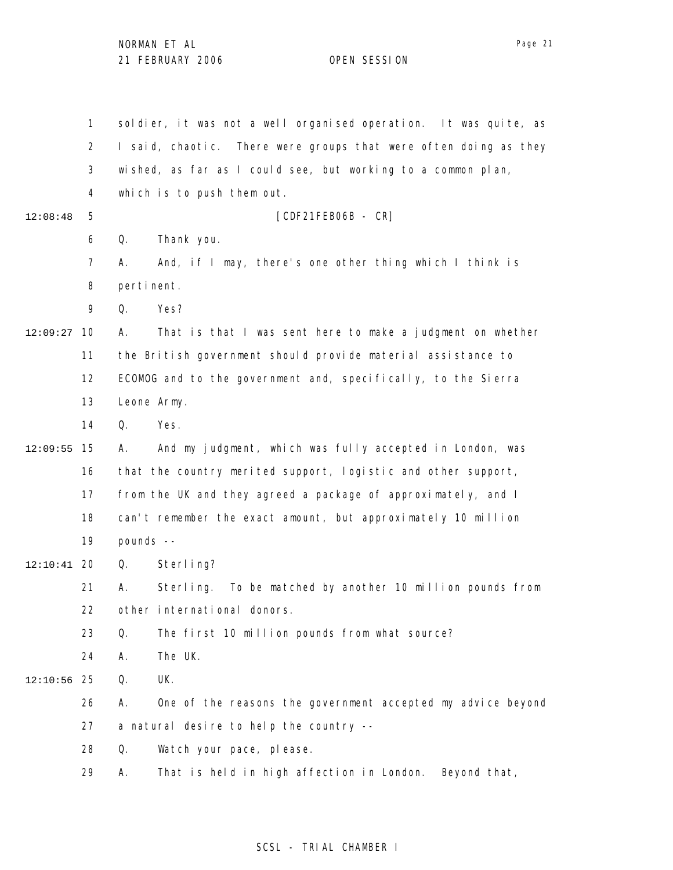1 2 3 4 5 6 7 8 9 10 12:09:27 11 12 13 14 15 12:09:55 16 17 18 19 20 12:10:41 21 22 23 24 25 12:10:56 26 27 28 29 12:08:48 soldier, it was not a well organised operation. It was quite, as I said, chaotic. There were groups that were often doing as they wished, as far as I could see, but working to a common plan, which is to push them out. [CDF21FEB06B - CR] Q. Thank you. A. And, if I may, there's one other thing which I think is pertinent. Q. Yes? A. That is that I was sent here to make a judgment on whether the British government should provide material assistance to ECOMOG and to the government and, specifically, to the Sierra Leone Army. Q. Yes. A. And my judgment, which was fully accepted in London, was that the country merited support, logistic and other support, from the UK and they agreed a package of approximately, and I can't remember the exact amount, but approximately 10 million pounds -- Q. Sterling? A. Sterling. To be matched by another 10 million pounds from other international donors. Q. The first 10 million pounds from what source? A. The UK. Q. UK. A. One of the reasons the government accepted my advice beyond a natural desire to help the country -- Q. Watch your pace, please. A. That is held in high affection in London. Beyond that,

### SCSL - TRIAL CHAMBER I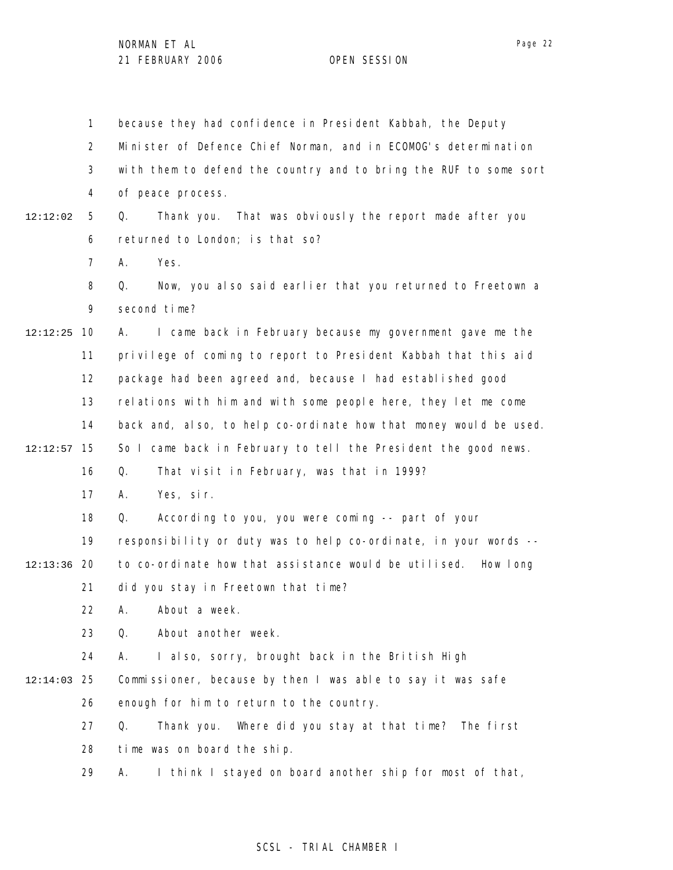1 2 3 4 5 6 7 8 9 10 12:12:25 11 12 13 14 15 12:12:57 16 17 18 19 12:13:36 20 21 22 23 24 25 12:14:03 26 27 28 29 12:12:02 because they had confidence in President Kabbah, the Deputy Minister of Defence Chief Norman, and in ECOMOG's determination with them to defend the country and to bring the RUF to some sort of peace process. Q. Thank you. That was obviously the report made after you returned to London; is that so? A. Yes. Q. Now, you also said earlier that you returned to Freetown a second time? A. I came back in February because my government gave me the privilege of coming to report to President Kabbah that this aid package had been agreed and, because I had established good relations with him and with some people here, they let me come back and, also, to help co-ordinate how that money would be used. So I came back in February to tell the President the good news. Q. That visit in February, was that in 1999? A. Yes, sir. Q. According to you, you were coming -- part of your responsibility or duty was to help co-ordinate, in your words - to co-ordinate how that assistance would be utilised. How long did you stay in Freetown that time? A. About a week. Q. About another week. A. I also, sorry, brought back in the British High Commissioner, because by then I was able to say it was safe enough for him to return to the country. Q. Thank you. Where did you stay at that time? The first time was on board the ship. A. I think I stayed on board another ship for most of that,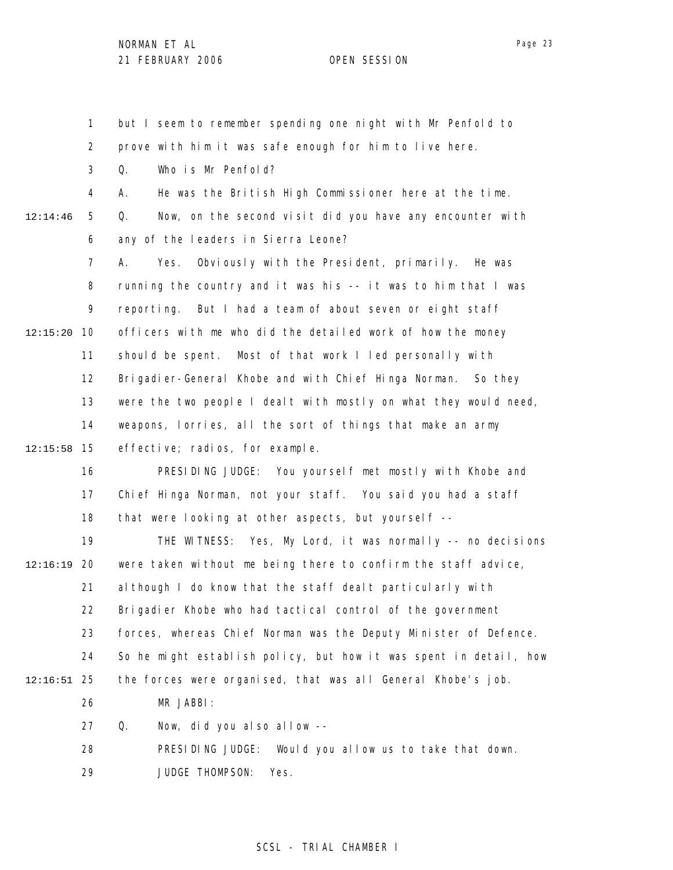1 2 3 4 5 6 7 8 9 10 12:15:20 11 12 13 14 15 12:15:58 16 17 18 19 20 12:16:19 21 22 23 24 25 12:16:51 26 27 28 29 12:14:46 but I seem to remember spending one night with Mr Penfold to prove with him it was safe enough for him to live here. Q. Who is Mr Penfold? A. He was the British High Commissioner here at the time. Q. Now, on the second visit did you have any encounter with any of the leaders in Sierra Leone? A. Yes. Obviously with the President, primarily. He was running the country and it was his -- it was to him that I was reporting. But I had a team of about seven or eight staff officers with me who did the detailed work of how the money should be spent. Most of that work I led personally with Brigadier-General Khobe and with Chief Hinga Norman. So they were the two people I dealt with mostly on what they would need, weapons, lorries, all the sort of things that make an army effective; radios, for example. PRESIDING JUDGE: You yourself met mostly with Khobe and Chief Hinga Norman, not your staff. You said you had a staff that were looking at other aspects, but yourself -- THE WITNESS: Yes, My Lord, it was normally -- no decisions were taken without me being there to confirm the staff advice, although I do know that the staff dealt particularly with Brigadier Khobe who had tactical control of the government forces, whereas Chief Norman was the Deputy Minister of Defence. So he might establish policy, but how it was spent in detail, how the forces were organised, that was all General Khobe's job. MR JABBI: Q. Now, did you also allow -- PRESIDING JUDGE: Would you allow us to take that down. JUDGE THOMPSON: Yes.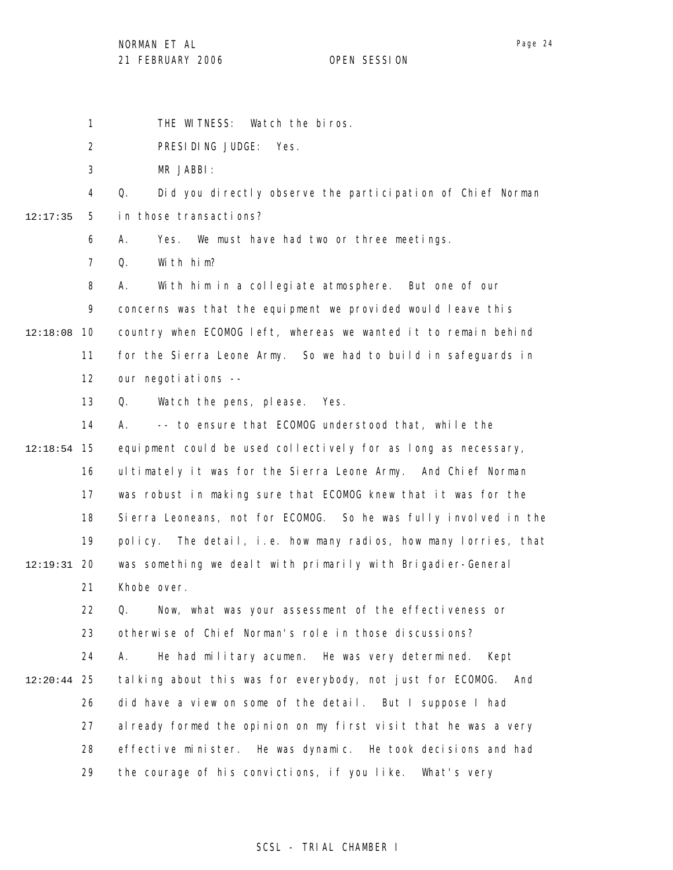NORMAN ET AL

Page 24

1 THE WITNESS: Watch the biros.

2 PRESIDING JUDGE: Yes.

3 MR JABBI:

4 5 12:17:35 Q. Did you directly observe the participation of Chief Norman in those transactions?

> 6 A. Yes. We must have had two or three meetings.

7 Q. With him?

8 9 12:18:08 10 11 12 A. With him in a collegiate atmosphere. But one of our concerns was that the equipment we provided would leave this country when ECOMOG left, whereas we wanted it to remain behind for the Sierra Leone Army. So we had to build in safeguards in our negotiations --

> 13 Q. Watch the pens, please. Yes.

14 15 12:18:54 16 17 18 19 20 12:19:31 21 A. -- to ensure that ECOMOG understood that, while the equipment could be used collectively for as long as necessary, ultimately it was for the Sierra Leone Army. And Chief Norman was robust in making sure that ECOMOG knew that it was for the Sierra Leoneans, not for ECOMOG. So he was fully involved in the policy. The detail, i.e. how many radios, how many lorries, that was something we dealt with primarily with Brigadier-General Khobe over.

22 23 24 25 12:20:44 26 27 28 29 Q. Now, what was your assessment of the effectiveness or otherwise of Chief Norman's role in those discussions? A. He had military acumen. He was very determined. Kept talking about this was for everybody, not just for ECOMOG. And did have a view on some of the detail. But I suppose I had already formed the opinion on my first visit that he was a very effective minister. He was dynamic. He took decisions and had the courage of his convictions, if you like. What's very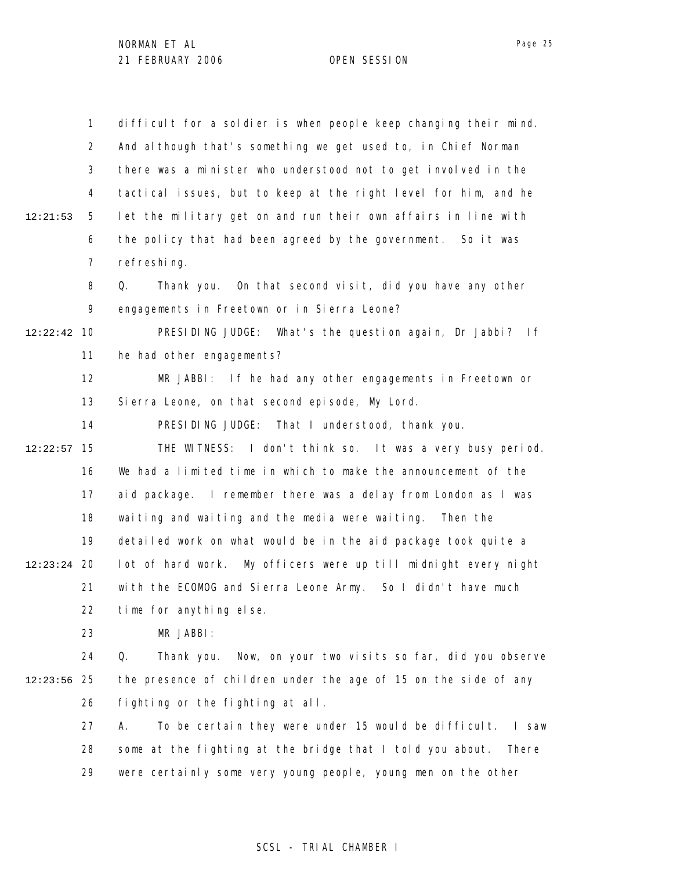1 2 3 4 5 6 7 8 9 10 12:22:42 11 12 13 14 15 12:22:57 16 17 18 19 12:23:24 20 21 22 23 24 25 12:23:56 26 27 28 29 12:21:53 difficult for a soldier is when people keep changing their mind. And although that's something we get used to, in Chief Norman there was a minister who understood not to get involved in the tactical issues, but to keep at the right level for him, and he let the military get on and run their own affairs in line with the policy that had been agreed by the government. So it was refreshing. Q. Thank you. On that second visit, did you have any other engagements in Freetown or in Sierra Leone? PRESIDING JUDGE: What's the question again, Dr Jabbi? If he had other engagements? MR JABBI: If he had any other engagements in Freetown or Sierra Leone, on that second episode, My Lord. PRESIDING JUDGE: That I understood, thank you. THE WITNESS: I don't think so. It was a very busy period. We had a limited time in which to make the announcement of the aid package. I remember there was a delay from London as I was waiting and waiting and the media were waiting. Then the detailed work on what would be in the aid package took quite a lot of hard work. My officers were up till midnight every night with the ECOMOG and Sierra Leone Army. So I didn't have much time for anything else. MR JABBI: Q. Thank you. Now, on your two visits so far, did you observe the presence of children under the age of 15 on the side of any fighting or the fighting at all. A. To be certain they were under 15 would be difficult. I saw some at the fighting at the bridge that I told you about. There were certainly some very young people, young men on the other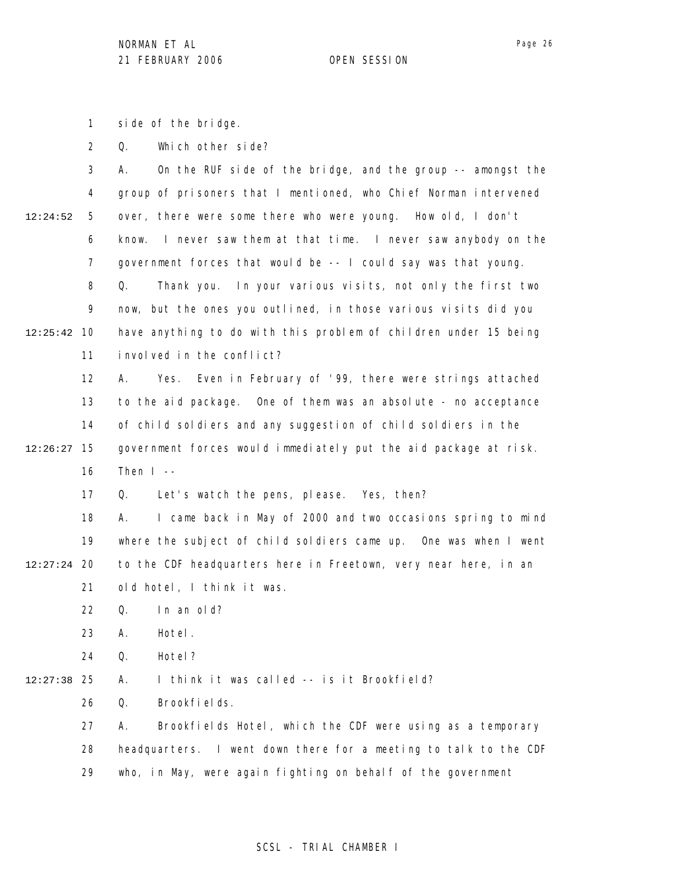Page 26

1 side of the bridge.

2 Q. Which other side?

|          | 3              | On the RUF side of the bridge, and the group -- amongst the<br>А.  |
|----------|----------------|--------------------------------------------------------------------|
|          | 4              | group of prisoners that I mentioned, who Chief Norman intervened   |
| 12:24:52 | 5              | over, there were some there who were young. How old, I don't       |
|          | 6              | I never saw them at that time. I never saw anybody on the<br>know. |
|          | $\overline{7}$ | government forces that would be -- I could say was that young.     |
|          | 8              | Q.<br>Thank you. In your various visits, not only the first two    |
|          | 9              | now, but the ones you outlined, in those various visits did you    |
| 12:25:42 | 10             | have anything to do with this problem of children under 15 being   |
|          | 11             | involved in the conflict?                                          |
|          | 12             | Α.<br>Even in February of '99, there were strings attached<br>Yes. |
|          | 13             | to the aid package. One of them was an absolute - no acceptance    |
|          | 14             | of child soldiers and any suggestion of child soldiers in the      |
| 12:26:27 | 15             | government forces would immediately put the aid package at risk.   |
|          | 16             | Then $I -$                                                         |
|          | 17             | Let's watch the pens, please. Yes, then?<br>Q.                     |
|          | 18             | I came back in May of 2000 and two occasions spring to mind<br>А.  |
|          | 19             | where the subject of child soldiers came up. One was when I went   |
| 12:27:24 | 20             | to the CDF headquarters here in Freetown, very near here, in an    |
|          | 21             | old hotel, I think it was.                                         |
|          | 22             | In an old?<br>Q.                                                   |
|          | 23             | Hotel.<br>А.                                                       |
|          | 24             | Q.<br>Hotel ?                                                      |
| 12:27:38 | 25             | I think it was called -- is it Brookfield?<br>А.                   |
|          | 26             | Brookfields.<br>Q.                                                 |
|          |                |                                                                    |
|          | 27             | Brookfields Hotel, which the CDF were using as a temporary<br>А.   |
|          | 28             | headquarters. I went down there for a meeting to talk to the CDF   |

29 who, in May, were again fighting on behalf of the government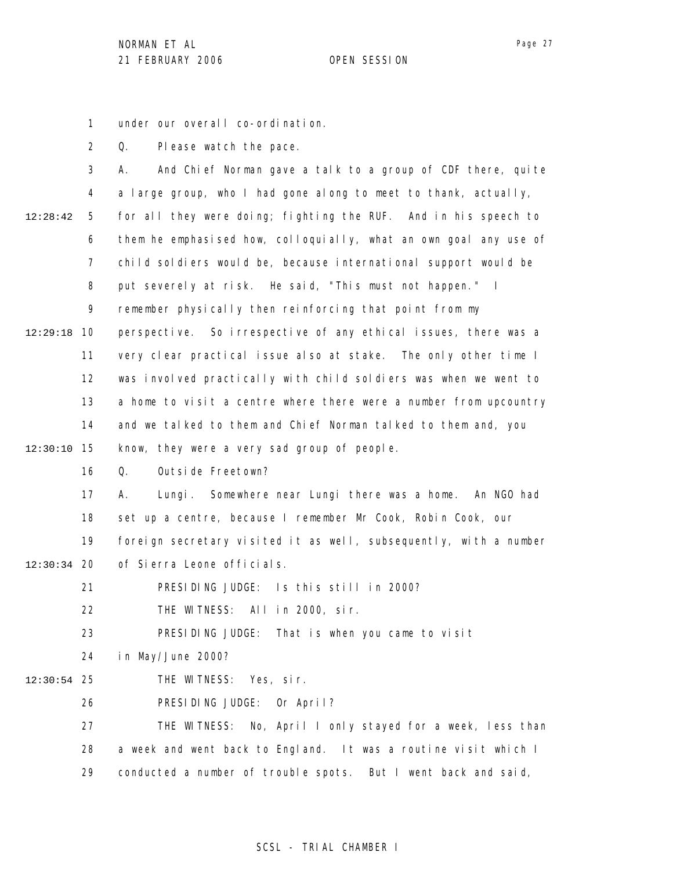under our overall co-ordination.

1

2 3 4 5 6 7 8 9 10 12:29:18 11 12 13 14 15 12:30:10 16 17 18 19 12:30:34 20 21 22 23 24 25 12:30:54 26 12:28:42 Q. Please watch the pace. A. And Chief Norman gave a talk to a group of CDF there, quite a large group, who I had gone along to meet to thank, actually, for all they were doing; fighting the RUF. And in his speech to them he emphasised how, colloquially, what an own goal any use of child soldiers would be, because international support would be put severely at risk. He said, "This must not happen." I remember physically then reinforcing that point from my perspective. So irrespective of any ethical issues, there was a very clear practical issue also at stake. The only other time I was involved practically with child soldiers was when we went to a home to visit a centre where there were a number from upcountry and we talked to them and Chief Norman talked to them and, you know, they were a very sad group of people. Q. Outside Freetown? A. Lungi. Somewhere near Lungi there was a home. An NGO had set up a centre, because I remember Mr Cook, Robin Cook, our foreign secretary visited it as well, subsequently, with a number of Sierra Leone officials. PRESIDING JUDGE: Is this still in 2000? THE WITNESS: All in 2000, sir. PRESIDING JUDGE: That is when you came to visit in May/June 2000? THE WITNESS: Yes, sir. PRESIDING JUDGE: Or April?

27 28 29 THE WITNESS: No, April I only stayed for a week, less than a week and went back to England. It was a routine visit which I conducted a number of trouble spots. But I went back and said,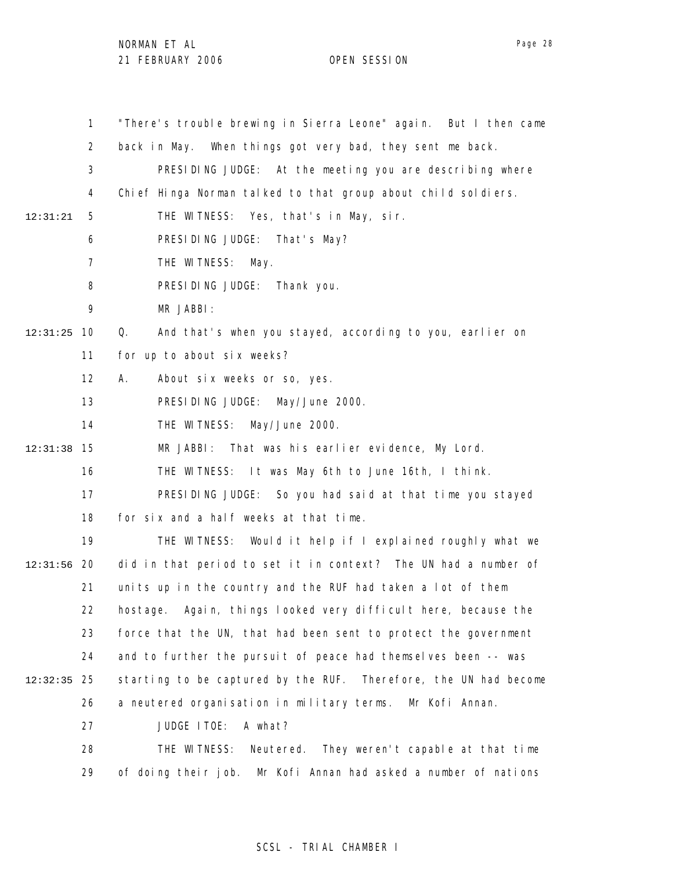NORMAN ET AL

21 FEBRUARY 2006 OPEN SESSION

1 2 3 4 5 6 7 8 9 10 12:31:25 11 12 13 14 15 12:31:38 16 17 18 19 12:31:56 20 21 22 23 24 25 12:32:35 26 27 28 29 12:31:21 "There's trouble brewing in Sierra Leone" again. But I then came back in May. When things got very bad, they sent me back. PRESIDING JUDGE: At the meeting you are describing where Chief Hinga Norman talked to that group about child soldiers. THE WITNESS: Yes, that's in May, sir. PRESIDING JUDGE: That's May? THE WITNESS: May. PRESIDING JUDGE: Thank you. MR JABBI: Q. And that's when you stayed, according to you, earlier on for up to about six weeks? A. About six weeks or so, yes. PRESIDING JUDGE: May/June 2000. THE WITNESS: May/June 2000. MR JABBI: That was his earlier evidence, My Lord. THE WITNESS: It was May 6th to June 16th, I think. PRESIDING JUDGE: So you had said at that time you stayed for six and a half weeks at that time. THE WITNESS: Would it help if I explained roughly what we did in that period to set it in context? The UN had a number of units up in the country and the RUF had taken a lot of them hostage. Again, things looked very difficult here, because the force that the UN, that had been sent to protect the government and to further the pursuit of peace had themselves been -- was starting to be captured by the RUF. Therefore, the UN had become a neutered organisation in military terms. Mr Kofi Annan. JUDGE ITOE: A what? THE WITNESS: Neutered. They weren't capable at that time of doing their job. Mr Kofi Annan had asked a number of nations

### SCSL - TRIAL CHAMBER I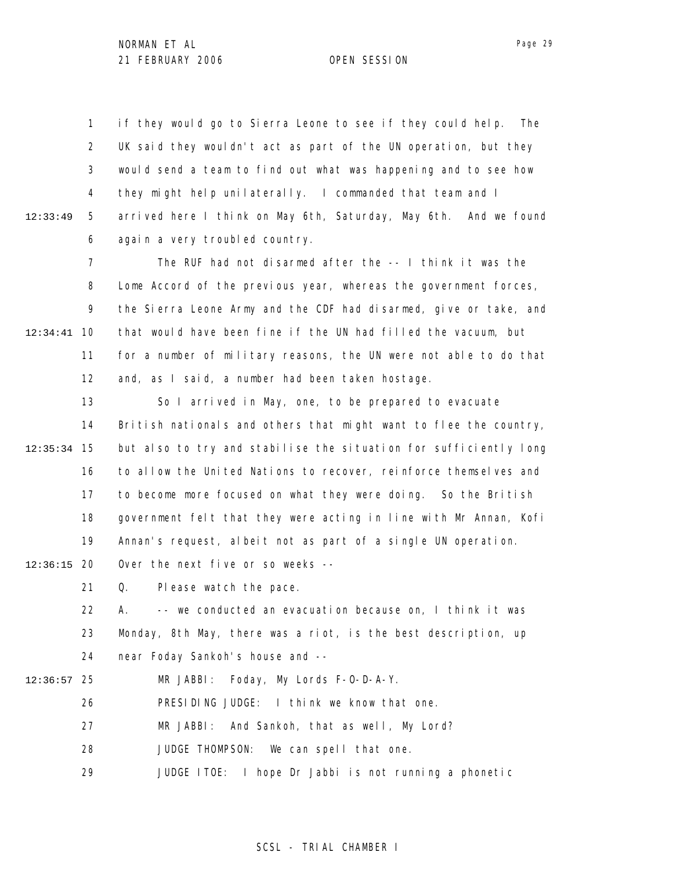1 2 3 4 5 6 12:33:49 if they would go to Sierra Leone to see if they could help. The UK said they wouldn't act as part of the UN operation, but they would send a team to find out what was happening and to see how they might help unilaterally. I commanded that team and I arrived here I think on May 6th, Saturday, May 6th. And we found again a very troubled country.

7 8 9 10 12:34:41 11 12 The RUF had not disarmed after the -- I think it was the Lome Accord of the previous year, whereas the government forces, the Sierra Leone Army and the CDF had disarmed, give or take, and that would have been fine if the UN had filled the vacuum, but for a number of military reasons, the UN were not able to do that and, as I said, a number had been taken hostage.

13 14 15 12:35:34 16 17 18 19 So I arrived in May, one, to be prepared to evacuate British nationals and others that might want to flee the country, but also to try and stabilise the situation for sufficiently long to allow the United Nations to recover, reinforce themselves and to become more focused on what they were doing. So the British government felt that they were acting in line with Mr Annan, Kofi Annan's request, albeit not as part of a single UN operation.

20 12:36:15 Over the next five or so weeks --

> 21 Q. Please watch the pace.

22 23 24 A. -- we conducted an evacuation because on, I think it was Monday, 8th May, there was a riot, is the best description, up near Foday Sankoh's house and --

25 12:36:57 MR JABBI: Foday, My Lords F-O-D-A-Y.

26 PRESIDING JUDGE: I think we know that one.

27 MR JABBI: And Sankoh, that as well, My Lord?

28 JUDGE THOMPSON: We can spell that one.

29 JUDGE ITOE: I hope Dr Jabbi is not running a phonetic

Page 29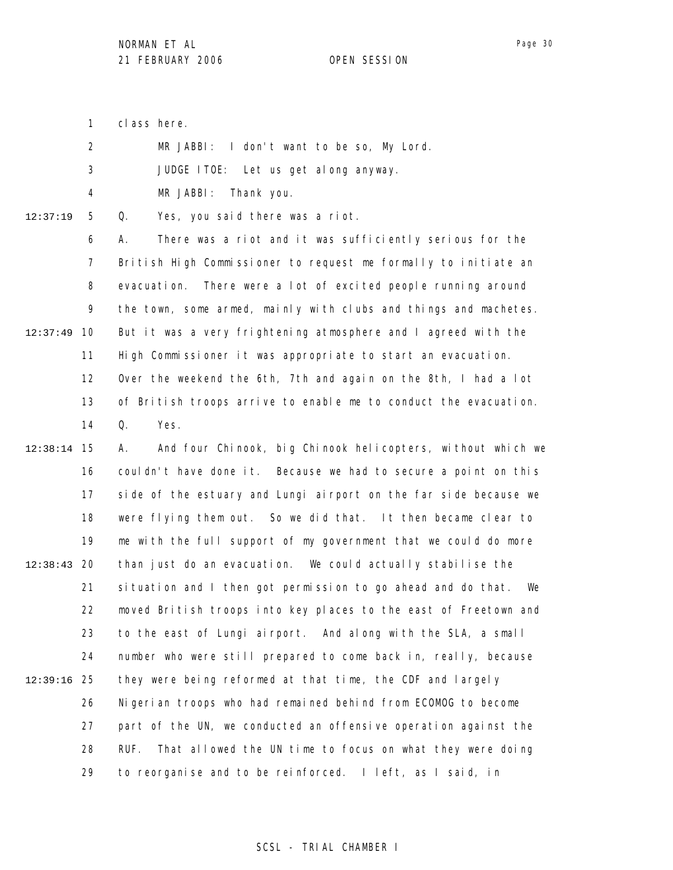1 class here.

| $\mathcal{P}$ | MR JABBI: I don't want to be so, My Lord. |
|---------------|-------------------------------------------|
| -3            | JUDGE ITOE: Let us get along anyway.      |
| 4             | MR JABBI: Thank you.                      |

12:37:19

5 Q. Yes, you said there was a riot.

6 7 8 9 10 12:37:49 11 12 13 14 A. There was a riot and it was sufficiently serious for the British High Commissioner to request me formally to initiate an evacuation. There were a lot of excited people running around the town, some armed, mainly with clubs and things and machetes. But it was a very frightening atmosphere and I agreed with the High Commissioner it was appropriate to start an evacuation. Over the weekend the 6th, 7th and again on the 8th, I had a lot of British troops arrive to enable me to conduct the evacuation. Q. Yes.

15 12:38:14 16 17 18 19 12:38:43 20 21 22 23 24 25 12:39:16 26 27 28 29 A. And four Chinook, big Chinook helicopters, without which we couldn't have done it. Because we had to secure a point on this side of the estuary and Lungi airport on the far side because we were flying them out. So we did that. It then became clear to me with the full support of my government that we could do more than just do an evacuation. We could actually stabilise the situation and I then got permission to go ahead and do that. We moved British troops into key places to the east of Freetown and to the east of Lungi airport. And along with the SLA, a small number who were still prepared to come back in, really, because they were being reformed at that time, the CDF and largely Nigerian troops who had remained behind from ECOMOG to become part of the UN, we conducted an offensive operation against the RUF. That allowed the UN time to focus on what they were doing to reorganise and to be reinforced. I left, as I said, in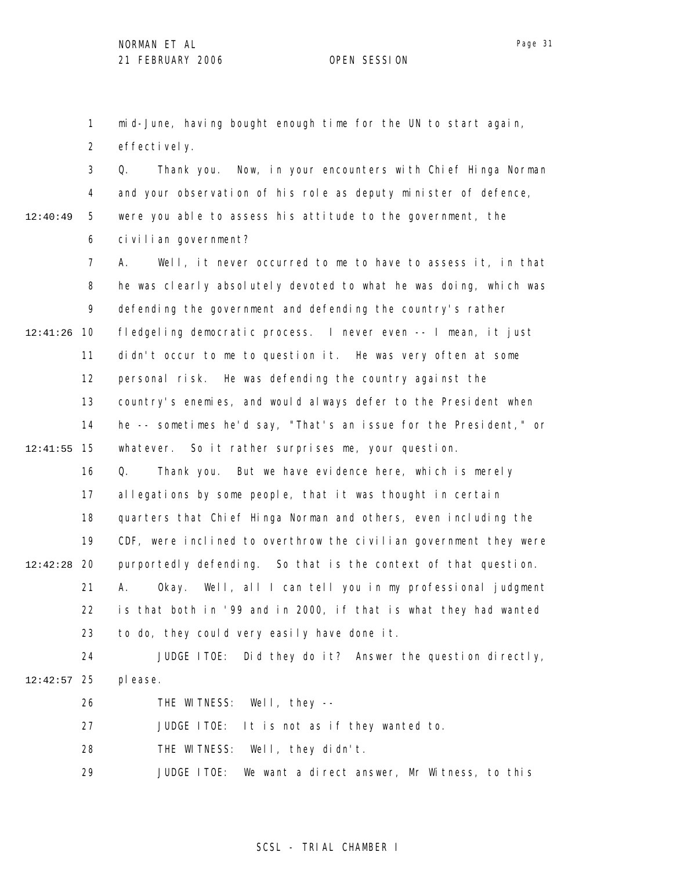1 2 mid-June, having bought enough time for the UN to start again, effectively.

3 4 5 6 Q. Thank you. Now, in your encounters with Chief Hinga Norman and your observation of his role as deputy minister of defence, were you able to assess his attitude to the government, the civilian government?

7 8 9 10 12:41:26 11 12 13 14 15 12:41:55 16 17 18 19 12:42:28 20 21 22 A. Well, it never occurred to me to have to assess it, in that he was clearly absolutely devoted to what he was doing, which was defending the government and defending the country's rather fledgeling democratic process. I never even -- I mean, it just didn't occur to me to question it. He was very often at some personal risk. He was defending the country against the country's enemies, and would always defer to the President when he -- sometimes he'd say, "That's an issue for the President," or whatever. So it rather surprises me, your question. Q. Thank you. But we have evidence here, which is merely allegations by some people, that it was thought in certain quarters that Chief Hinga Norman and others, even including the CDF, were inclined to overthrow the civilian government they were purportedly defending. So that is the context of that question. A. Okay. Well, all I can tell you in my professional judgment is that both in '99 and in 2000, if that is what they had wanted

23 24 to do, they could very easily have done it. JUDGE ITOE: Did they do it? Answer the question directly,

25 12:42:57 please.

> 26 THE WITNESS: Well, they --

27 JUDGE ITOE: It is not as if they wanted to.

28 THE WITNESS: Well, they didn't.

29 JUDGE ITOE: We want a direct answer, Mr Witness, to this

#### SCSL - TRIAL CHAMBER I

12:40:49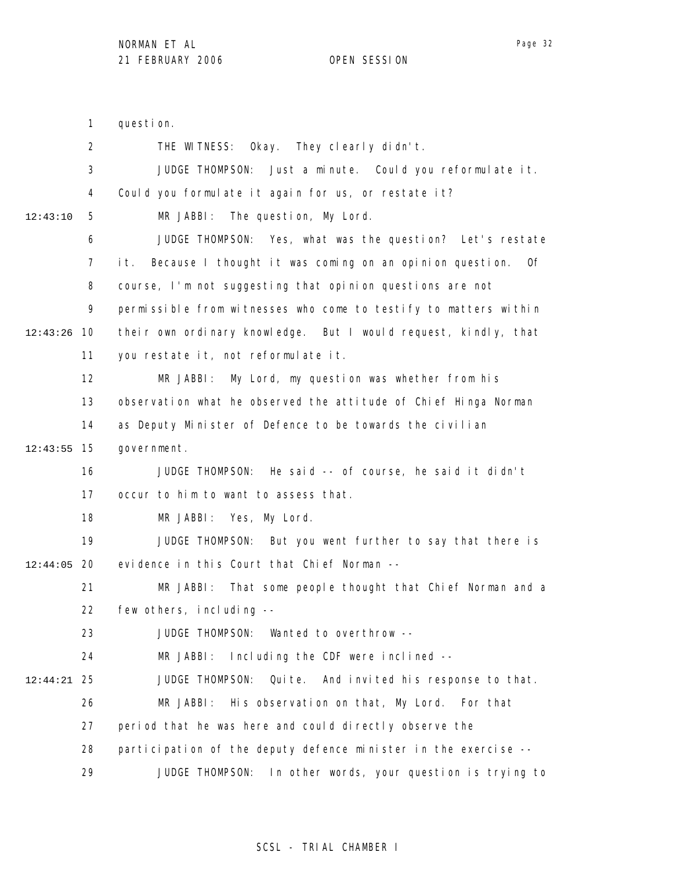question.

1

Page 32

2 3 4 5 6 7 8 9 10 12:43:26 11 12 13 14 15 12:43:55 16 17 18 19 12:44:05 20 21 22 23 24 25 12:44:21 26 27 28 29 12:43:10 THE WITNESS: Okay. They clearly didn't. JUDGE THOMPSON: Just a minute. Could you reformulate it. Could you formulate it again for us, or restate it? MR JABBI: The question, My Lord. JUDGE THOMPSON: Yes, what was the question? Let's restate it. Because I thought it was coming on an opinion question. Of course, I'm not suggesting that opinion questions are not permissible from witnesses who come to testify to matters within their own ordinary knowledge. But I would request, kindly, that you restate it, not reformulate it. MR JABBI: My Lord, my question was whether from his observation what he observed the attitude of Chief Hinga Norman as Deputy Minister of Defence to be towards the civilian government. JUDGE THOMPSON: He said -- of course, he said it didn't occur to him to want to assess that. MR JABBI: Yes, My Lord. JUDGE THOMPSON: But you went further to say that there is evidence in this Court that Chief Norman -- MR JABBI: That some people thought that Chief Norman and a few others, including -- JUDGE THOMPSON: Wanted to overthrow -- MR JABBI: Including the CDF were inclined --JUDGE THOMPSON: Quite. And invited his response to that. MR JABBI: His observation on that, My Lord. For that period that he was here and could directly observe the participation of the deputy defence minister in the exercise -- JUDGE THOMPSON: In other words, your question is trying to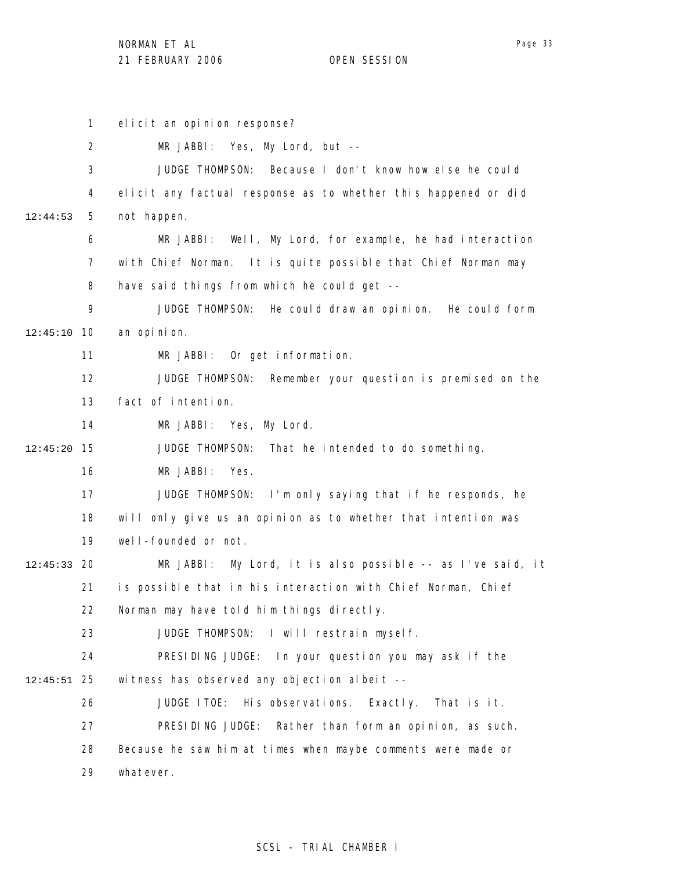elicit an opinion response?

1

2 3 4 5 6 7 8 9 10 12:45:10 11 12 13 14 15 12:45:20 16 17 18 19 20 12:45:33 21 22 23 24 25 12:45:51 26 27 28 29 12:44:53 MR JABBI: Yes, My Lord, but -- JUDGE THOMPSON: Because I don't know how else he could elicit any factual response as to whether this happened or did not happen. MR JABBI: Well, My Lord, for example, he had interaction with Chief Norman. It is quite possible that Chief Norman may have said things from which he could get -- JUDGE THOMPSON: He could draw an opinion. He could form an opinion. MR JABBI: Or get information. JUDGE THOMPSON: Remember your question is premised on the fact of intention. MR JABBI: Yes, My Lord. JUDGE THOMPSON: That he intended to do something. MR JABBI: Yes. JUDGE THOMPSON: I'm only saying that if he responds, he will only give us an opinion as to whether that intention was well-founded or not. MR JABBI: My Lord, it is also possible -- as I've said, it is possible that in his interaction with Chief Norman, Chief Norman may have told him things directly. JUDGE THOMPSON: I will restrain myself. PRESIDING JUDGE: In your question you may ask if the witness has observed any objection albeit --JUDGE ITOE: His observations. Exactly. That is it. PRESIDING JUDGE: Rather than form an opinion, as such. Because he saw him at times when maybe comments were made or whatever.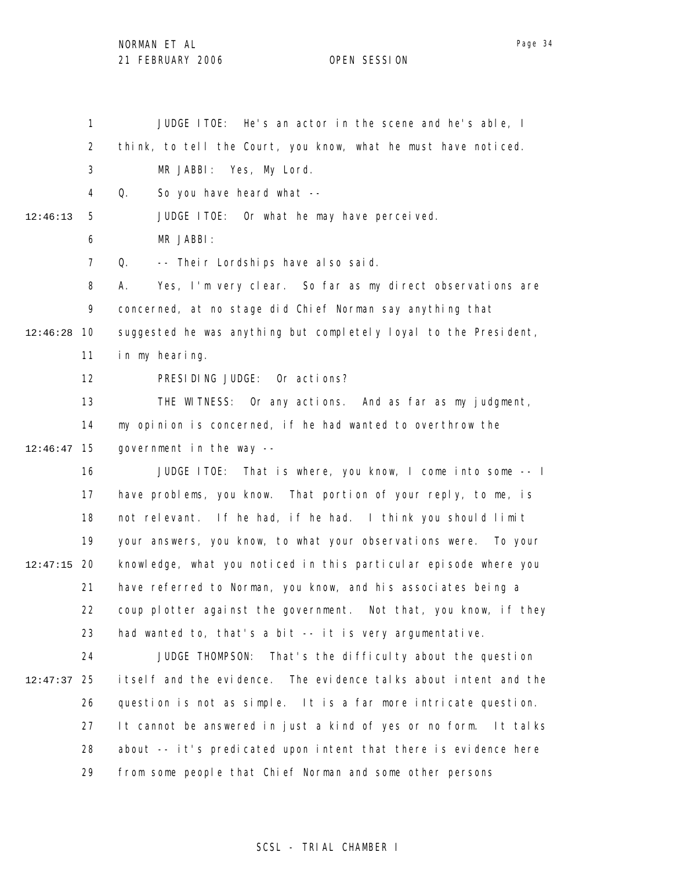NORMAN ET AL

21 FEBRUARY 2006 OPEN SESSION

1 2 3 4 5 6 7 8 9 10 12:46:28 11 12 13 14 15 12:46:47 16 17 18 19 12:47:15 20 21 22 23 24 25 12:47:37 26 27 28 29 12:46:13 JUDGE ITOE: He's an actor in the scene and he's able, I think, to tell the Court, you know, what he must have noticed. MR JABBI: Yes, My Lord. Q. So you have heard what -- JUDGE ITOE: Or what he may have perceived. MR JABBI: Q. -- Their Lordships have also said. A. Yes, I'm very clear. So far as my direct observations are concerned, at no stage did Chief Norman say anything that suggested he was anything but completely loyal to the President, in my hearing. PRESIDING JUDGE: Or actions? THE WITNESS: Or any actions. And as far as my judgment, my opinion is concerned, if he had wanted to overthrow the government in the way -- JUDGE ITOE: That is where, you know, I come into some -- I have problems, you know. That portion of your reply, to me, is not relevant. If he had, if he had. I think you should limit your answers, you know, to what your observations were. To your knowledge, what you noticed in this particular episode where you have referred to Norman, you know, and his associates being a coup plotter against the government. Not that, you know, if they had wanted to, that's a bit -- it is very argumentative. JUDGE THOMPSON: That's the difficulty about the question itself and the evidence. The evidence talks about intent and the question is not as simple. It is a far more intricate question. It cannot be answered in just a kind of yes or no form. It talks about -- it's predicated upon intent that there is evidence here from some people that Chief Norman and some other persons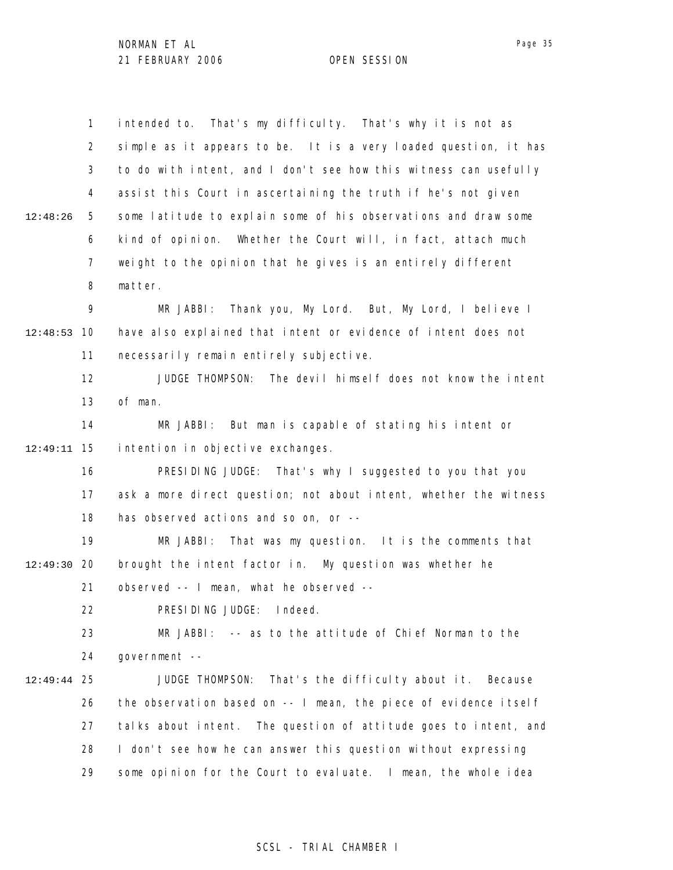1 2 3 4 5 6 7 8 9 10 12:48:53 11 12 13 14 15 12:49:11 16 17 18 19 12:49:30 20 21 22 23 24 25 12:49:44 26 27 28 29 12:48:26 intended to. That's my difficulty. That's why it is not as simple as it appears to be. It is a very loaded question, it has to do with intent, and I don't see how this witness can usefully assist this Court in ascertaining the truth if he's not given some latitude to explain some of his observations and draw some kind of opinion. Whether the Court will, in fact, attach much weight to the opinion that he gives is an entirely different matter. MR JABBI: Thank you, My Lord. But, My Lord, I believe I have also explained that intent or evidence of intent does not necessarily remain entirely subjective. JUDGE THOMPSON: The devil himself does not know the intent of man. MR JABBI: But man is capable of stating his intent or intention in objective exchanges. PRESIDING JUDGE: That's why I suggested to you that you ask a more direct question; not about intent, whether the witness has observed actions and so on, or -- MR JABBI: That was my question. It is the comments that brought the intent factor in. My question was whether he observed -- I mean, what he observed -- PRESIDING JUDGE: Indeed. MR JABBI: -- as to the attitude of Chief Norman to the government -- JUDGE THOMPSON: That's the difficulty about it. Because the observation based on -- I mean, the piece of evidence itself talks about intent. The question of attitude goes to intent, and I don't see how he can answer this question without expressing some opinion for the Court to evaluate. I mean, the whole idea

### SCSL - TRIAL CHAMBER I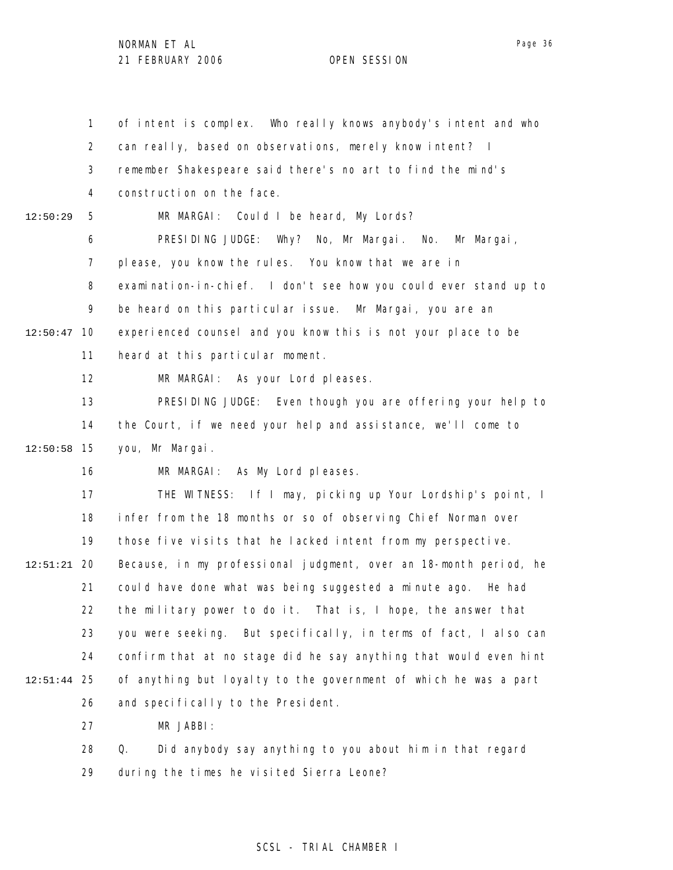1 2 3 4 5 6 7 8 9 12:50:47 10 11 12 13 14 15 12:50:58 16 17 18 19 20 12:51:21 21 22 23 24 25 12:51:44 26 27 28 29 12:50:29 of intent is complex. Who really knows anybody's intent and who can really, based on observations, merely know intent? I remember Shakespeare said there's no art to find the mind's construction on the face. MR MARGAI: Could I be heard, My Lords? PRESIDING JUDGE: Why? No, Mr Margai. No. Mr Margai, please, you know the rules. You know that we are in examination-in-chief. I don't see how you could ever stand up to be heard on this particular issue. Mr Margai, you are an experienced counsel and you know this is not your place to be heard at this particular moment. MR MARGAI: As your Lord pleases. PRESIDING JUDGE: Even though you are offering your help to the Court, if we need your help and assistance, we'll come to you, Mr Margai. MR MARGAI: As My Lord pleases. THE WITNESS: If I may, picking up Your Lordship's point, I infer from the 18 months or so of observing Chief Norman over those five visits that he lacked intent from my perspective. Because, in my professional judgment, over an 18-month period, he could have done what was being suggested a minute ago. He had the military power to do it. That is, I hope, the answer that you were seeking. But specifically, in terms of fact, I also can confirm that at no stage did he say anything that would even hint of anything but loyalty to the government of which he was a part and specifically to the President. MR JABBI: Q. Did anybody say anything to you about him in that regard during the times he visited Sierra Leone?

#### SCSL - TRIAL CHAMBER I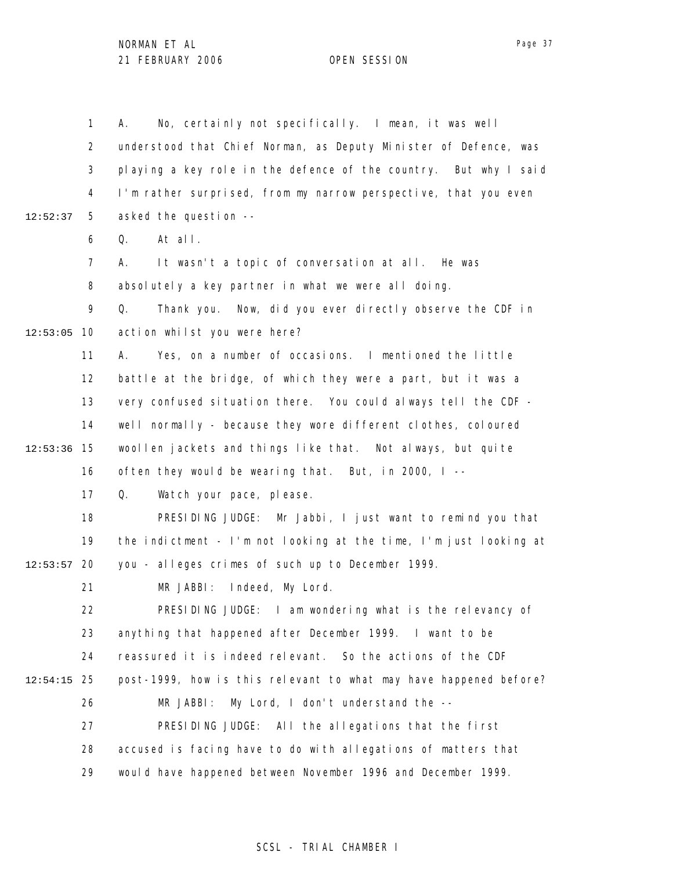1 2 3 4 5 6 7 8 9 12:53:05 10 11 12 13 14 15 12:53:36 16 17 18 19 12:53:57 20 21 22 23 24 25 12:54:15 26 27 28 29 12:52:37 A. No, certainly not specifically. I mean, it was well understood that Chief Norman, as Deputy Minister of Defence, was playing a key role in the defence of the country. But why I said I'm rather surprised, from my narrow perspective, that you even asked the question -- Q. At all. A. It wasn't a topic of conversation at all. He was absolutely a key partner in what we were all doing. Q. Thank you. Now, did you ever directly observe the CDF in action whilst you were here? A. Yes, on a number of occasions. I mentioned the little battle at the bridge, of which they were a part, but it was a very confused situation there. You could always tell the CDF well normally - because they wore different clothes, coloured woollen jackets and things like that. Not always, but quite often they would be wearing that. But, in 2000, I -- Q. Watch your pace, please. PRESIDING JUDGE: Mr Jabbi, I just want to remind you that the indictment - I'm not looking at the time, I'm just looking at you - alleges crimes of such up to December 1999. MR JABBI: Indeed, My Lord. PRESIDING JUDGE: I am wondering what is the relevancy of anything that happened after December 1999. I want to be reassured it is indeed relevant. So the actions of the CDF post-1999, how is this relevant to what may have happened before? MR JABBI: My Lord, I don't understand the -- PRESIDING JUDGE: All the allegations that the first accused is facing have to do with allegations of matters that would have happened between November 1996 and December 1999.

### SCSL - TRIAL CHAMBER I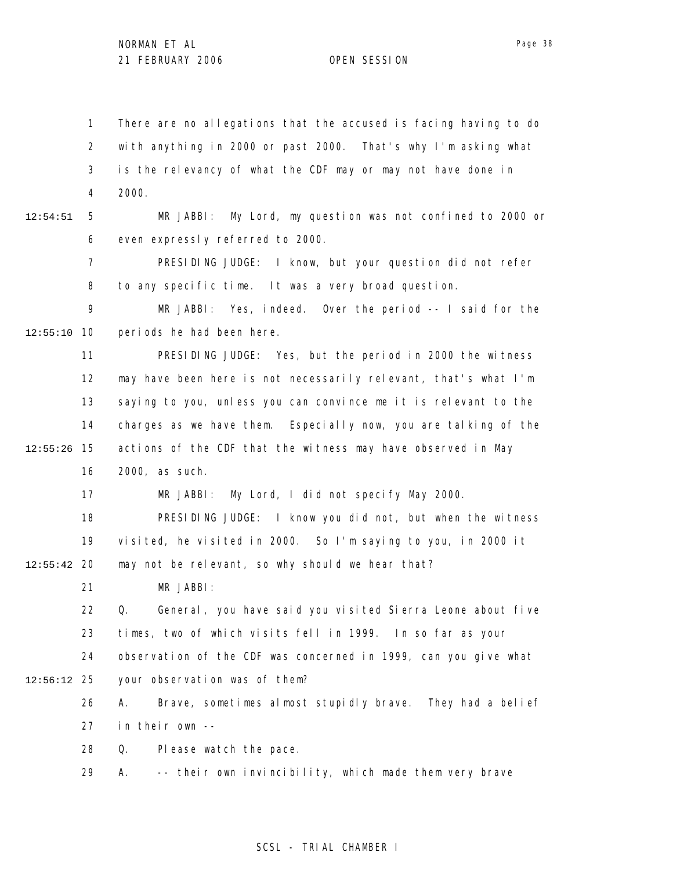1 2 3 4 5 6 7 8 9 10 12:55:10 11 12 13 14 15 12:55:26 16 17 18 19 12:55:42 20 21 22 23 24 25 12:56:12 26 27 28 29 12:54:51 There are no allegations that the accused is facing having to do with anything in 2000 or past 2000. That's why I'm asking what is the relevancy of what the CDF may or may not have done in 2000. MR JABBI: My Lord, my question was not confined to 2000 or even expressly referred to 2000. PRESIDING JUDGE: I know, but your question did not refer to any specific time. It was a very broad question. MR JABBI: Yes, indeed. Over the period -- I said for the periods he had been here. PRESIDING JUDGE: Yes, but the period in 2000 the witness may have been here is not necessarily relevant, that's what I'm saying to you, unless you can convince me it is relevant to the charges as we have them. Especially now, you are talking of the actions of the CDF that the witness may have observed in May 2000, as such. MR JABBI: My Lord, I did not specify May 2000. PRESIDING JUDGE: I know you did not, but when the witness visited, he visited in 2000. So I'm saying to you, in 2000 it may not be relevant, so why should we hear that? MR JABBI: Q. General, you have said you visited Sierra Leone about five times, two of which visits fell in 1999. In so far as your observation of the CDF was concerned in 1999, can you give what your observation was of them? A. Brave, sometimes almost stupidly brave. They had a belief in their own -- Q. Please watch the pace. A. -- their own invincibility, which made them very brave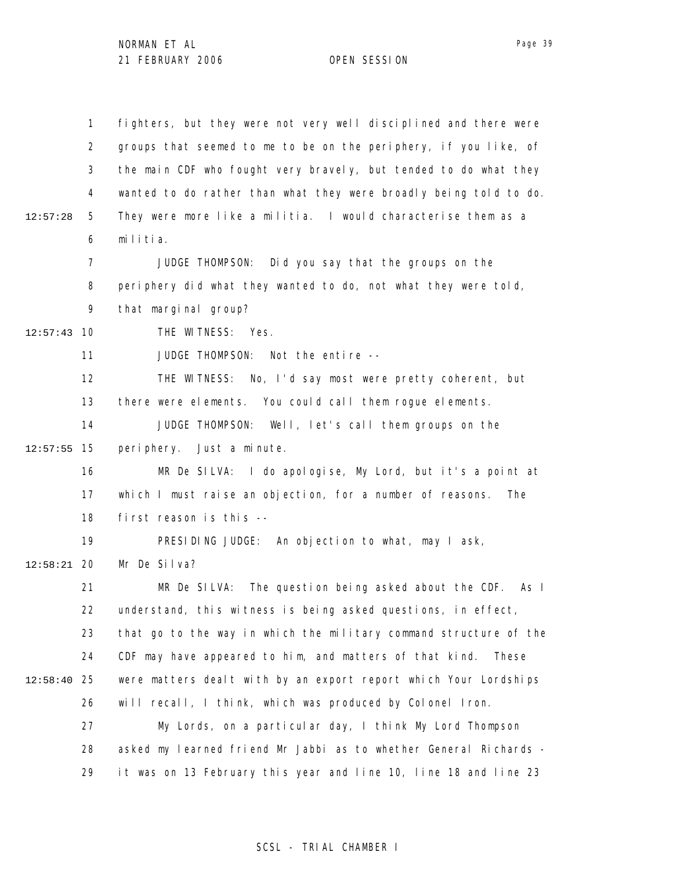|          | $\mathbf{1}$   | fighters, but they were not very well disciplined and there were  |
|----------|----------------|-------------------------------------------------------------------|
|          | $\overline{2}$ | groups that seemed to me to be on the periphery, if you like, of  |
|          | 3              | the main CDF who fought very bravely, but tended to do what they  |
|          | 4              | wanted to do rather than what they were broadly being told to do. |
| 12:57:28 | 5              | They were more like a militia. I would characterise them as a     |
|          | 6              | militia.                                                          |
|          | 7              | JUDGE THOMPSON: Did you say that the groups on the                |
|          | 8              | periphery did what they wanted to do, not what they were told,    |
|          | 9              | that marginal group?                                              |
| 12:57:43 | 10             | THE WITNESS: Yes.                                                 |
|          | 11             | Not the entire --<br>JUDGE THOMPSON:                              |
|          | 12             | THE WITNESS: No, I'd say most were pretty coherent, but           |
|          | 13             | there were elements. You could call them rogue elements.          |
|          | 14             | JUDGE THOMPSON: Well, let's call them groups on the               |
| 12:57:55 | 15             | periphery. Just a minute.                                         |
|          | 16             | MR De SILVA: I do apologise, My Lord, but it's a point at         |
|          | 17             | which I must raise an objection, for a number of reasons.<br>The  |
|          | 18             | first reason is this --                                           |
|          | 19             | PRESIDING JUDGE: An objection to what, may I ask,                 |
| 12:58:21 | 20             | Mr De Silva?                                                      |
|          | 21             | MR De SILVA: The question being asked about the CDF. As I         |
|          | 22             | understand, this witness is being asked questions, in effect,     |
|          | 23             | that go to the way in which the military command structure of the |
|          | 24             | CDF may have appeared to him, and matters of that kind.<br>These  |
| 12:58:40 | 25             | were matters dealt with by an export report which Your Lordships  |
|          | 26             | will recall, I think, which was produced by Colonel Iron.         |
|          | 27             | My Lords, on a particular day, I think My Lord Thompson           |
|          | 28             | asked my learned friend Mr Jabbi as to whether General Richards - |
|          | 29             | it was on 13 February this year and line 10, line 18 and line 23  |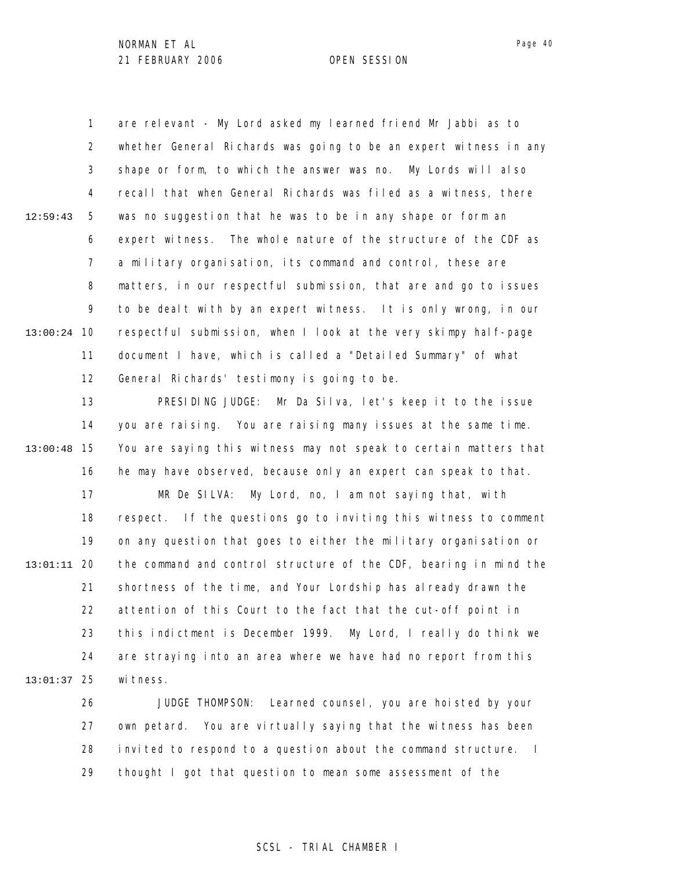1 2 3 4 5 6 7 8 9 10 13:00:24 11 12 12:59:43 are relevant - My Lord asked my learned friend Mr Jabbi as to whether General Richards was going to be an expert witness in any shape or form, to which the answer was no. My Lords will also recall that when General Richards was filed as a witness, there was no suggestion that he was to be in any shape or form an expert witness. The whole nature of the structure of the CDF as a military organisation, its command and control, these are matters, in our respectful submission, that are and go to issues to be dealt with by an expert witness. It is only wrong, in our respectful submission, when I look at the very skimpy half-page document I have, which is called a "Detailed Summary" of what General Richards' testimony is going to be.

13 14 15 13:00:48 16 17 18 19 20 13:01:11 21 22 23 24 25 13:01:37 PRESIDING JUDGE: Mr Da Silva, let's keep it to the issue you are raising. You are raising many issues at the same time. You are saying this witness may not speak to certain matters that he may have observed, because only an expert can speak to that. MR De SILVA: My Lord, no, I am not saying that, with respect. If the questions go to inviting this witness to comment on any question that goes to either the military organisation or the command and control structure of the CDF, bearing in mind the shortness of the time, and Your Lordship has already drawn the attention of this Court to the fact that the cut-off point in this indictment is December 1999. My Lord, I really do think we are straying into an area where we have had no report from this wi tness.

> 26 27 28 29 JUDGE THOMPSON: Learned counsel, you are hoisted by your own petard. You are virtually saying that the witness has been invited to respond to a question about the command structure. I thought I got that question to mean some assessment of the

### SCSL - TRIAL CHAMBER I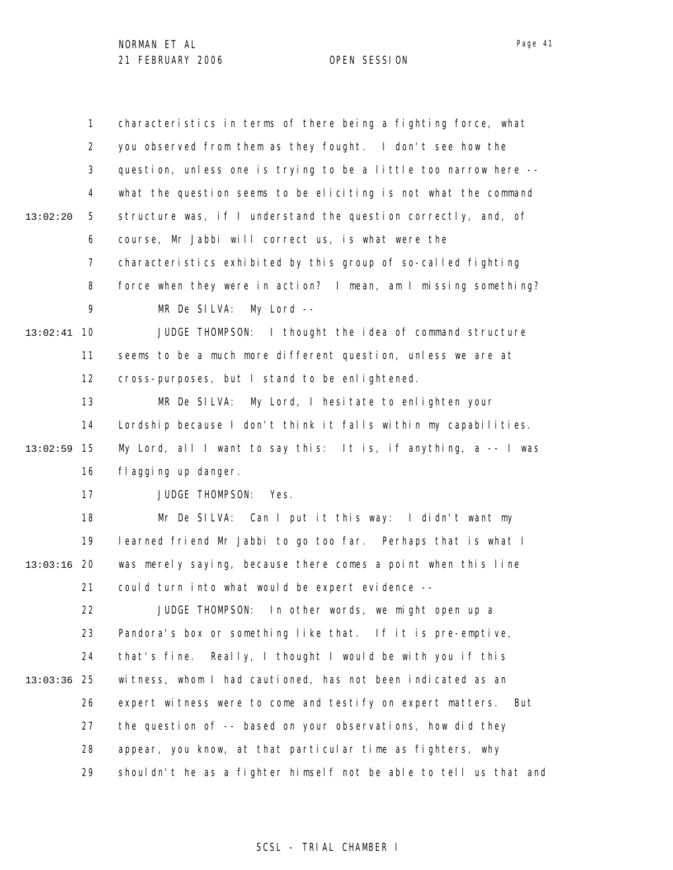|          | $\mathbf{1}$   | characteristics in terms of there being a fighting force, what    |
|----------|----------------|-------------------------------------------------------------------|
|          | $\overline{2}$ | you observed from them as they fought. I don't see how the        |
|          | 3              | question, unless one is trying to be a little too narrow here --  |
|          | 4              | what the question seems to be eliciting is not what the command   |
| 13:02:20 | 5              | structure was, if I understand the question correctly, and, of    |
|          | 6              | course, Mr Jabbi will correct us, is what were the                |
|          | $\overline{7}$ | characteristics exhibited by this group of so-called fighting     |
|          | 8              | force when they were in action? I mean, am I missing something?   |
|          | 9              | MR De SILVA: My Lord --                                           |
| 13:02:41 | 10             | JUDGE THOMPSON: I thought the idea of command structure           |
|          | 11             | seems to be a much more different question, unless we are at      |
|          | 12             | cross-purposes, but I stand to be enlightened.                    |
|          | 13             | MR De SILVA: My Lord, I hesitate to enlighten your                |
|          | 14             | Lordship because I don't think it falls within my capabilities.   |
| 13:02:59 | 15             | My Lord, all I want to say this: It is, if anything, a -- I was   |
|          | 16             | fl agging up danger.                                              |
|          | 17             | JUDGE THOMPSON:<br>Yes.                                           |
|          | 18             | Mr De SILVA: Can I put it this way: I didn't want my              |
|          | 19             | learned friend Mr Jabbi to go too far. Perhaps that is what I     |
| 13:03:16 | 20             | was merely saying, because there comes a point when this line     |
|          | 21             | could turn into what would be expert evidence --                  |
|          | 22             | JUDGE THOMPSON: In other words, we might open up a                |
|          | 23             | Pandora's box or something like that. If it is pre-emptive,       |
|          | 24             | Really, I thought I would be with you if this<br>that's fine.     |
| 13:03:36 | 25             | witness, whom I had cautioned, has not been indicated as an       |
|          | 26             | expert witness were to come and testify on expert matters. But    |
|          | 27             | the question of -- based on your observations, how did they       |
|          | 28             | appear, you know, at that particular time as fighters, why        |
|          | 29             | shouldn't he as a fighter himself not be able to tell us that and |

## SCSL - TRIAL CHAMBER I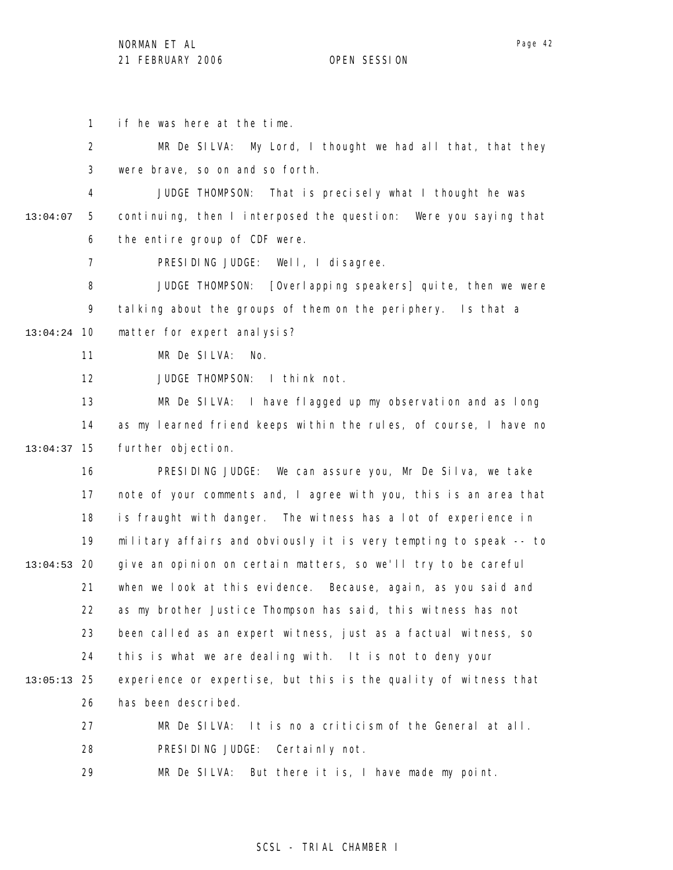1 if he was here at the time.

2 3 MR De SILVA: My Lord, I thought we had all that, that they were brave, so on and so forth.

4 5 6 13:04:07 JUDGE THOMPSON: That is precisely what I thought he was continuing, then I interposed the question: Were you saying that the entire group of CDF were.

> 7 PRESIDING JUDGE: Well, I disagree.

8 9 10 13:04:24 JUDGE THOMPSON: [Overlapping speakers] quite, then we were talking about the groups of them on the periphery. Is that a matter for expert analysis?

> 11 MR De SILVA: No.

12 JUDGE THOMPSON: I think not.

13 14 15 13:04:37 MR De SILVA: I have flagged up my observation and as long as my learned friend keeps within the rules, of course, I have no further objection.

16 17 18 19 20 13:04:53 21 22 23 24 25 13:05:13 26 27 PRESIDING JUDGE: We can assure you, Mr De Silva, we take note of your comments and, I agree with you, this is an area that is fraught with danger. The witness has a lot of experience in military affairs and obviously it is very tempting to speak -- to give an opinion on certain matters, so we'll try to be careful when we look at this evidence. Because, again, as you said and as my brother Justice Thompson has said, this witness has not been called as an expert witness, just as a factual witness, so this is what we are dealing with. It is not to deny your experience or expertise, but this is the quality of witness that has been described. MR De SILVA: It is no a criticism of the General at all.

> 28 PRESIDING JUDGE: Certainly not.

29 MR De SILVA: But there it is, I have made my point.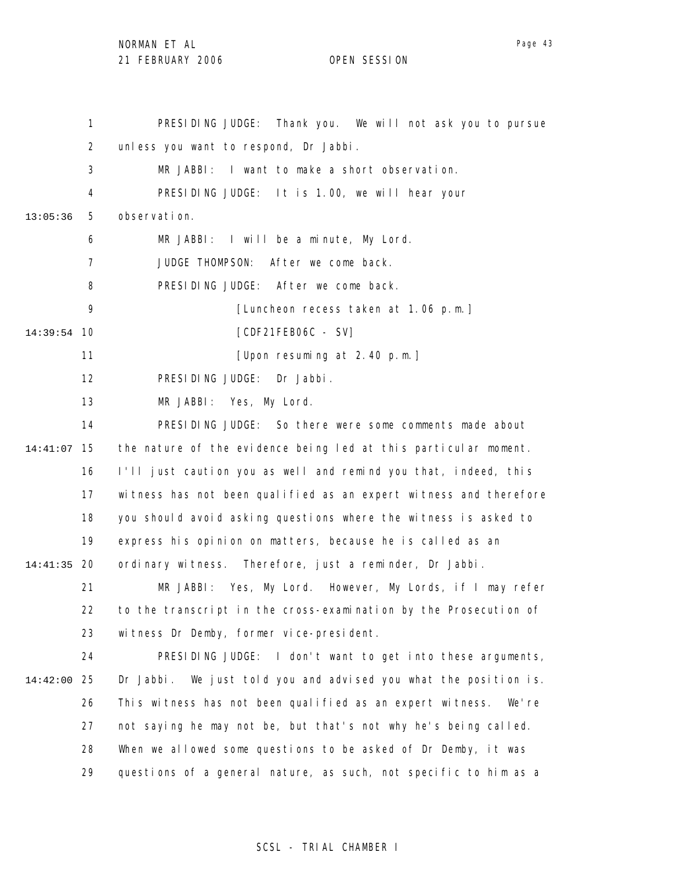NORMAN ET AL

21 FEBRUARY 2006 OPEN SESSION

1 2 3 4 5 6 7 8 9 10 14:39:54 11 12 13 14 15 14:41:07 16 17 18 19 20 14:41:35 21 22 23 24 25 14:42:00 26 27 28 29 13:05:36 PRESIDING JUDGE: Thank you. We will not ask you to pursue unless you want to respond, Dr Jabbi. MR JABBI: I want to make a short observation. PRESIDING JUDGE: It is 1.00, we will hear your observation. MR JABBI: I will be a minute, My Lord. JUDGE THOMPSON: After we come back. PRESIDING JUDGE: After we come back. [Luncheon recess taken at 1.06 p.m.] [CDF21FEB06C - SV] [Upon resuming at 2.40 p.m.] PRESIDING JUDGE: Dr Jabbi. MR JABBI: Yes, My Lord. PRESIDING JUDGE: So there were some comments made about the nature of the evidence being led at this particular moment. I'll just caution you as well and remind you that, indeed, this witness has not been qualified as an expert witness and therefore you should avoid asking questions where the witness is asked to express his opinion on matters, because he is called as an ordinary witness. Therefore, just a reminder, Dr Jabbi. MR JABBI: Yes, My Lord. However, My Lords, if I may refer to the transcript in the cross-examination by the Prosecution of witness Dr Demby, former vice-president. PRESIDING JUDGE: I don't want to get into these arguments, Dr Jabbi. We just told you and advised you what the position is. This witness has not been qualified as an expert witness. We're not saying he may not be, but that's not why he's being called. When we allowed some questions to be asked of Dr Demby, it was questions of a general nature, as such, not specific to him as a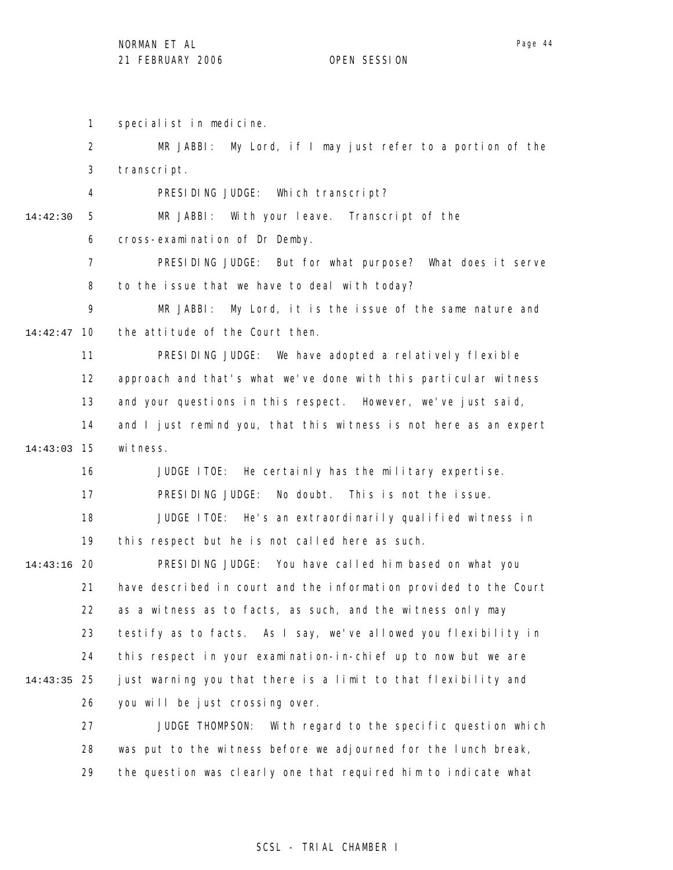1 specialist in medicine.

2 3 4 5 6 7 8 9 10 14:42:47 11 12 13 14 15 14:43:03 16 17 18 19 20 14:43:16 21 22 23 24 25 14:43:35 26 27 28 29 14:42:30 MR JABBI: My Lord, if I may just refer to a portion of the transcript. PRESIDING JUDGE: Which transcript? MR JABBI: With your leave. Transcript of the cross-examination of Dr Demby. PRESIDING JUDGE: But for what purpose? What does it serve to the issue that we have to deal with today? MR JABBI: My Lord, it is the issue of the same nature and the attitude of the Court then. PRESIDING JUDGE: We have adopted a relatively flexible approach and that's what we've done with this particular witness and your questions in this respect. However, we've just said, and I just remind you, that this witness is not here as an expert wi tness. JUDGE ITOE: He certainly has the military expertise. PRESIDING JUDGE: No doubt. This is not the issue. JUDGE ITOE: He's an extraordinarily qualified witness in this respect but he is not called here as such. PRESIDING JUDGE: You have called him based on what you have described in court and the information provided to the Court as a witness as to facts, as such, and the witness only may testify as to facts. As I say, we've allowed you flexibility in this respect in your examination-in-chief up to now but we are just warning you that there is a limit to that flexibility and you will be just crossing over. JUDGE THOMPSON: With regard to the specific question which was put to the witness before we adjourned for the lunch break, the question was clearly one that required him to indicate what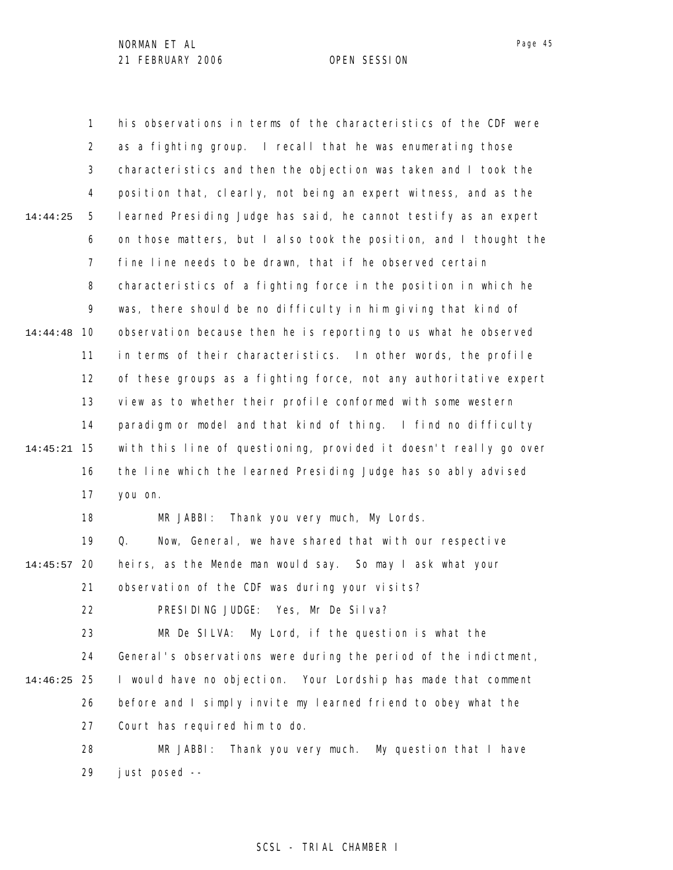1 2 3 4 5 6 7 8 9 10 14:44:48 11 12 13 14 15 14:45:21 16 17 18 19 20 14:45:57 21 22 23 24 25 14:46:25 26 27 28 29 14:44:25 his observations in terms of the characteristics of the CDF were as a fighting group. I recall that he was enumerating those characteristics and then the objection was taken and I took the position that, clearly, not being an expert witness, and as the learned Presiding Judge has said, he cannot testify as an expert on those matters, but I also took the position, and I thought the fine line needs to be drawn, that if he observed certain characteristics of a fighting force in the position in which he was, there should be no difficulty in him giving that kind of observation because then he is reporting to us what he observed in terms of their characteristics. In other words, the profile of these groups as a fighting force, not any authoritative expert view as to whether their profile conformed with some western paradigm or model and that kind of thing. I find no difficulty with this line of questioning, provided it doesn't really go over the line which the learned Presiding Judge has so ably advised you on. MR JABBI: Thank you very much, My Lords. Q. Now, General, we have shared that with our respective heirs, as the Mende man would say. So may I ask what your observation of the CDF was during your visits? PRESIDING JUDGE: Yes, Mr De Silva? MR De SILVA: My Lord, if the question is what the General's observations were during the period of the indictment, I would have no objection. Your Lordship has made that comment before and I simply invite my learned friend to obey what the Court has required him to do. MR JABBI: Thank you very much. My question that I have just posed --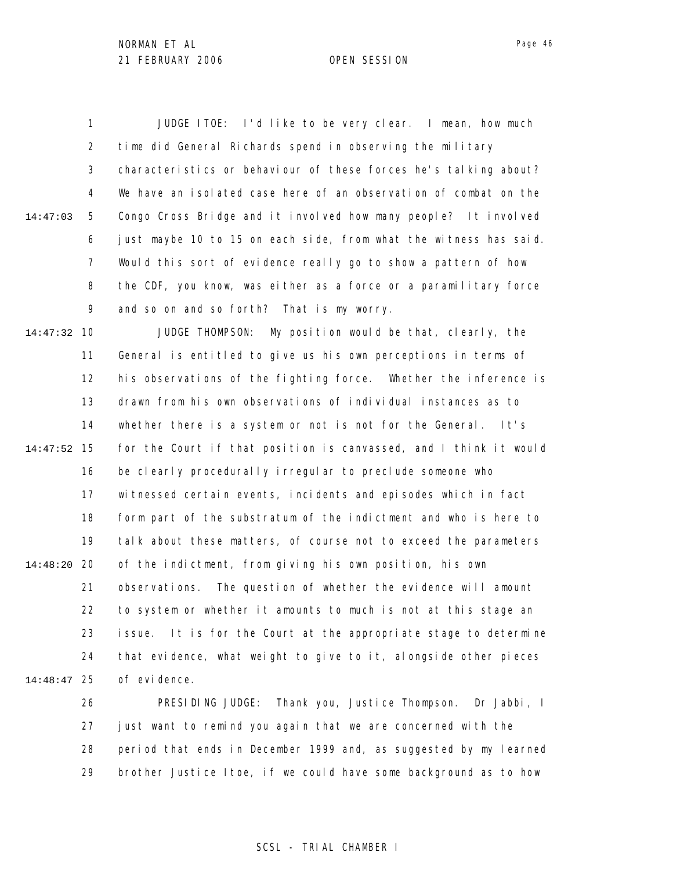1 2 3 4 5 6 7 8 9 10 14:47:32 11 12 13 14 15 14:47:52 16 17 18 19 20 14:48:20 21 22 23 24 25 14:48:47 14:47:03 JUDGE ITOE: I'd like to be very clear. I mean, how much time did General Richards spend in observing the military characteristics or behaviour of these forces he's talking about? We have an isolated case here of an observation of combat on the Congo Cross Bridge and it involved how many people? It involved just maybe 10 to 15 on each side, from what the witness has said. Would this sort of evidence really go to show a pattern of how the CDF, you know, was either as a force or a paramilitary force and so on and so forth? That is my worry. JUDGE THOMPSON: My position would be that, clearly, the General is entitled to give us his own perceptions in terms of his observations of the fighting force. Whether the inference is drawn from his own observations of individual instances as to whether there is a system or not is not for the General. It's for the Court if that position is canvassed, and I think it would be clearly procedurally irregular to preclude someone who witnessed certain events, incidents and episodes which in fact form part of the substratum of the indictment and who is here to talk about these matters, of course not to exceed the parameters of the indictment, from giving his own position, his own observations. The question of whether the evidence will amount to system or whether it amounts to much is not at this stage an issue. It is for the Court at the appropriate stage to determine that evidence, what weight to give to it, alongside other pieces of evidence.

> 26 27 28 29 PRESIDING JUDGE: Thank you, Justice Thompson. Dr Jabbi, I just want to remind you again that we are concerned with the period that ends in December 1999 and, as suggested by my learned brother Justice Itoe, if we could have some background as to how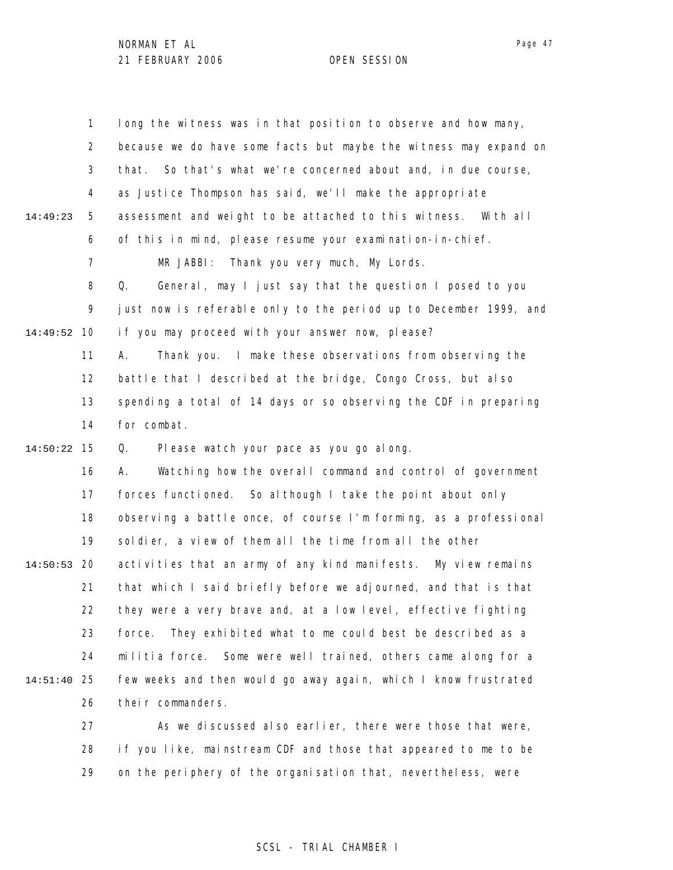1 2 3 4 5 6 7 8 9 10 14:49:52 11 12 13 14 15 14:50:22 16 17 18 19 20 14:50:53 21 22 23 24 25 14:51:40 26 27 28 29 14:49:23 long the witness was in that position to observe and how many, because we do have some facts but maybe the witness may expand on that. So that's what we're concerned about and, in due course, as Justice Thompson has said, we'll make the appropriate assessment and weight to be attached to this witness. With all of this in mind, please resume your examination-in-chief. MR JABBI: Thank you very much, My Lords. Q. General, may I just say that the question I posed to you just now is referable only to the period up to December 1999, and if you may proceed with your answer now, please? A. Thank you. I make these observations from observing the battle that I described at the bridge, Congo Cross, but also spending a total of 14 days or so observing the CDF in preparing for combat. Q. Please watch your pace as you go along. A. Watching how the overall command and control of government forces functioned. So although I take the point about only observing a battle once, of course I'm forming, as a professional soldier, a view of them all the time from all the other activities that an army of any kind manifests. My view remains that which I said briefly before we adjourned, and that is that they were a very brave and, at a low level, effective fighting force. They exhibited what to me could best be described as a militia force. Some were well trained, others came along for a few weeks and then would go away again, which I know frustrated their commanders. As we discussed also earlier, there were those that were, if you like, mainstream CDF and those that appeared to me to be on the periphery of the organisation that, nevertheless, were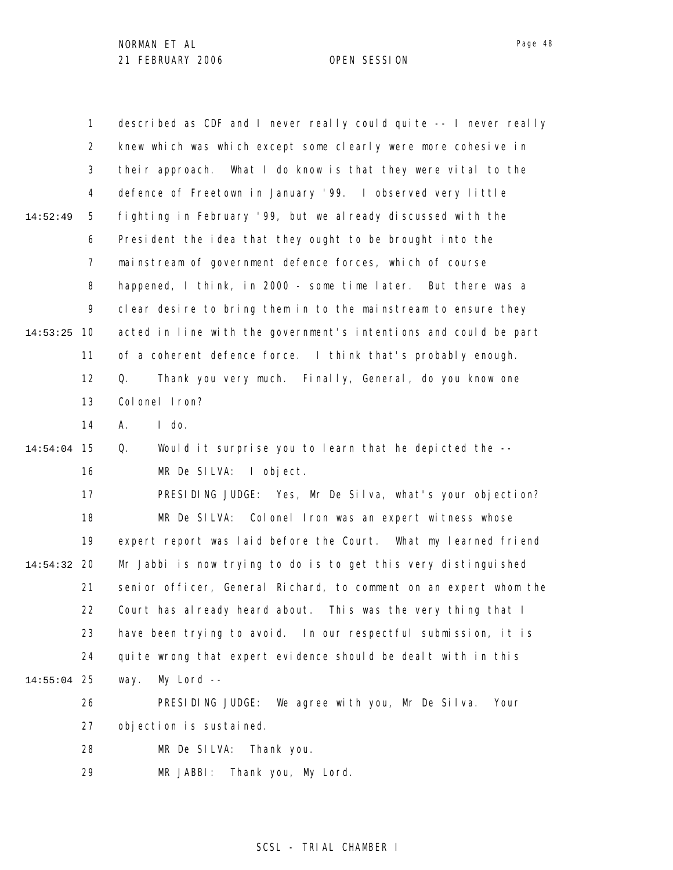|             | $\mathbf{1}$   | described as CDF and I never really could quite -- I never really |
|-------------|----------------|-------------------------------------------------------------------|
|             | $\overline{2}$ | knew which was which except some clearly were more cohesive in    |
|             | 3              | their approach. What I do know is that they were vital to the     |
|             | 4              | defence of Freetown in January '99. I observed very little        |
| 14:52:49    | 5              | fighting in February '99, but we already discussed with the       |
|             | 6              | President the idea that they ought to be brought into the         |
|             | $\overline{7}$ | mainstream of government defence forces, which of course          |
|             | 8              | happened, I think, in 2000 - some time later. But there was a     |
|             | 9              | clear desire to bring them in to the mainstream to ensure they    |
| 14:53:25    | 10             | acted in line with the government's intentions and could be part  |
|             | 11             | of a coherent defence force. I think that's probably enough.      |
|             | 12             | Thank you very much. Finally, General, do you know one<br>Q.      |
|             | 13             | Colonel Iron?                                                     |
|             | 14             | $I$ do.<br>Α.                                                     |
| 14:54:04    | 15             | Q.<br>Would it surprise you to learn that he depicted the --      |
|             | 16             | MR De SILVA: I object.                                            |
|             | 17             | PRESIDING JUDGE: Yes, Mr De Silva, what's your objection?         |
|             | 18             | MR De SILVA: Colonel Iron was an expert witness whose             |
|             | 19             | expert report was laid before the Court. What my learned friend   |
| 14:54:32    | 20             | Mr Jabbi is now trying to do is to get this very distinguished    |
|             | 21             | senior officer, General Richard, to comment on an expert whom the |
|             | 22             | Court has already heard about. This was the very thing that I     |
|             | 23             | have been trying to avoid. In our respectful submission, it is    |
|             | 24             | quite wrong that expert evidence should be dealt with in this     |
| 14:55:04 25 |                | $My$ Lord $--$<br>way.                                            |
|             | 26             | PRESIDING JUDGE:<br>We agree with you, Mr De Silva.<br>Your       |
|             | 27             | objection is sustained.                                           |
|             | 28             | MR De SILVA:<br>Thank you.                                        |
|             | 29             | MR JABBI:<br>Thank you, My Lord.                                  |

Page 48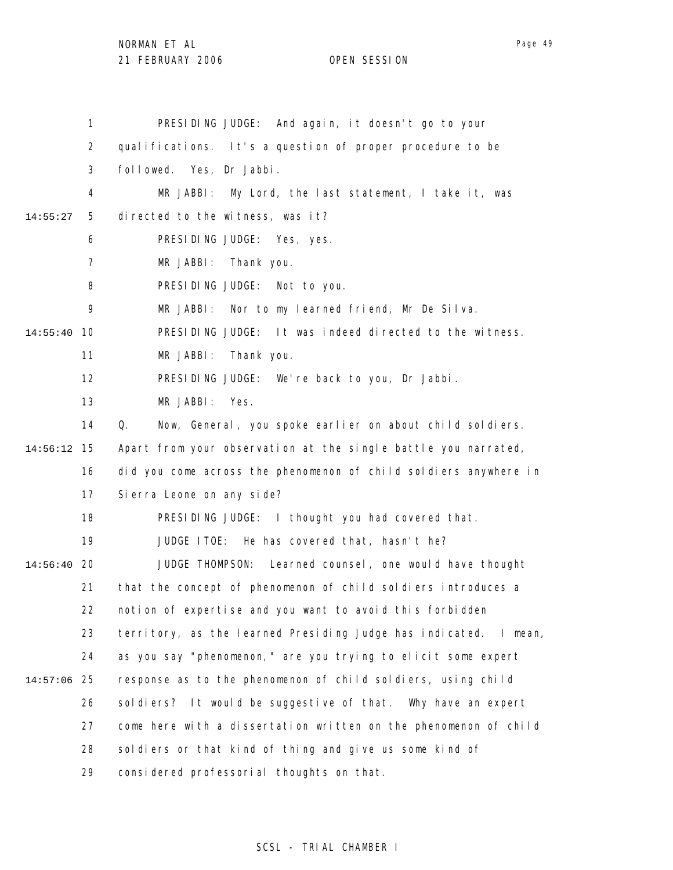NORMAN ET AL

21 FEBRUARY 2006 OPEN SESSION

|          | 1              | PRESIDING JUDGE: And again, it doesn't go to your                   |
|----------|----------------|---------------------------------------------------------------------|
|          | $\overline{2}$ | qualifications. It's a question of proper procedure to be           |
|          | 3              | followed. Yes, Dr Jabbi.                                            |
|          | 4              | MR JABBI:<br>My Lord, the last statement, I take it, was            |
| 14:55:27 | 5              | directed to the witness, was it?                                    |
|          | 6              | PRESIDING JUDGE: Yes, yes.                                          |
|          | 7              | MR JABBI:<br>Thank you.                                             |
|          | 8              | PRESIDING JUDGE: Not to you.                                        |
|          | 9              | MR JABBI:<br>Nor to my learned friend, Mr De Silva.                 |
| 14:55:40 | 10             | PRESIDING JUDGE: It was indeed directed to the witness.             |
|          | 11             | MR JABBI:<br>Thank you.                                             |
|          | 12             | PRESIDING JUDGE: We're back to you, Dr Jabbi.                       |
|          | 13             | MR JABBI:<br>Yes.                                                   |
|          | 14             | Q.<br>Now, General, you spoke earlier on about child soldiers.      |
| 14:56:12 | 15             | Apart from your observation at the single battle you narrated,      |
|          | 16             | did you come across the phenomenon of child soldiers anywhere in    |
|          | 17             | Si erra Leone on any side?                                          |
|          | 18             | PRESIDING JUDGE: I thought you had covered that.                    |
|          | 19             | JUDGE ITOE: He has covered that, hasn't he?                         |
| 14:56:40 | -20            | JUDGE THOMPSON: Learned counsel, one would have thought             |
|          | 21             | that the concept of phenomenon of child soldiers introduces a       |
|          | 22             | notion of expertise and you want to avoid this forbidden            |
|          | 23             | territory, as the learned Presiding Judge has indicated.<br>I mean, |
|          | 24             | as you say "phenomenon," are you trying to elicit some expert       |
| 14:57:06 | 25             | response as to the phenomenon of child soldiers, using child        |
|          | 26             | soldiers? It would be suggestive of that.<br>Why have an expert     |
|          | 27             | come here with a dissertation written on the phenomenon of child    |
|          | 28             | soldiers or that kind of thing and give us some kind of             |
|          | 29             | considered professorial thoughts on that.                           |

## SCSL - TRIAL CHAMBER I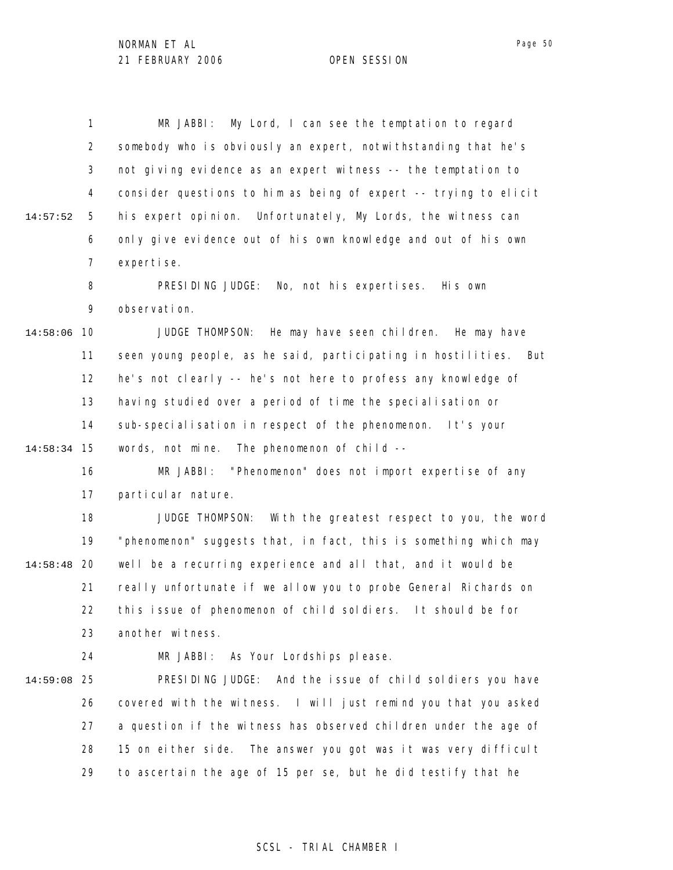|          | 1              | My Lord, I can see the temptation to regard<br>MR JABBI:         |
|----------|----------------|------------------------------------------------------------------|
|          | $\overline{2}$ | somebody who is obviously an expert, notwithstanding that he's   |
|          | 3              | not giving evidence as an expert witness -- the temptation to    |
|          | 4              | consider questions to him as being of expert -- trying to elicit |
| 14:57:52 | 5              | his expert opinion. Unfortunately, My Lords, the witness can     |
|          | 6              | only give evidence out of his own knowledge and out of his own   |
|          | $\overline{7}$ | expertise.                                                       |
|          | 8              | PRESIDING JUDGE:<br>No, not his expertises. His own              |
|          | 9              | observation.                                                     |
| 14:58:06 | 10             | JUDGE THOMPSON: He may have seen children. He may have           |
|          | 11             | seen young people, as he said, participating in hostilities. But |
|          | 12             | he's not clearly -- he's not here to profess any knowledge of    |
|          | 13             | having studied over a period of time the specialisation or       |
|          | 14             | sub-specialisation in respect of the phenomenon. It's your       |
| 14:58:34 | 15             | words, not mine. The phenomenon of child --                      |
|          | 16             | MR JABBI: "Phenomenon" does not import expertise of any          |
|          | 17             | particular nature.                                               |
|          | 18             | JUDGE THOMPSON: With the greatest respect to you, the word       |
|          | 19             | "phenomenon" suggests that, in fact, this is something which may |
| 14:58:48 | 20             | well be a recurring experience and all that, and it would be     |
|          | 21             | really unfortunate if we allow you to probe General Richards on  |
|          | 22             | this issue of phenomenon of child soldiers. It should be for     |
|          | 23             | another witness.                                                 |
|          | 24             | MR JABBI: As Your Lordships please.                              |
| 14:59:08 | 25             | PRESIDING JUDGE: And the issue of child soldiers you have        |
|          | 26             | covered with the witness. I will just remind you that you asked  |
|          | 27             | a question if the witness has observed children under the age of |
|          | 28             | 15 on either side. The answer you got was it was very difficult  |
|          | 29             | to ascertain the age of 15 per se, but he did testify that he    |
|          |                |                                                                  |

## SCSL - TRIAL CHAMBER I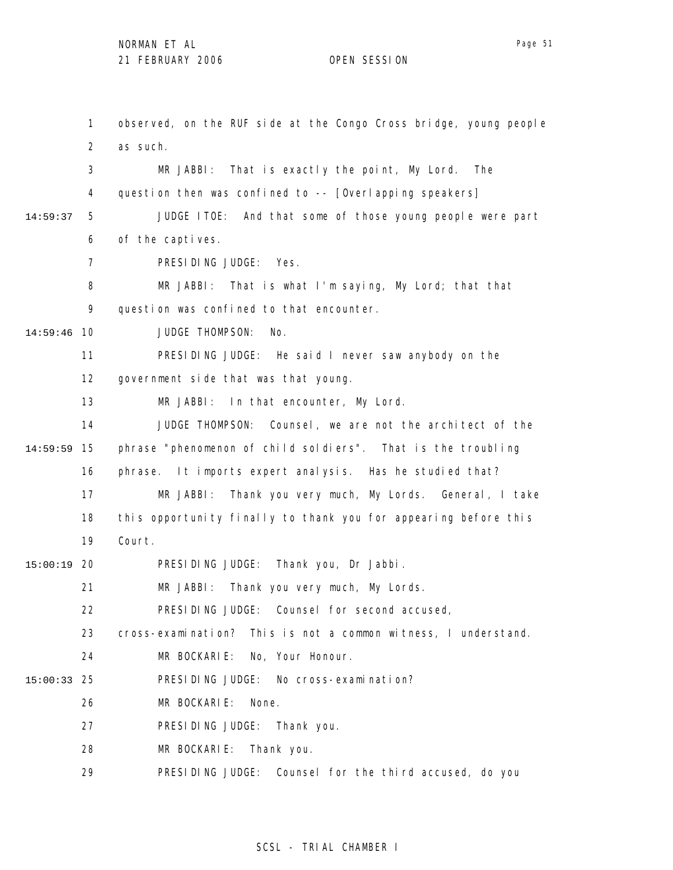1 2 3 4 5 6 7 8 9 10 14:59:46 11 12 13 14 15 14:59:59 16 17 18 19 20 15:00:19 21 22 23 24 25 15:00:33 26 27 28 29 14:59:37 observed, on the RUF side at the Congo Cross bridge, young people as such. MR JABBI: That is exactly the point, My Lord. The question then was confined to -- [Overlapping speakers] JUDGE ITOE: And that some of those young people were part of the captives. PRESIDING JUDGE: Yes. MR JABBI: That is what I'm saying, My Lord; that that question was confined to that encounter. JUDGE THOMPSON: No. PRESIDING JUDGE: He said I never saw anybody on the government side that was that young. MR JABBI: In that encounter, My Lord. JUDGE THOMPSON: Counsel, we are not the architect of the phrase "phenomenon of child soldiers". That is the troubling phrase. It imports expert analysis. Has he studied that? MR JABBI: Thank you very much, My Lords. General, I take this opportunity finally to thank you for appearing before this Court. PRESIDING JUDGE: Thank you, Dr Jabbi. MR JABBI: Thank you very much, My Lords. PRESIDING JUDGE: Counsel for second accused, cross-examination? This is not a common witness, I understand. MR BOCKARIE: No, Your Honour. PRESIDING JUDGE: No cross-examination? MR BOCKARIE: None. PRESIDING JUDGE: Thank you. MR BOCKARIE: Thank you. PRESIDING JUDGE: Counsel for the third accused, do you

## SCSL - TRIAL CHAMBER I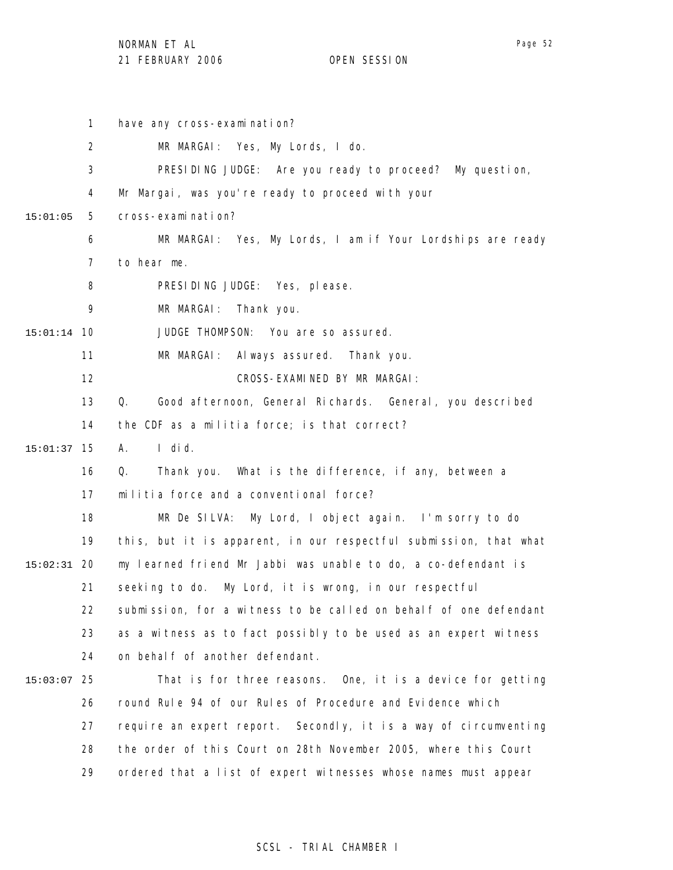1 2 3 4 5 6 7 8 9 10 15:01:14 11 12 13 14 15 15:01:37 16 17 18 19 20 15:02:31 21 22 23 24 25 15:03:07 26 27 28 29 15:01:05 have any cross-examination? MR MARGAI: Yes, My Lords, I do. PRESIDING JUDGE: Are you ready to proceed? My question, Mr Margai, was you're ready to proceed with your cross-examination? MR MARGAI: Yes, My Lords, I am if Your Lordships are ready to hear me. PRESIDING JUDGE: Yes, please. MR MARGAI: Thank you. JUDGE THOMPSON: You are so assured. MR MARGAI: Always assured. Thank you. CROSS-EXAMINED BY MR MARGAI: Q. Good afternoon, General Richards. General, you described the CDF as a militia force; is that correct? A. I did. Q. Thank you. What is the difference, if any, between a militia force and a conventional force? MR De SILVA: My Lord, I object again. I'm sorry to do this, but it is apparent, in our respectful submission, that what my learned friend Mr Jabbi was unable to do, a co-defendant is seeking to do. My Lord, it is wrong, in our respectful submission, for a witness to be called on behalf of one defendant as a witness as to fact possibly to be used as an expert witness on behalf of another defendant. That is for three reasons. One, it is a device for getting round Rule 94 of our Rules of Procedure and Evidence which require an expert report. Secondly, it is a way of circumventing the order of this Court on 28th November 2005, where this Court ordered that a list of expert witnesses whose names must appear

### SCSL - TRIAL CHAMBER I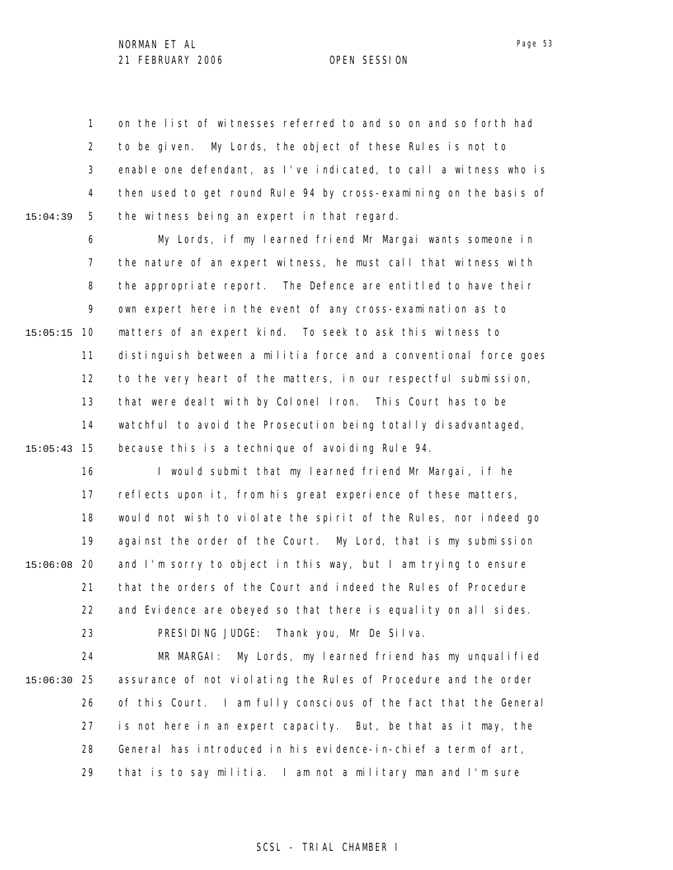1 2 3 4 5 15:04:39 on the list of witnesses referred to and so on and so forth had to be given. My Lords, the object of these Rules is not to enable one defendant, as I've indicated, to call a witness who is then used to get round Rule 94 by cross-examining on the basis of the witness being an expert in that regard.

6 7 8 9 10 15:05:15 11 12 13 14 15 15:05:43 My Lords, if my learned friend Mr Margai wants someone in the nature of an expert witness, he must call that witness with the appropriate report. The Defence are entitled to have their own expert here in the event of any cross-examination as to matters of an expert kind. To seek to ask this witness to distinguish between a militia force and a conventional force goes to the very heart of the matters, in our respectful submission, that were dealt with by Colonel Iron. This Court has to be watchful to avoid the Prosecution being totally disadvantaged, because this is a technique of avoiding Rule 94.

16 17 18 19 20 15:06:08 21 22 23 I would submit that my learned friend Mr Margai, if he reflects upon it, from his great experience of these matters, would not wish to violate the spirit of the Rules, nor indeed go against the order of the Court. My Lord, that is my submission and I'm sorry to object in this way, but I am trying to ensure that the orders of the Court and indeed the Rules of Procedure and Evidence are obeyed so that there is equality on all sides. PRESIDING JUDGE: Thank you, Mr De Silva.

24 25 15:06:30 26 27 28 29 MR MARGAI: My Lords, my learned friend has my unqualified assurance of not violating the Rules of Procedure and the order of this Court. I am fully conscious of the fact that the General is not here in an expert capacity. But, be that as it may, the General has introduced in his evidence-in-chief a term of art, that is to say militia. I am not a military man and I'm sure

### Page 53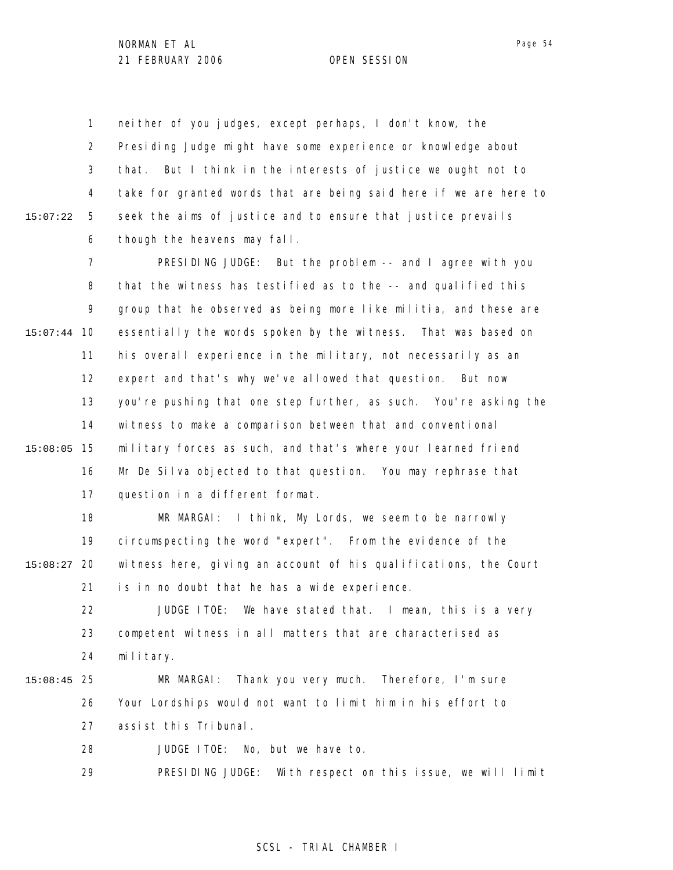1 2 3 4 5 6 15:07:22 neither of you judges, except perhaps, I don't know, the Presiding Judge might have some experience or knowledge about that. But I think in the interests of justice we ought not to take for granted words that are being said here if we are here to seek the aims of justice and to ensure that justice prevails though the heavens may fall.

7 8 9 10 15:07:44 11 12 13 14 15 15:08:05 16 17 PRESIDING JUDGE: But the problem -- and I agree with you that the witness has testified as to the -- and qualified this group that he observed as being more like militia, and these are essentially the words spoken by the witness. That was based on his overall experience in the military, not necessarily as an expert and that's why we've allowed that question. But now you're pushing that one step further, as such. You're asking the witness to make a comparison between that and conventional military forces as such, and that's where your learned friend Mr De Silva objected to that question. You may rephrase that question in a different format.

18 19 20 15:08:27 21 MR MARGAI: I think, My Lords, we seem to be narrowly circumspecting the word "expert". From the evidence of the witness here, giving an account of his qualifications, the Court is in no doubt that he has a wide experience.

22 23 24 JUDGE ITOE: We have stated that. I mean, this is a very competent witness in all matters that are characterised as military.

### 25 15:08:45 26 27 28 MR MARGAI: Thank you very much. Therefore, I'm sure Your Lordships would not want to limit him in his effort to assist this Tribunal. JUDGE ITOE: No, but we have to.

29 PRESIDING JUDGE: With respect on this issue, we will limit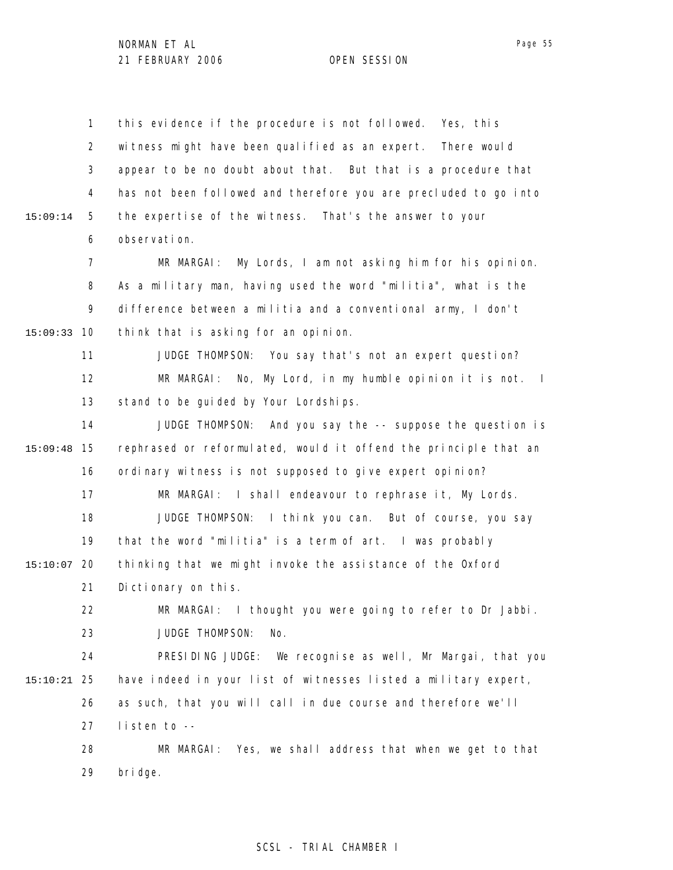1 2 3 4 5 6 7 8 9 10 15:09:33 11 12 13 14 15 15:09:48 16 17 18 19 20 15:10:07 21 22 23 24 25 15:10:21 26 27 28 29 15:09:14 this evidence if the procedure is not followed. Yes, this witness might have been qualified as an expert. There would appear to be no doubt about that. But that is a procedure that has not been followed and therefore you are precluded to go into the expertise of the witness. That's the answer to your observation. MR MARGAI: My Lords, I am not asking him for his opinion. As a military man, having used the word "militia", what is the difference between a militia and a conventional army, I don't think that is asking for an opinion. JUDGE THOMPSON: You say that's not an expert question? MR MARGAI: No, My Lord, in my humble opinion it is not. I stand to be guided by Your Lordships. JUDGE THOMPSON: And you say the -- suppose the question is rephrased or reformulated, would it offend the principle that an ordinary witness is not supposed to give expert opinion? MR MARGAI: I shall endeavour to rephrase it, My Lords. JUDGE THOMPSON: I think you can. But of course, you say that the word "militia" is a term of art. I was probably thinking that we might invoke the assistance of the Oxford Dictionary on this. MR MARGAI: I thought you were going to refer to Dr Jabbi. JUDGE THOMPSON: No. PRESIDING JUDGE: We recognise as well, Mr Margai, that you have indeed in your list of witnesses listed a military expert, as such, that you will call in due course and therefore we'll listen to -- MR MARGAI: Yes, we shall address that when we get to that bridge.

### SCSL - TRIAL CHAMBER I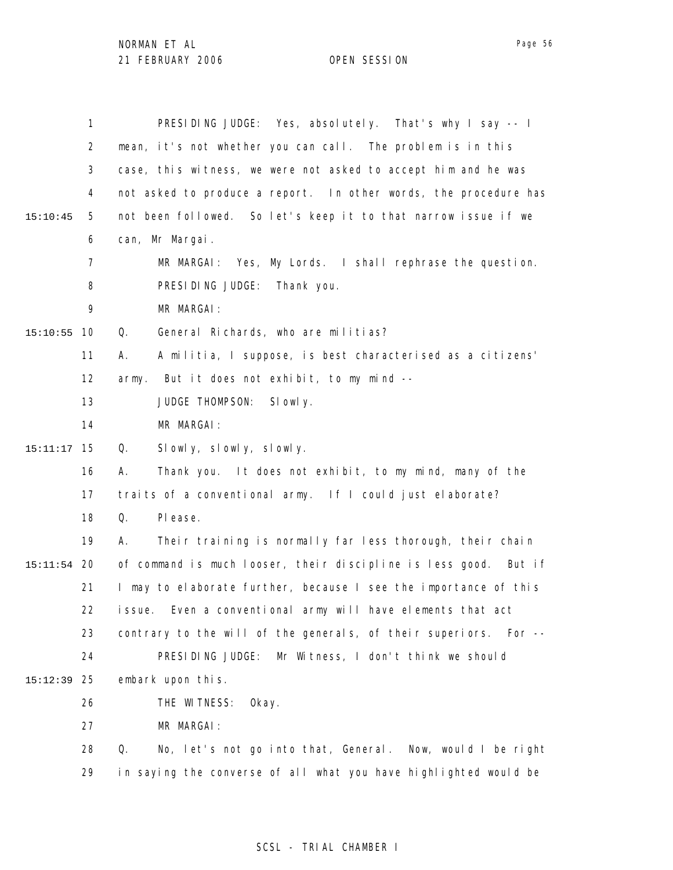1 2 3 4 5 6 7 8 9 10 15:10:55 11 12 13 14 15 15:11:17 16 17 18 19 20 15:11:54 21 22 23 24 25 15:12:39 26 27 28 29 15:10:45 PRESIDING JUDGE: Yes, absolutely. That's why I say -- I mean, it's not whether you can call. The problem is in this case, this witness, we were not asked to accept him and he was not asked to produce a report. In other words, the procedure has not been followed. So let's keep it to that narrow issue if we can, Mr Margai. MR MARGAI: Yes, My Lords. I shall rephrase the question. PRESIDING JUDGE: Thank you. MR MARGAI: Q. General Richards, who are militias? A. A militia, I suppose, is best characterised as a citizens' army. But it does not exhibit, to my mind -- JUDGE THOMPSON: Slowly. MR MARGAI: Q. Slowly, slowly, slowly. A. Thank you. It does not exhibit, to my mind, many of the traits of a conventional army. If I could just elaborate? Q. Please. A. Their training is normally far less thorough, their chain of command is much looser, their discipline is less good. But if I may to elaborate further, because I see the importance of this issue. Even a conventional army will have elements that act contrary to the will of the generals, of their superiors. For -- PRESIDING JUDGE: Mr Witness, I don't think we should embark upon this. THE WITNESS: Okay. MR MARGAI: Q. No, let's not go into that, General. Now, would I be right in saying the converse of all what you have highlighted would be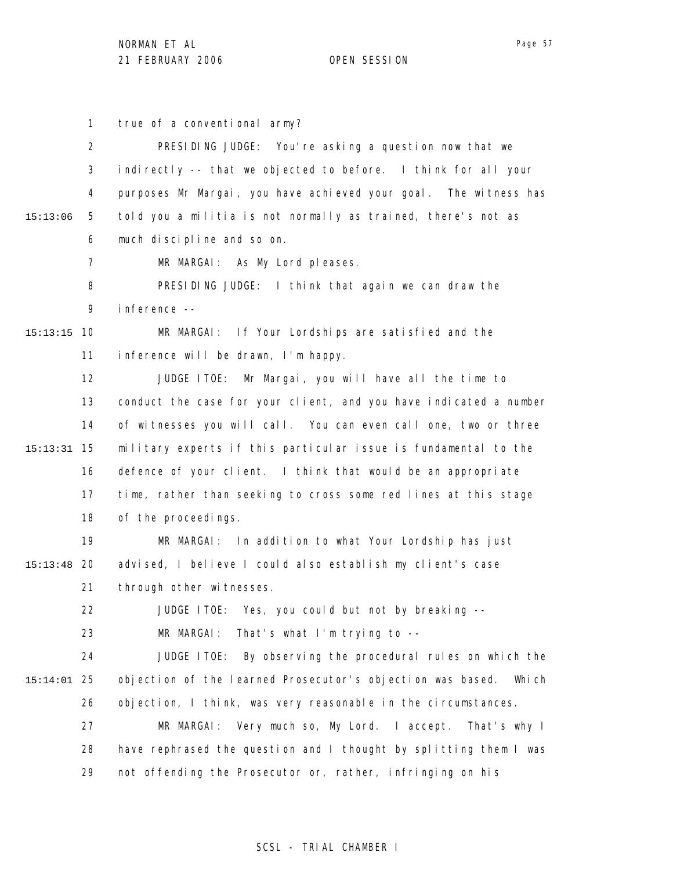1 2 3 true of a conventional army? PRESIDING JUDGE: You're asking a question now that we indirectly -- that we objected to before. I think for all your

4 5 6 15:13:06 purposes Mr Margai, you have achieved your goal. The witness has told you a militia is not normally as trained, there's not as much discipline and so on.

> 7 MR MARGAI: As My Lord pleases.

8 9 PRESIDING JUDGE: I think that again we can draw the inference --

MR MARGAI: If Your Lordships are satisfied and the

### 10 15:13:15

11 inference will be drawn, I'm happy.

12 13 14 15 15:13:31 16 17 18 JUDGE ITOE: Mr Margai, you will have all the time to conduct the case for your client, and you have indicated a number of witnesses you will call. You can even call one, two or three military experts if this particular issue is fundamental to the defence of your client. I think that would be an appropriate time, rather than seeking to cross some red lines at this stage of the proceedings.

19 20 15:13:48 21 MR MARGAI: In addition to what Your Lordship has just advised, I believe I could also establish my client's case through other witnesses.

> 22 23 JUDGE ITOE: Yes, you could but not by breaking -- MR MARGAI: That's what I'm trying to --

24 25 15:14:01 26 JUDGE ITOE: By observing the procedural rules on which the objection of the learned Prosecutor's objection was based. Which objection, I think, was very reasonable in the circumstances.

27 28 29 MR MARGAI: Very much so, My Lord. I accept. That's why I have rephrased the question and I thought by splitting them I was not offending the Prosecutor or, rather, infringing on his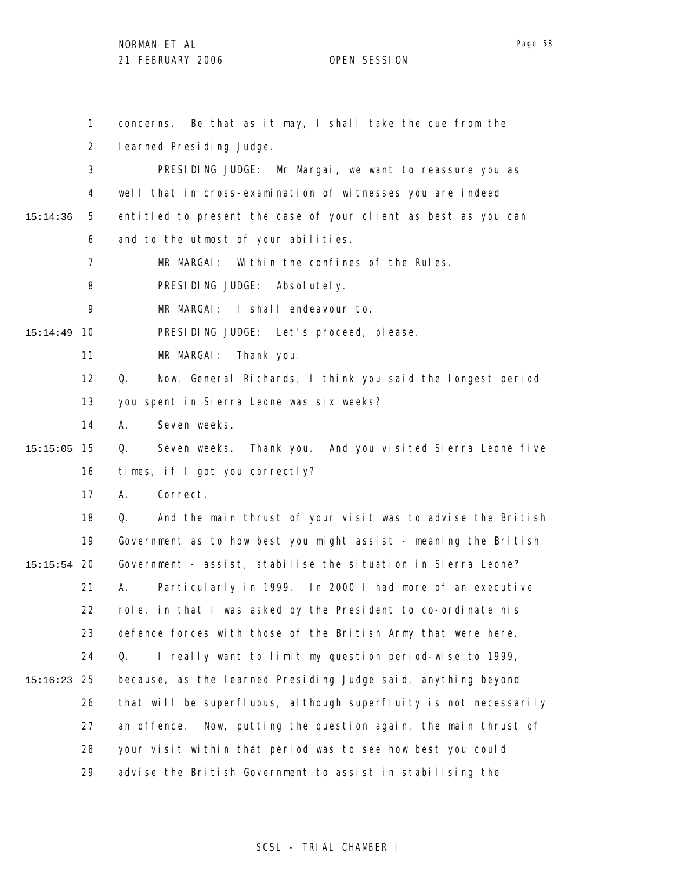1 2 3 4 5 6 7 8 9 10 15:14:49 11 12 13 14 15 15:15:05 16 17 18 19 20 15:15:54 21 22 23 24 25 15:16:23 26 27 28 29 15:14:36 concerns. Be that as it may, I shall take the cue from the learned Presiding Judge. PRESIDING JUDGE: Mr Margai, we want to reassure you as well that in cross-examination of witnesses you are indeed entitled to present the case of your client as best as you can and to the utmost of your abilities. MR MARGAI: Within the confines of the Rules. PRESIDING JUDGE: Absolutely. MR MARGAI: I shall endeavour to. PRESIDING JUDGE: Let's proceed, please. MR MARGAI: Thank you. Q. Now, General Richards, I think you said the longest period you spent in Sierra Leone was six weeks? A. Seven weeks. Q. Seven weeks. Thank you. And you visited Sierra Leone five times, if I got you correctly? A. Correct. Q. And the main thrust of your visit was to advise the British Government as to how best you might assist - meaning the British Government - assist, stabilise the situation in Sierra Leone? A. Particularly in 1999. In 2000 I had more of an executive role, in that I was asked by the President to co-ordinate his defence forces with those of the British Army that were here. Q. I really want to limit my question period-wise to 1999, because, as the learned Presiding Judge said, anything beyond that will be superfluous, although superfluity is not necessarily an offence. Now, putting the question again, the main thrust of your visit within that period was to see how best you could advise the British Government to assist in stabilising the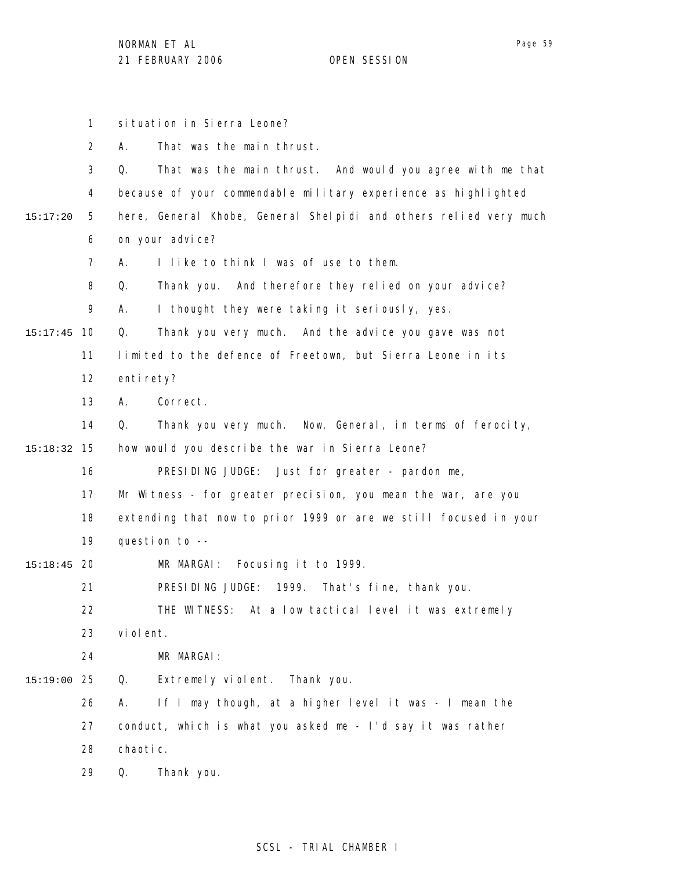|          | 1              | situation in Sierra Leone?                                        |
|----------|----------------|-------------------------------------------------------------------|
|          | 2              | That was the main thrust.<br>А.                                   |
|          | 3              | That was the main thrust. And would you agree with me that<br>Q.  |
|          | 4              | because of your commendable military experience as highlighted    |
| 15:17:20 | 5              | here, General Khobe, General Shelpidi and others relied very much |
|          | 6              | on your advice?                                                   |
|          | $\overline{7}$ | I like to think I was of use to them.<br>А.                       |
|          | 8              | Thank you. And therefore they relied on your advice?<br>Q.        |
|          | 9              | I thought they were taking it seriously, yes.<br>А.               |
| 15:17:45 | 10             | Q.<br>Thank you very much. And the advice you gave was not        |
|          | 11             | limited to the defence of Freetown, but Sierra Leone in its       |
|          | 12             | enti rety?                                                        |
|          | 13             | Correct.<br>А.                                                    |
|          | 14             | Thank you very much. Now, General, in terms of ferocity,<br>Q.    |
| 15:18:32 | 15             | how would you describe the war in Sierra Leone?                   |
|          | 16             | PRESIDING JUDGE: Just for greater - pardon me,                    |
|          | 17             | Mr Witness - for greater precision, you mean the war, are you     |
|          | 18             | extending that now to prior 1999 or are we still focused in your  |
|          | 19             | question to --                                                    |
| 15:18:45 | 20             | Focusing it to 1999.<br>MR MARGAI:                                |
|          | 21             | PRESIDING JUDGE: 1999. That's fine, thank you.                    |
|          | 22             | THE WITNESS: At a low tactical level it was extremely             |
|          | 23             | vi ol ent.                                                        |
|          | 24             | MR MARGAI:                                                        |
| 15:19:00 | 25             | Extremely violent.<br>Thank you.<br>Q.                            |
|          | 26             | If I may though, at a higher level it was - I mean the<br>Α.      |
|          | 27             | conduct, which is what you asked me - I'd say it was rather       |
|          | 28             | chaotic.                                                          |
|          | 29             | Thank you.<br>Q.                                                  |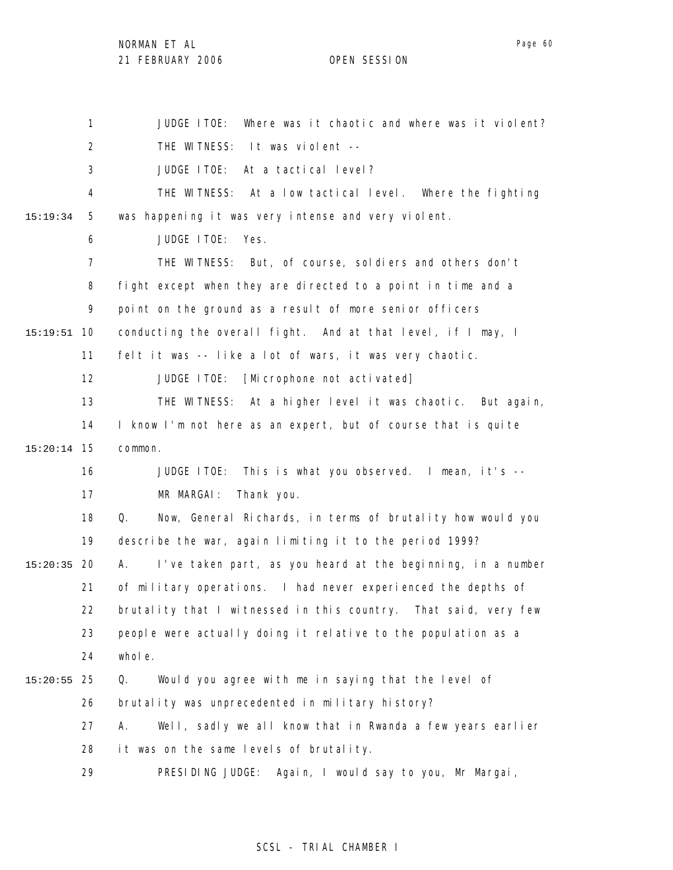NORMAN ET AL

21 FEBRUARY 2006 OPEN SESSION

1 2 3 4 5 6 7 8 9 10 15:19:51 11 12 13 14 15 15:20:14 16 17 18 19 20 15:20:35 21 22 23 24 25 15:20:55 26 27 28 29 15:19:34 JUDGE ITOE: Where was it chaotic and where was it violent? THE WITNESS: It was violent -- JUDGE ITOE: At a tactical level? THE WITNESS: At a low tactical level. Where the fighting was happening it was very intense and very violent. JUDGE ITOE: Yes. THE WITNESS: But, of course, soldiers and others don't fight except when they are directed to a point in time and a point on the ground as a result of more senior officers conducting the overall fight. And at that level, if I may, I felt it was -- like a lot of wars, it was very chaotic. JUDGE ITOE: [Microphone not activated] THE WITNESS: At a higher level it was chaotic. But again, I know I'm not here as an expert, but of course that is quite common. JUDGE ITOE: This is what you observed. I mean, it's -- MR MARGAI: Thank you. Q. Now, General Richards, in terms of brutality how would you describe the war, again limiting it to the period 1999? A. I've taken part, as you heard at the beginning, in a number of military operations. I had never experienced the depths of brutality that I witnessed in this country. That said, very few people were actually doing it relative to the population as a whole. Q. Would you agree with me in saying that the level of brutality was unprecedented in military history? A. Well, sadly we all know that in Rwanda a few years earlier it was on the same levels of brutality. PRESIDING JUDGE: Again, I would say to you, Mr Margai,

### SCSL - TRIAL CHAMBER I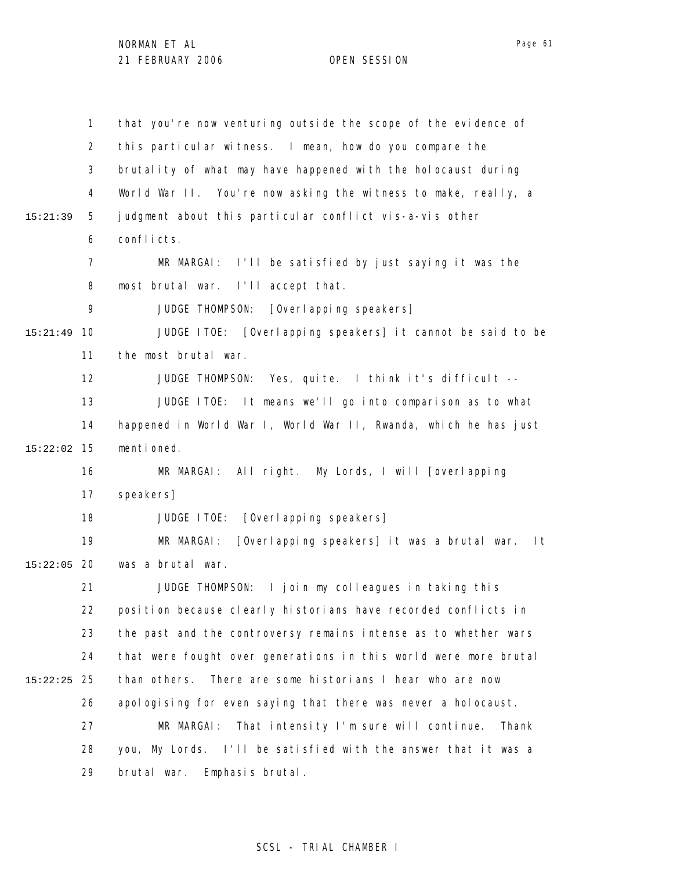|          | $\mathbf{1}$   | that you're now venturing outside the scope of the evidence of   |
|----------|----------------|------------------------------------------------------------------|
|          | $\overline{2}$ | this particular witness. I mean, how do you compare the          |
|          | 3              | brutality of what may have happened with the holocaust during    |
|          | 4              | World War II. You're now asking the witness to make, really, a   |
| 15:21:39 | 5              | judgment about this particular conflict vis-a-vis other          |
|          | 6              | conflicts.                                                       |
|          | $\overline{7}$ | MR MARGAI: I'll be satisfied by just saying it was the           |
|          | 8              | most brutal war. I'll accept that.                               |
|          | 9              | [Overl apping speakers]<br>JUDGE THOMPSON:                       |
| 15:21:49 | 10             | JUDGE ITOE: [Overlapping speakers] it cannot be said to be       |
|          | 11             | the most brutal war.                                             |
|          | 12             | JUDGE THOMPSON: Yes, quite. I think it's difficult --            |
|          | 13             | JUDGE ITOE: It means we'll go into comparison as to what         |
|          | 14             | happened in World War I, World War II, Rwanda, which he has just |
| 15:22:02 | 15             | menti oned.                                                      |
|          | 16             | All right. My Lords, I will [overlapping<br>MR MARGAI:           |
|          | 17             | speakers]                                                        |
|          | 18             | [Overl apping speakers]<br>JUDGE ITOE:                           |
|          | 19             | MR MARGAI:<br>[Overlapping speakers] it was a brutal war.<br>l t |
| 15:22:05 | 20             | was a brutal war.                                                |
|          | 21             | JUDGE THOMPSON: I join my colleagues in taking this              |
|          | 22             | position because clearly historians have recorded conflicts in   |
|          | 23             | the past and the controversy remains intense as to whether wars  |
|          | 24             | that were fought over generations in this world were more brutal |
| 15:22:25 | 25             | than others.<br>There are some historians I hear who are now     |
|          | 26             | apologising for even saying that there was never a holocaust.    |
|          | 27             | That intensity I'm sure will continue.<br>MR MARGAI:<br>Thank    |
|          | 28             | you, My Lords. I'll be satisfied with the answer that it was a   |
|          | 29             | Emphasis brutal.<br>brutal war.                                  |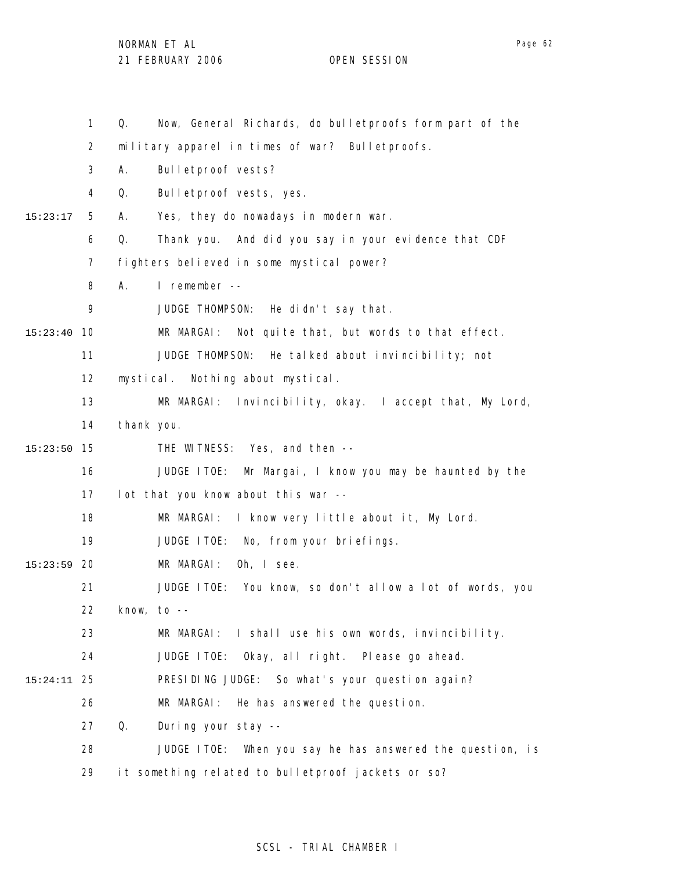|               | 1                 | Now, General Richards, do bulletproofs form part of the<br>Q. |
|---------------|-------------------|---------------------------------------------------------------|
|               | 2                 | military apparel in times of war? Bulletproofs.               |
|               | 3                 | Bulletproof vests?<br>А.                                      |
|               | 4                 | Bulletproof vests, yes.<br>Q.                                 |
| 15:23:17      | 5                 | Yes, they do nowadays in modern war.<br>А.                    |
|               | 6                 | Q.<br>Thank you. And did you say in your evidence that CDF    |
|               | 7                 | fighters believed in some mystical power?                     |
|               | 8                 | I remember --<br>А.                                           |
|               | 9                 | JUDGE THOMPSON: He didn't say that.                           |
| 15:23:40      | 10                | MR MARGAI: Not quite that, but words to that effect.          |
|               | 11                | JUDGE THOMPSON: He talked about invincibility; not            |
|               | $12 \overline{ }$ | mystical. Nothing about mystical.                             |
|               | 13                | MR MARGAI: Invincibility, okay. I accept that, My Lord,       |
|               | 14                | thank you.                                                    |
| 15:23:50      | 15                | THE WITNESS: Yes, and then --                                 |
|               | 16                | JUDGE ITOE: Mr Margai, I know you may be haunted by the       |
|               | 17                | lot that you know about this war --                           |
|               | 18                | I know very little about it, My Lord.<br>MR MARGAI:           |
|               | 19                | JUDGE ITOE: No, from your briefings.                          |
| $15:23:59$ 20 |                   | MR MARGAI:<br>Oh, I see.                                      |
|               | 21                | JUDGE ITOE: You know, so don't allow a lot of words, you      |
|               | 22                | know, to $-$                                                  |
|               | 23                | MR MARGAI: I shall use his own words, invincibility.          |
|               | 24                | JUDGE ITOE: Okay, all right. Please go ahead.                 |
| 15:24:11      | 25                | PRESIDING JUDGE: So what's your question again?               |
|               | 26                | MR MARGAI: He has answered the question.                      |
|               | 27                | Q.<br>During your stay --                                     |
|               | 28                | JUDGE ITOE: When you say he has answered the question, is     |
|               | 29                | it something related to bulletproof jackets or so?            |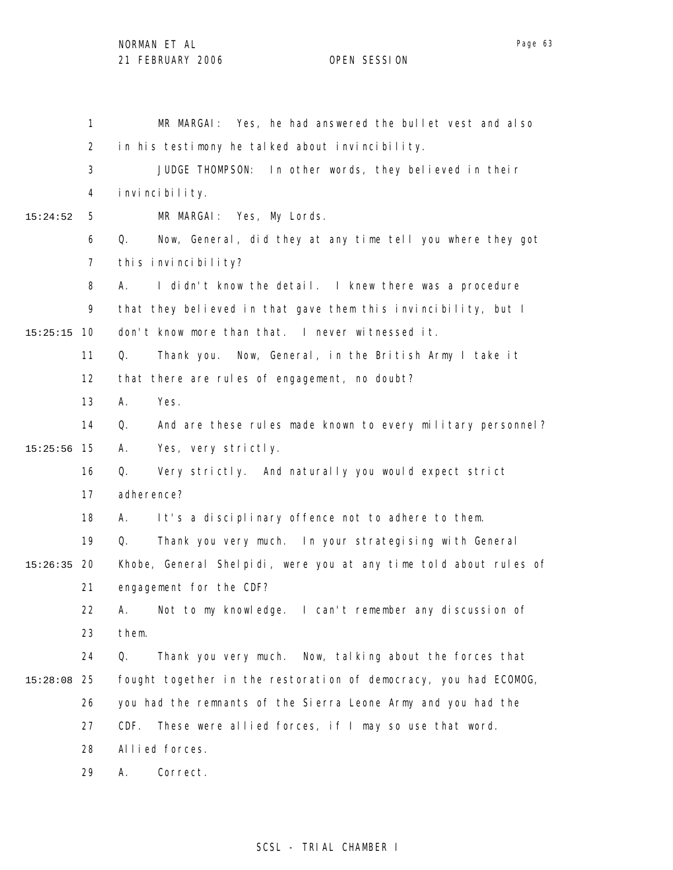|          | 1              | MR MARGAI: Yes, he had answered the bullet vest and also          |
|----------|----------------|-------------------------------------------------------------------|
|          | $\overline{2}$ | in his testimony he talked about invincibility.                   |
|          | 3              | JUDGE THOMPSON: In other words, they believed in their            |
|          | 4              | i nvi nci bi l i ty.                                              |
| 15:24:52 | 5              | MR MARGAI: Yes, My Lords.                                         |
|          | 6              | Q.<br>Now, General, did they at any time tell you where they got  |
|          | $\overline{7}$ | this invincibility?                                               |
|          | 8              | I didn't know the detail. I knew there was a procedure<br>А.      |
|          | 9              | that they believed in that gave them this invincibility, but I    |
| 15:25:15 | 10             | don't know more than that. I never witnessed it.                  |
|          | 11             | Q.<br>Thank you. Now, General, in the British Army I take it      |
|          | 12             | that there are rules of engagement, no doubt?                     |
|          | 13             | Yes.<br>А.                                                        |
|          | 14             | Q.<br>And are these rules made known to every military personnel? |
| 15:25:56 | 15             | Yes, very strictly.<br>А.                                         |
|          | 16             | Very strictly. And naturally you would expect strict<br>Q.        |
|          | 17             | adherence?                                                        |
|          | 18             | It's a disciplinary offence not to adhere to them.<br>А.          |
|          | 19             | Q.<br>Thank you very much. In your strategising with General      |
| 15:26:35 | -20            | Khobe, General Shelpidi, were you at any time told about rules of |
|          | 21             | engagement for the CDF?                                           |
|          | 22             | A. Not to my knowledge. I can't remember any discussion of        |
|          | 23             | them.                                                             |
|          | 24             | Thank you very much. Now, talking about the forces that<br>Q.     |
| 15:28:08 | 25             | fought together in the restoration of democracy, you had ECOMOG,  |
|          | 26             | you had the remnants of the Sierra Leone Army and you had the     |
|          | 27             | These were allied forces, if I may so use that word.<br>CDF.      |
|          | 28             | Allied forces.                                                    |
|          | 29             | Correct.<br>Α.                                                    |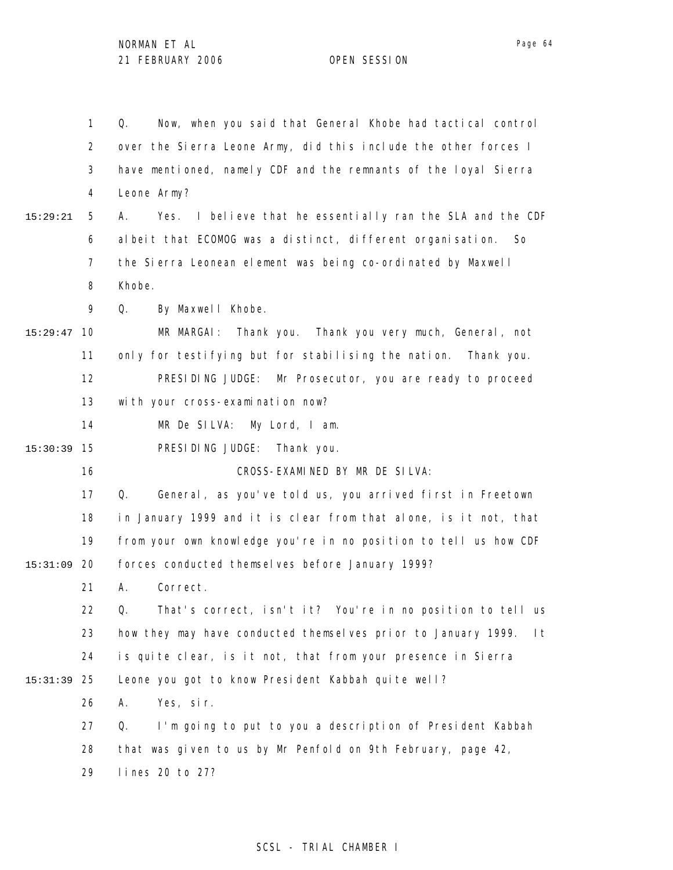1 2 3 4 5 6 7 8 9 10 15:29:47 11 12 13 14 15 15:30:39 16 17 18 19 20 15:31:09 21 22 23 24 25 15:31:39 26 27 28 29 15:29:21 Q. Now, when you said that General Khobe had tactical control over the Sierra Leone Army, did this include the other forces I have mentioned, namely CDF and the remnants of the loyal Sierra Leone Army? A. Yes. I believe that he essentially ran the SLA and the CDF albeit that ECOMOG was a distinct, different organisation. So the Sierra Leonean element was being co-ordinated by Maxwell Khobe. Q. By Maxwell Khobe. MR MARGAI: Thank you. Thank you very much, General, not only for testifying but for stabilising the nation. Thank you. PRESIDING JUDGE: Mr Prosecutor, you are ready to proceed with your cross-examination now? MR De SILVA: My Lord, I am. PRESIDING JUDGE: Thank you. CROSS-EXAMINED BY MR DE SILVA: Q. General, as you've told us, you arrived first in Freetown in January 1999 and it is clear from that alone, is it not, that from your own knowledge you're in no position to tell us how CDF forces conducted themselves before January 1999? A. Correct. Q. That's correct, isn't it? You're in no position to tell us how they may have conducted themselves prior to January 1999. It is quite clear, is it not, that from your presence in Sierra Leone you got to know President Kabbah quite well? A. Yes, sir. Q. I'm going to put to you a description of President Kabbah that was given to us by Mr Penfold on 9th February, page 42, lines 20 to 27?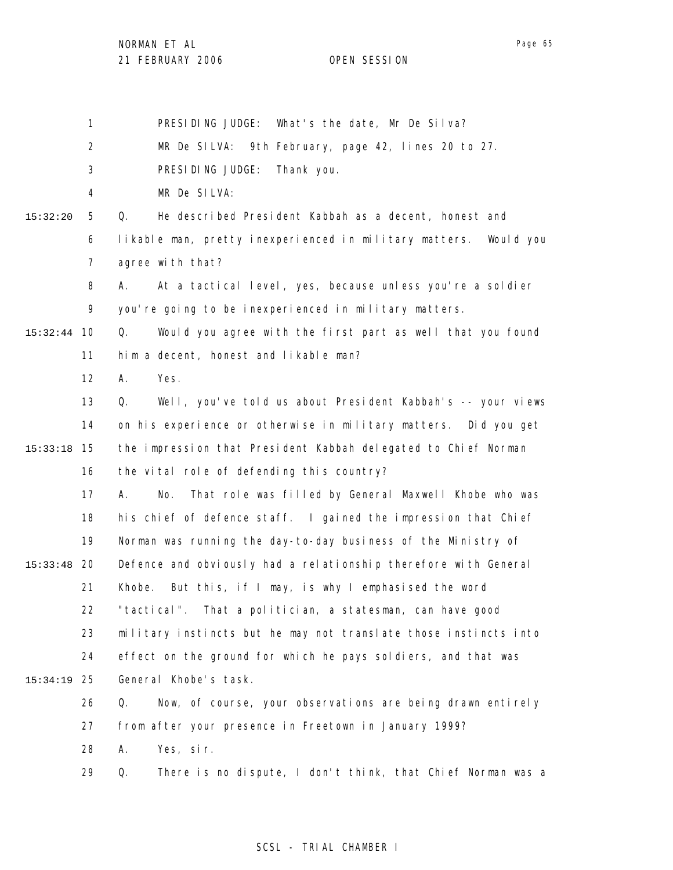1 PRESIDING JUDGE: What's the date, Mr De Silva?

2 MR De SILVA: 9th February, page 42, lines 20 to 27.

3 PRESIDING JUDGE: Thank you.

4 MR De SILVA:

5 6 15:32:20 Q. He described President Kabbah as a decent, honest and likable man, pretty inexperienced in military matters. Would you

> 7 agree with that?

8 9 A. At a tactical level, yes, because unless you're a soldier you're going to be inexperienced in military matters.

10 15:32:44 11 Q. Would you agree with the first part as well that you found him a decent, honest and likable man?

> 12 A. Yes.

29

13 14 15 15:33:18 16 Q. Well, you've told us about President Kabbah's -- your views on his experience or otherwise in military matters. Did you get the impression that President Kabbah delegated to Chief Norman the vital role of defending this country?

17 18 19 20 15:33:48 21 22 23 24 25 15:34:19 A. No. That role was filled by General Maxwell Khobe who was his chief of defence staff. I gained the impression that Chief Norman was running the day-to-day business of the Ministry of Defence and obviously had a relationship therefore with General Khobe. But this, if I may, is why I emphasised the word "tactical". That a politician, a statesman, can have good military instincts but he may not translate those instincts into effect on the ground for which he pays soldiers, and that was General Khobe's task.

26 27 28 Q. Now, of course, your observations are being drawn entirely from after your presence in Freetown in January 1999? A. Yes, sir.

### SCSL - TRIAL CHAMBER I

Q. There is no dispute, I don't think, that Chief Norman was a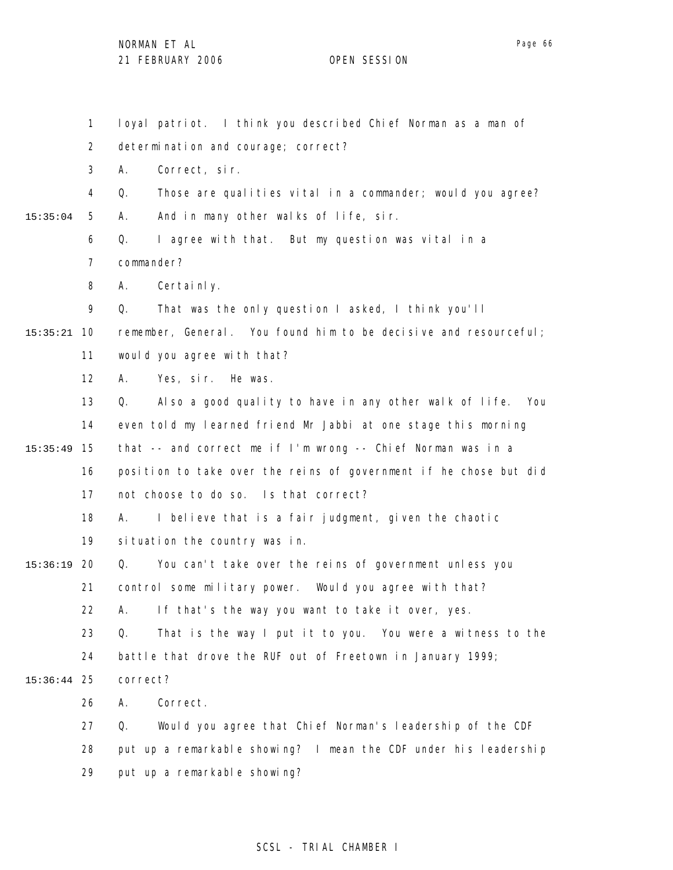1 2 3 4 5 6 7 8 9 10 15:35:21 11 12 13 14 15 15:35:49 16 17 18 19 20 15:36:19 21 22 23 24 25 15:36:44 26 27 28 29 15:35:04 loyal patriot. I think you described Chief Norman as a man of determination and courage; correct? A. Correct, sir. Q. Those are qualities vital in a commander; would you agree? A. And in many other walks of life, sir. Q. I agree with that. But my question was vital in a commander? A. Certainly. Q. That was the only question I asked, I think you'll remember, General. You found him to be decisive and resourceful; would you agree with that? A. Yes, sir. He was. Q. Also a good quality to have in any other walk of life. You even told my learned friend Mr Jabbi at one stage this morning that -- and correct me if I'm wrong -- Chief Norman was in a position to take over the reins of government if he chose but did not choose to do so. Is that correct? A. I believe that is a fair judgment, given the chaotic situation the country was in. Q. You can't take over the reins of government unless you control some military power. Would you agree with that? A. If that's the way you want to take it over, yes. Q. That is the way I put it to you. You were a witness to the battle that drove the RUF out of Freetown in January 1999; correct? A. Correct. Q. Would you agree that Chief Norman's leadership of the CDF put up a remarkable showing? I mean the CDF under his leadership put up a remarkable showing?

### SCSL - TRIAL CHAMBER I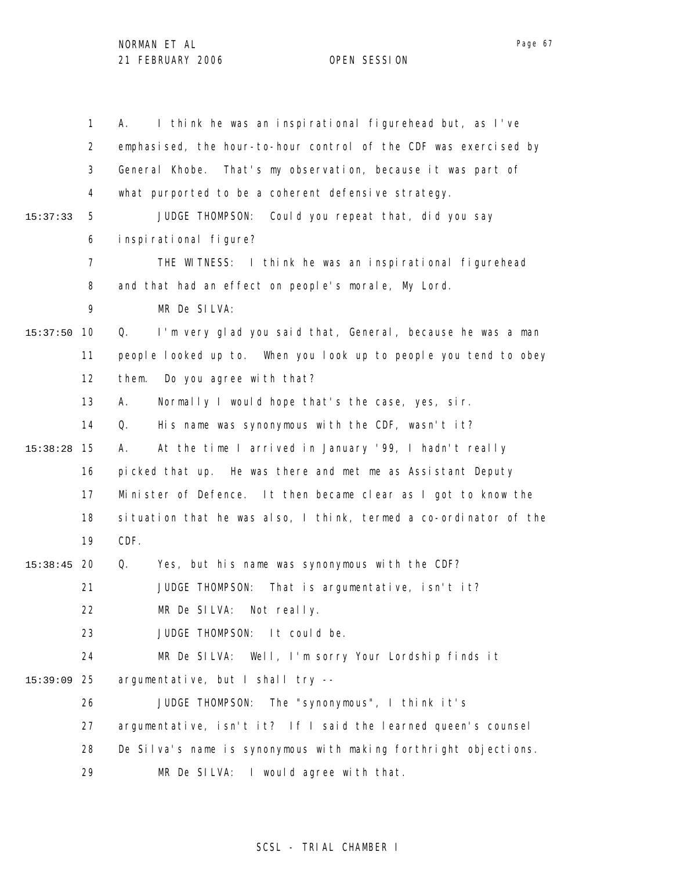|          | $\mathbf{1}$   | I think he was an inspirational figurehead but, as I've<br>А.     |
|----------|----------------|-------------------------------------------------------------------|
|          | $\overline{2}$ | emphasised, the hour-to-hour control of the CDF was exercised by  |
|          | 3              | General Khobe. That's my observation, because it was part of      |
|          | 4              | what purported to be a coherent defensive strategy.               |
| 15:37:33 | 5              | JUDGE THOMPSON: Could you repeat that, did you say                |
|          | 6              | inspirational figure?                                             |
|          | $\overline{7}$ | THE WITNESS: I think he was an inspirational figurehead           |
|          | 8              | and that had an effect on people's morale, My Lord.               |
|          | 9              | MR De SILVA:                                                      |
| 15:37:50 | 10             | I'm very glad you said that, General, because he was a man<br>Q.  |
|          | 11             | people looked up to. When you look up to people you tend to obey  |
|          | 12             | Do you agree with that?<br>them.                                  |
|          | 13             | Normally I would hope that's the case, yes, sir.<br>А.            |
|          | 14             | His name was synonymous with the CDF, wasn't it?<br>Q.            |
| 15:38:28 | 15             | At the time I arrived in January '99, I hadn't really<br>А.       |
|          | 16             | picked that up. He was there and met me as Assistant Deputy       |
|          | 17             | Minister of Defence. It then became clear as I got to know the    |
|          | 18             | situation that he was also, I think, termed a co-ordinator of the |
|          | 19             | CDF.                                                              |
| 15:38:45 | -20            | Yes, but his name was synonymous with the CDF?<br>Q.              |
|          | 21             | JUDGE THOMPSON:<br>That is argumentative, isn't it?               |
|          | 22             | MR De SILVA: Not really.                                          |
|          | 23             | JUDGE THOMPSON: It could be.                                      |
|          | 24             | MR De SILVA: Well, I'm sorry Your Lordship finds it               |
| 15:39:09 | 25             | argumentative, but I shall try --                                 |
|          | 26             | JUDGE THOMPSON: The "synonymous", I think it's                    |
|          | 27             | argumentative, isn't it? If I said the learned queen's counsel    |
|          | 28             | De Silva's name is synonymous with making forthright objections.  |
|          | 29             | MR De SILVA: I would agree with that.                             |

## SCSL - TRIAL CHAMBER I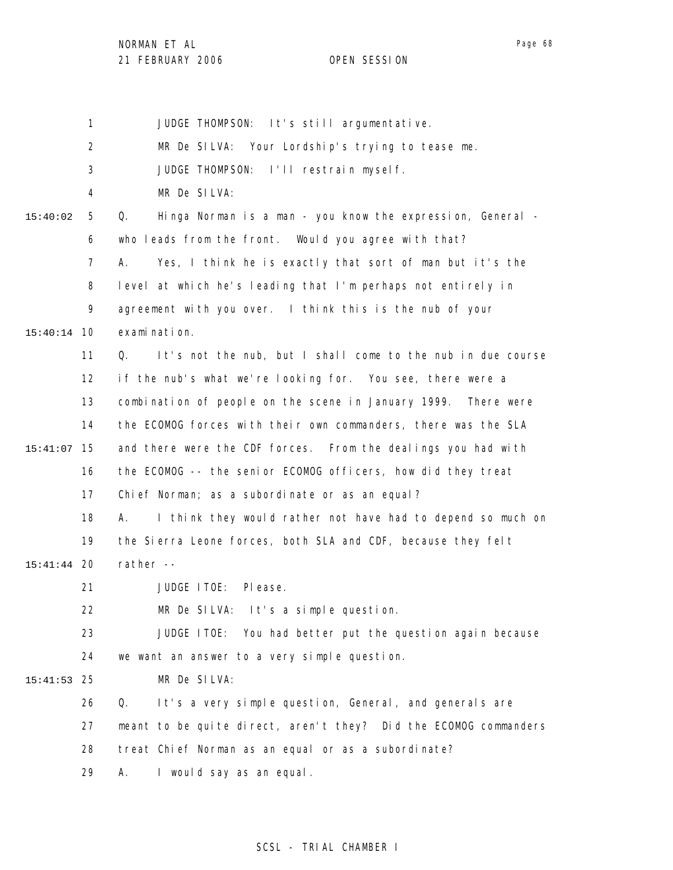NORMAN ET AL

21 FEBRUARY 2006 OPEN SESSION

Page 68

1 2 3 4 5 6 7 8 9 10 15:40:14 11 12 13 14 15 15:41:07 16 17 18 19 20 15:41:44 21 22 23 24 25 15:41:53 26 27 28 29 15:40:02 JUDGE THOMPSON: It's still argumentative. MR De SILVA: Your Lordship's trying to tease me. JUDGE THOMPSON: I'll restrain myself. MR De SILVA: Q. Hinga Norman is a man - you know the expression, General who leads from the front. Would you agree with that? A. Yes, I think he is exactly that sort of man but it's the level at which he's leading that I'm perhaps not entirely in agreement with you over. I think this is the nub of your examination. Q. It's not the nub, but I shall come to the nub in due course if the nub's what we're looking for. You see, there were a combination of people on the scene in January 1999. There were the ECOMOG forces with their own commanders, there was the SLA and there were the CDF forces. From the dealings you had with the ECOMOG -- the senior ECOMOG officers, how did they treat Chief Norman; as a subordinate or as an equal? A. I think they would rather not have had to depend so much on the Sierra Leone forces, both SLA and CDF, because they felt rather -- JUDGE ITOE: Please. MR De SILVA: It's a simple question. JUDGE ITOE: You had better put the question again because we want an answer to a very simple question. MR De SILVA: Q. It's a very simple question, General, and generals are meant to be quite direct, aren't they? Did the ECOMOG commanders treat Chief Norman as an equal or as a subordinate? A. I would say as an equal.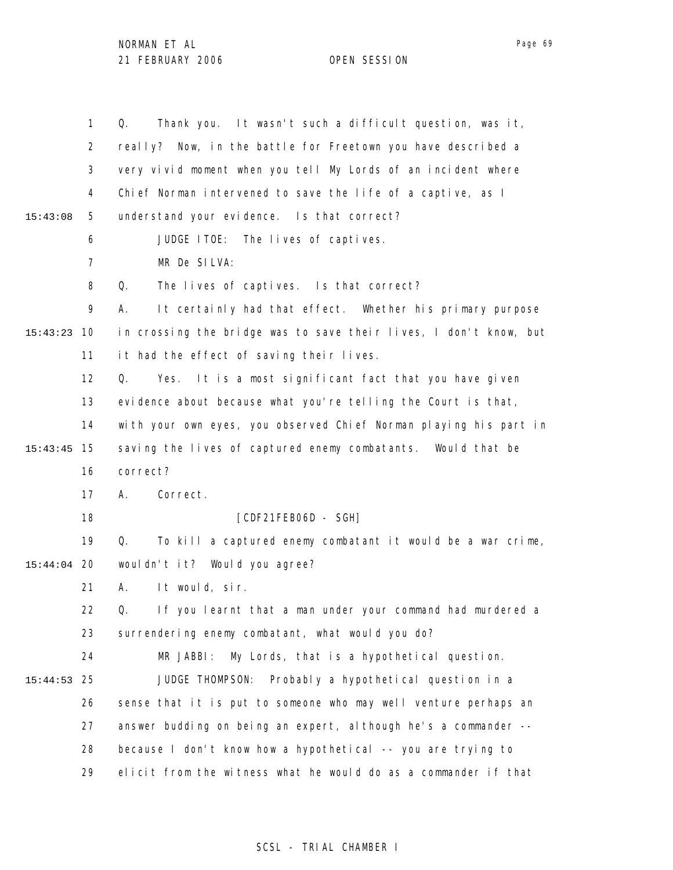|          | $\mathbf{1}$   | Thank you. It wasn't such a difficult question, was it,<br>Q.     |
|----------|----------------|-------------------------------------------------------------------|
|          | $\overline{2}$ | really? Now, in the battle for Freetown you have described a      |
|          | 3              | very vivid moment when you tell My Lords of an incident where     |
|          | 4              | Chief Norman intervened to save the life of a captive, as I       |
| 15:43:08 | 5              | understand your evidence. Is that correct?                        |
|          | 6              | JUDGE ITOE: The lives of captives.                                |
|          | 7              | MR De SILVA:                                                      |
|          | 8              | The lives of captives. Is that correct?<br>Q.                     |
|          | 9              | It certainly had that effect. Whether his primary purpose<br>А.   |
| 15:43:23 | 10             | in crossing the bridge was to save their lives, I don't know, but |
|          | 11             | it had the effect of saving their lives.                          |
|          | 12             | It is a most significant fact that you have given<br>Q.<br>Yes.   |
|          | 13             | evidence about because what you're telling the Court is that,     |
|          | 14             | with your own eyes, you observed Chief Norman playing his part in |
| 15:43:45 | 15             | saving the lives of captured enemy combatants. Would that be      |
|          | 16             | correct?                                                          |
|          | 17             | Correct.<br>А.                                                    |
|          | 18             | [CDF21FEB06D - SGH]                                               |
|          | 19             | To kill a captured enemy combatant it would be a war crime,<br>Q. |
| 15:44:04 | 20             | wouldn't it? Would you agree?                                     |
|          | 21             | It would, sir.<br>А.                                              |
|          | 22             | Q. If you learnt that a man under your command had murdered a     |
|          | 23             | surrendering enemy combatant, what would you do?                  |
|          | 24             | MR JABBI:<br>My Lords, that is a hypothetical question.           |
| 15:44:53 | 25             | JUDGE THOMPSON:<br>Probably a hypothetical question in a          |
|          | 26             | sense that it is put to someone who may well venture perhaps an   |
|          | 27             | answer budding on being an expert, although he's a commander --   |
|          | 28             | because I don't know how a hypothetical -- you are trying to      |
|          | 29             | elicit from the witness what he would do as a commander if that   |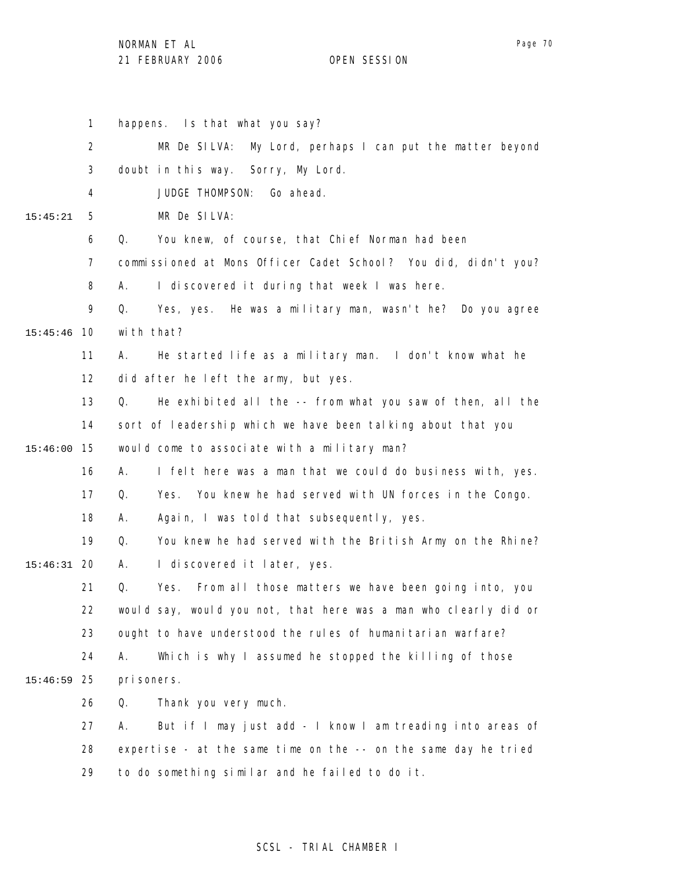29

1 2 3 4 5 6 7 8 9 10 15:45:46 11 12 13 14 15 15:46:00 16 17 18 19 20 15:46:31 21 22 23 24 25 15:46:59 26 27 28 15:45:21 happens. Is that what you say? MR De SILVA: My Lord, perhaps I can put the matter beyond doubt in this way. Sorry, My Lord. JUDGE THOMPSON: Go ahead. MR De SILVA: Q. You knew, of course, that Chief Norman had been commissioned at Mons Officer Cadet School? You did, didn't you? A. I discovered it during that week I was here. Q. Yes, yes. He was a military man, wasn't he? Do you agree with that? A. He started life as a military man. I don't know what he did after he left the army, but yes. Q. He exhibited all the -- from what you saw of then, all the sort of leadership which we have been talking about that you would come to associate with a military man? A. I felt here was a man that we could do business with, yes. Q. Yes. You knew he had served with UN forces in the Congo. A. Again, I was told that subsequently, yes. Q. You knew he had served with the British Army on the Rhine? A. I discovered it later, yes. Q. Yes. From all those matters we have been going into, you would say, would you not, that here was a man who clearly did or ought to have understood the rules of humanitarian warfare? A. Which is why I assumed he stopped the killing of those prisoners. Q. Thank you very much. A. But if I may just add - I know I am treading into areas of expertise - at the same time on the -- on the same day he tried

### SCSL - TRIAL CHAMBER I

to do something similar and he failed to do it.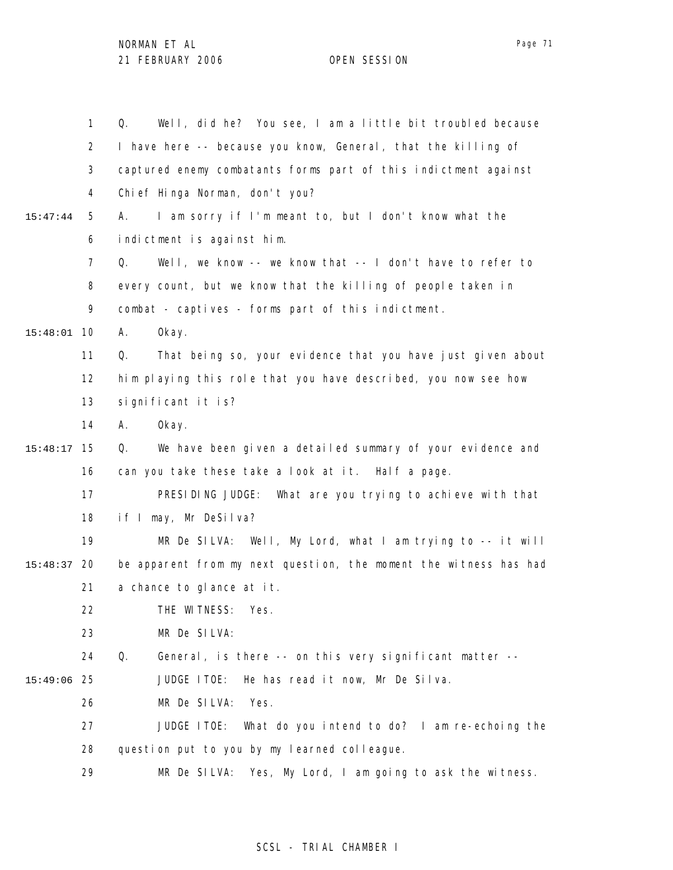|          | $\mathbf{1}$      | Well, did he? You see, I am a little bit troubled because<br>Q.   |
|----------|-------------------|-------------------------------------------------------------------|
|          | $\overline{2}$    | I have here -- because you know, General, that the killing of     |
|          | 3                 | captured enemy combatants forms part of this indictment against   |
|          | 4                 | Chi ef Hinga Norman, don't you?                                   |
| 15:47:44 | 5                 | I am sorry if I'm meant to, but I don't know what the<br>А.       |
|          | 6                 | indictment is against him.                                        |
|          | $\overline{7}$    | Well, we know -- we know that -- I don't have to refer to<br>Q.   |
|          | 8                 | every count, but we know that the killing of people taken in      |
|          | 9                 | combat - captives - forms part of this indictment.                |
| 15:48:01 | 10                | Α.<br>0kay.                                                       |
|          | 11                | That being so, your evidence that you have just given about<br>Q. |
|          | $12 \overline{ }$ | him playing this role that you have described, you now see how    |
|          | 13                | significant it is?                                                |
|          | 14                | Okay.<br>Α.                                                       |
| 15:48:17 | 15                | We have been given a detailed summary of your evidence and<br>Q.  |
|          | 16                | can you take these take a look at it. Half a page.                |
|          | 17                | PRESIDING JUDGE: What are you trying to achieve with that         |
|          | 18                | if I may, Mr DeSilva?                                             |
|          | 19                | MR De SILVA: Well, My Lord, what I am trying to $-$ -it will      |
| 15:48:37 | 20                | be apparent from my next question, the moment the witness has had |
|          | 21                | a chance to glance at it.                                         |
|          | 22                | THE WITNESS: Yes.                                                 |
|          | 23                | MR De SILVA:                                                      |
|          | 24                | Q.<br>General, is there -- on this very significant matter --     |
| 15:49:06 | 25                | JUDGE ITOE:<br>He has read it now, Mr De Silva.                   |
|          | 26                | MR De SILVA:<br>Yes.                                              |
|          | 27                | JUDGE ITOE:<br>What do you intend to do? I am re-echoing the      |
|          | 28                | question put to you by my learned colleague.                      |
|          | 29                | Yes, My Lord, I am going to ask the witness.<br>MR De SILVA:      |

# SCSL - TRIAL CHAMBER I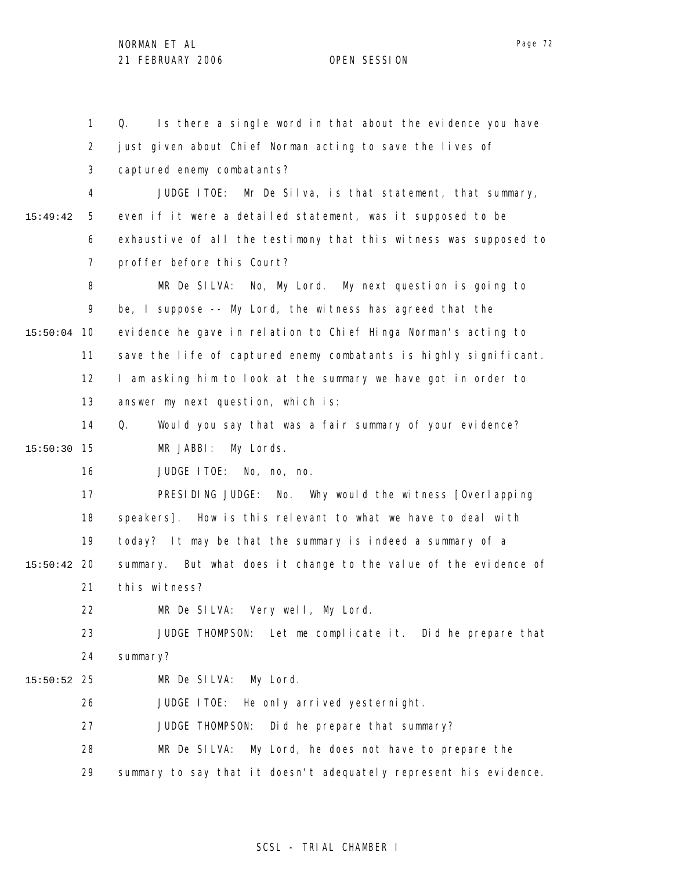1 2 3 4 5 6 7 8 9 15:50:04 10 11 12 13 14 15 15:50:30 16 17 18 19 20 15:50:42 21 22 23 24 25 15:50:52 26 27 28 29 15:49:42 Q. Is there a single word in that about the evidence you have just given about Chief Norman acting to save the lives of captured enemy combatants? JUDGE ITOE: Mr De Silva, is that statement, that summary, even if it were a detailed statement, was it supposed to be exhaustive of all the testimony that this witness was supposed to proffer before this Court? MR De SILVA: No, My Lord. My next question is going to be, I suppose -- My Lord, the witness has agreed that the evidence he gave in relation to Chief Hinga Norman's acting to save the life of captured enemy combatants is highly significant. I am asking him to look at the summary we have got in order to answer my next question, which is: Q. Would you say that was a fair summary of your evidence? MR JABBI: My Lords. JUDGE ITOE: No, no, no. PRESIDING JUDGE: No. Why would the witness [Overlapping speakers]. How is this relevant to what we have to deal with today? It may be that the summary is indeed a summary of a summary. But what does it change to the value of the evidence of this witness? MR De SILVA: Very well, My Lord. JUDGE THOMPSON: Let me complicate it. Did he prepare that summary? MR De SILVA: My Lord. JUDGE ITOE: He only arrived yesternight. JUDGE THOMPSON: Did he prepare that summary? MR De SILVA: My Lord, he does not have to prepare the summary to say that it doesn't adequately represent his evidence.

### SCSL - TRIAL CHAMBER I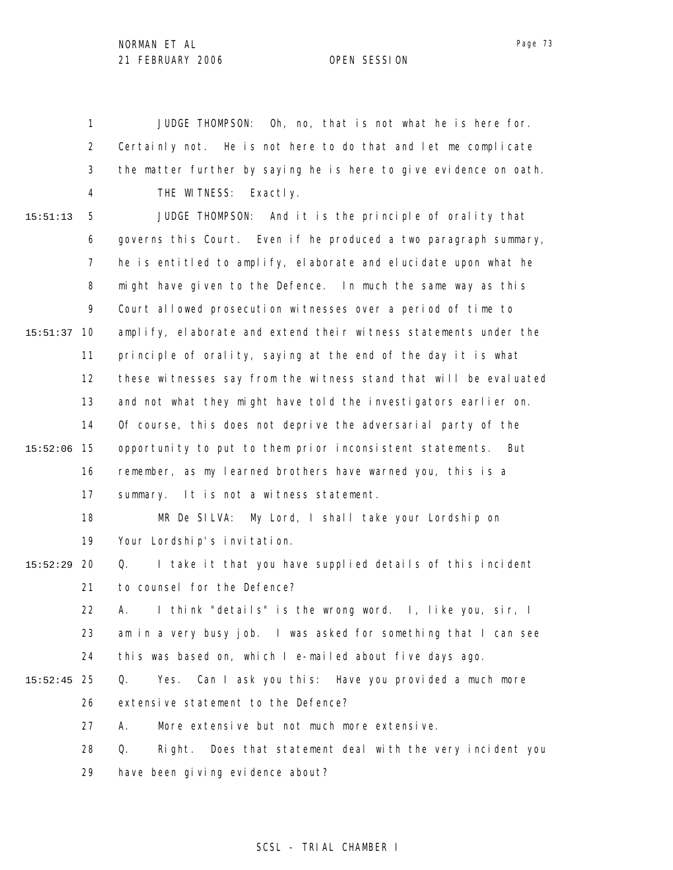1 2 3 4 JUDGE THOMPSON: Oh, no, that is not what he is here for. Certainly not. He is not here to do that and let me complicate the matter further by saying he is here to give evidence on oath. THE WITNESS: Exactly.

5 6 7 8 9 10 15:51:37 11 12 13 14 15 15:52:06 16 17 18 19 20 15:52:29 21 22 23 24 25 15:52:45 26 27 28 15:51:13 JUDGE THOMPSON: And it is the principle of orality that governs this Court. Even if he produced a two paragraph summary, he is entitled to amplify, elaborate and elucidate upon what he might have given to the Defence. In much the same way as this Court allowed prosecution witnesses over a period of time to amplify, elaborate and extend their witness statements under the principle of orality, saying at the end of the day it is what these witnesses say from the witness stand that will be evaluated and not what they might have told the investigators earlier on. Of course, this does not deprive the adversarial party of the opportunity to put to them prior inconsistent statements. But remember, as my learned brothers have warned you, this is a summary. It is not a witness statement. MR De SILVA: My Lord, I shall take your Lordship on Your Lordship's invitation. Q. I take it that you have supplied details of this incident to counsel for the Defence? A. I think "details" is the wrong word. I, like you, sir, I am in a very busy job. I was asked for something that I can see this was based on, which I e-mailed about five days ago. Q. Yes. Can I ask you this: Have you provided a much more extensive statement to the Defence? A. More extensive but not much more extensive. Q. Right. Does that statement deal with the very incident you

> 29 have been giving evidence about?

### SCSL - TRIAL CHAMBER I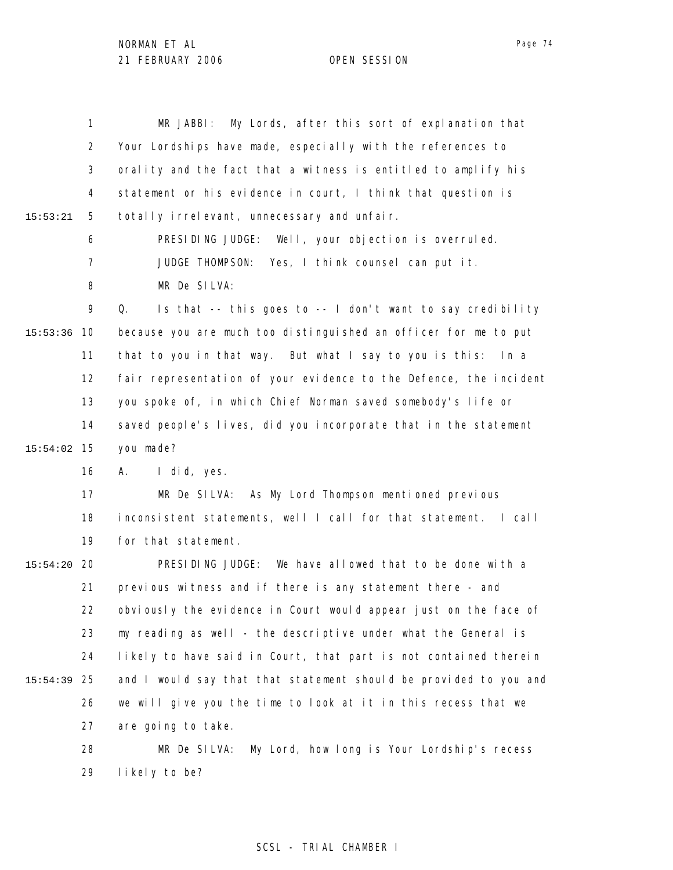|             | $\mathbf{1}$   | My Lords, after this sort of explanation that<br>MR JABBI:        |
|-------------|----------------|-------------------------------------------------------------------|
|             | $\overline{2}$ | Your Lordships have made, especially with the references to       |
|             | 3              | orality and the fact that a witness is entitled to amplify his    |
|             | 4              | statement or his evidence in court, I think that question is      |
| 15:53:21    | 5              | totally irrelevant, unnecessary and unfair.                       |
|             | 6              | PRESIDING JUDGE: Well, your objection is overruled.               |
|             | $\overline{7}$ | JUDGE THOMPSON:<br>Yes, I think counsel can put it.               |
|             | 8              | MR De SILVA:                                                      |
|             | 9              | Q.<br>Is that -- this goes to -- I don't want to say credibility  |
| 15:53:36    | 10             | because you are much too distinguished an officer for me to put   |
|             | 11             | that to you in that way. But what I say to you is this: In a      |
|             | 12             | fair representation of your evidence to the Defence, the incident |
|             | 13             | you spoke of, in which Chief Norman saved somebody's life or      |
|             | 14             | saved people's lives, did you incorporate that in the statement   |
| 15:54:02    | 15             | you made?                                                         |
|             | 16             | I did, yes.<br>А.                                                 |
|             | 17             | MR De SILVA: As My Lord Thompson mentioned previous               |
|             | 18             | inconsistent statements, well I call for that statement. I call   |
|             | 19             | for that statement.                                               |
| 15:54:20    | 20             | PRESIDING JUDGE: We have allowed that to be done with a           |
|             | 21             | previous witness and if there is any statement there - and        |
|             | 22             | obviously the evidence in Court would appear just on the face of  |
|             | 23             | my reading as well - the descriptive under what the General is    |
|             | 24             | likely to have said in Court, that part is not contained therein  |
| 15:54:39 25 |                | and I would say that that statement should be provided to you and |
|             | 26             | we will give you the time to look at it in this recess that we    |
|             | 27             | are going to take.                                                |
|             | 28             | MR De SILVA:<br>My Lord, how long is Your Lordship's recess       |
|             | 29             | likely to be?                                                     |

# SCSL - TRIAL CHAMBER I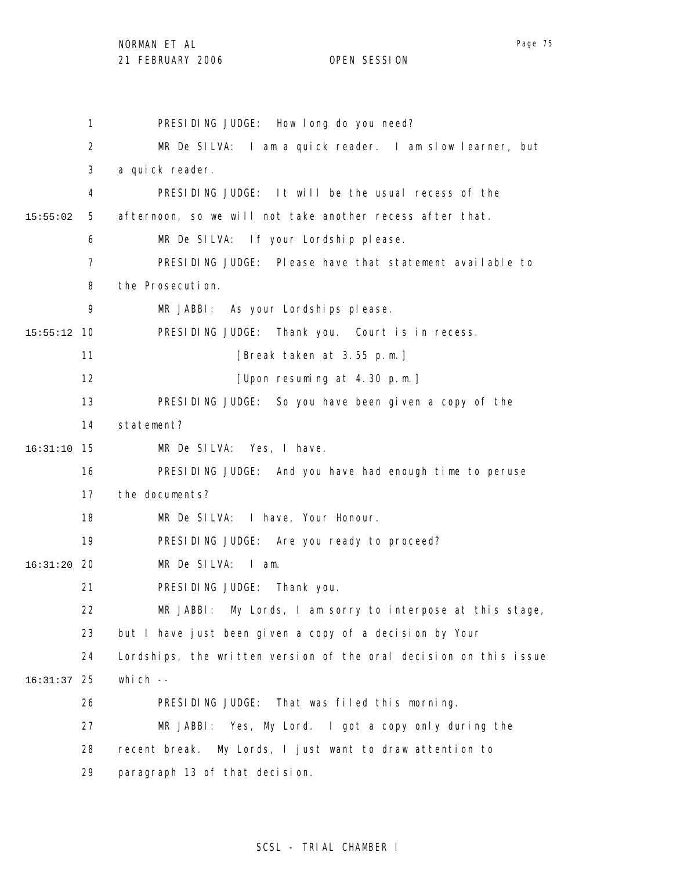1 2 3 4 5 6 7 8 9 10 15:55:12 11 12 13 14 15 16:31:10 16 17 18 19 20 16:31:20 21 22 23 24 25 16:31:37 26 27 28 29 15:55:02 PRESIDING JUDGE: How long do you need? MR De SILVA: I am a quick reader. I am slow learner, but a quick reader. PRESIDING JUDGE: It will be the usual recess of the afternoon, so we will not take another recess after that. MR De SILVA: If your Lordship please. PRESIDING JUDGE: Please have that statement available to the Prosecution. MR JABBI: As your Lordships please. PRESIDING JUDGE: Thank you. Court is in recess. [Break taken at 3.55 p.m.] [Upon resuming at 4.30 p.m.] PRESIDING JUDGE: So you have been given a copy of the statement? MR De SILVA: Yes, I have. PRESIDING JUDGE: And you have had enough time to peruse the documents? MR De SILVA: I have, Your Honour. PRESIDING JUDGE: Are you ready to proceed? MR De SILVA: I am. PRESIDING JUDGE: Thank you. MR JABBI: My Lords, I am sorry to interpose at this stage, but I have just been given a copy of a decision by Your Lordships, the written version of the oral decision on this issue which  $-$ PRESIDING JUDGE: That was filed this morning. MR JABBI: Yes, My Lord. I got a copy only during the recent break. My Lords, I just want to draw attention to paragraph 13 of that decision.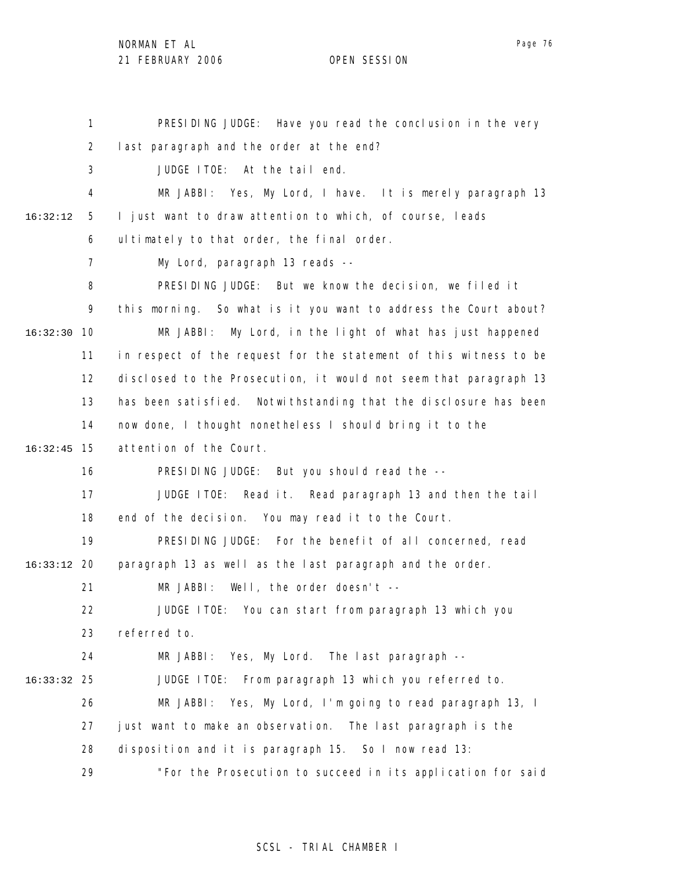1 2 3 4 5 6 7 8 9 10 16:32:30 11 12 13 14 15 16:32:45 16 17 18 19 20 16:33:12 21 22 23 24 25 16:33:32 26 27 28 29 16:32:12 PRESIDING JUDGE: Have you read the conclusion in the very last paragraph and the order at the end? JUDGE ITOE: At the tail end. MR JABBI: Yes, My Lord, I have. It is merely paragraph 13 I just want to draw attention to which, of course, leads ultimately to that order, the final order. My Lord, paragraph 13 reads -- PRESIDING JUDGE: But we know the decision, we filed it this morning. So what is it you want to address the Court about? MR JABBI: My Lord, in the light of what has just happened in respect of the request for the statement of this witness to be disclosed to the Prosecution, it would not seem that paragraph 13 has been satisfied. Notwithstanding that the disclosure has been now done, I thought nonetheless I should bring it to the attention of the Court. PRESIDING JUDGE: But you should read the -- JUDGE ITOE: Read it. Read paragraph 13 and then the tail end of the decision. You may read it to the Court. PRESIDING JUDGE: For the benefit of all concerned, read paragraph 13 as well as the last paragraph and the order. MR JABBI: Well, the order doesn't -- JUDGE ITOE: You can start from paragraph 13 which you referred to. MR JABBI: Yes, My Lord. The last paragraph -- JUDGE ITOE: From paragraph 13 which you referred to. MR JABBI: Yes, My Lord, I'm going to read paragraph 13, I just want to make an observation. The last paragraph is the disposition and it is paragraph 15. So I now read 13: "For the Prosecution to succeed in its application for said

# SCSL - TRIAL CHAMBER I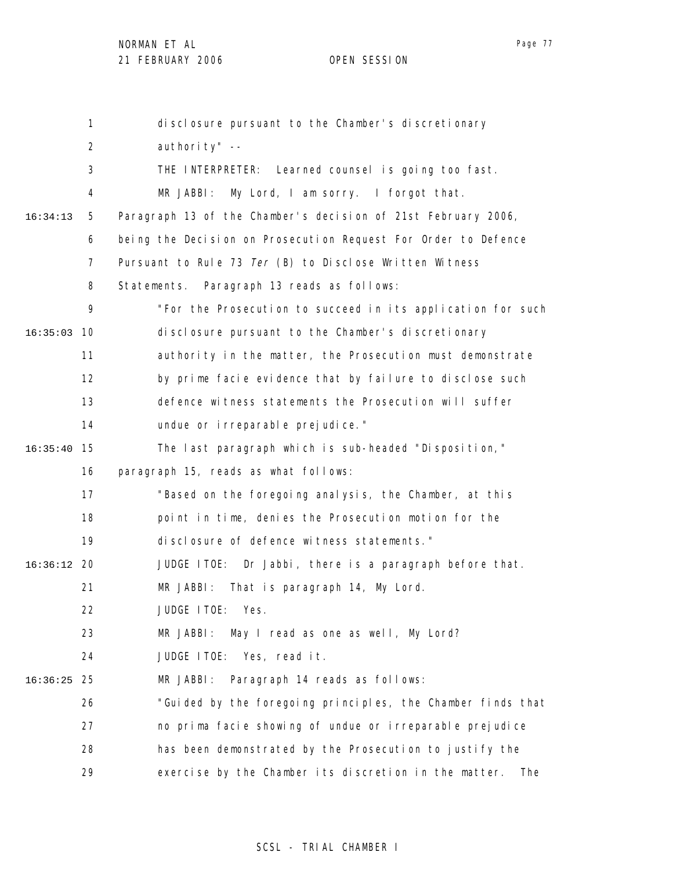|          | $\mathbf{1}$   | disclosure pursuant to the Chamber's discretionary             |
|----------|----------------|----------------------------------------------------------------|
|          | 2              | authority" --                                                  |
|          | 3              | THE INTERPRETER: Learned counsel is going too fast.            |
|          | 4              | My Lord, I am sorry. I forgot that.<br>MR JABBI:               |
| 16:34:13 | 5              | Paragraph 13 of the Chamber's decision of 21st February 2006,  |
|          | 6              | being the Decision on Prosecution Request For Order to Defence |
|          | $\overline{7}$ | Pursuant to Rule 73 Ter (B) to Disclose Written Witness        |
|          | 8              | Paragraph 13 reads as follows:<br>Statements.                  |
|          | 9              | "For the Prosecution to succeed in its application for such    |
| 16:35:03 | 10             | disclosure pursuant to the Chamber's discretionary             |
|          | 11             | authority in the matter, the Prosecution must demonstrate      |
|          | 12             | by prime facie evidence that by failure to disclose such       |
|          | 13             | defence witness statements the Prosecution will suffer         |
|          | 14             | undue or i rreparable prejudice."                              |
| 16:35:40 | 15             | The last paragraph which is sub-headed "Disposition,"          |
|          | 16             | paragraph 15, reads as what follows:                           |
|          | 17             | "Based on the foregoing analysis, the Chamber, at this         |
|          | 18             | point in time, denies the Prosecution motion for the           |
|          | 19             | di sclosure of defence witness statements."                    |
| 16:36:12 | 20             | JUDGE ITOE: Dr Jabbi, there is a paragraph before that.        |
|          | 21             | MR JABBI:<br>That is paragraph 14, My Lord.                    |
|          | 22             | JUDGE ITOE:<br>Yes.                                            |
|          | 23             | May I read as one as well, My Lord?<br>MR JABBI:               |
|          | 24             | JUDGE ITOE: Yes, read it.                                      |
| 16:36:25 | 25             | Paragraph 14 reads as follows:<br>MR JABBI:                    |
|          | 26             | "Guided by the foregoing principles, the Chamber finds that    |
|          | 27             | no prima facie showing of undue or irreparable prejudice       |
|          | 28             | has been demonstrated by the Prosecution to justify the        |
|          | 29             | exercise by the Chamber its discretion in the matter.<br>The   |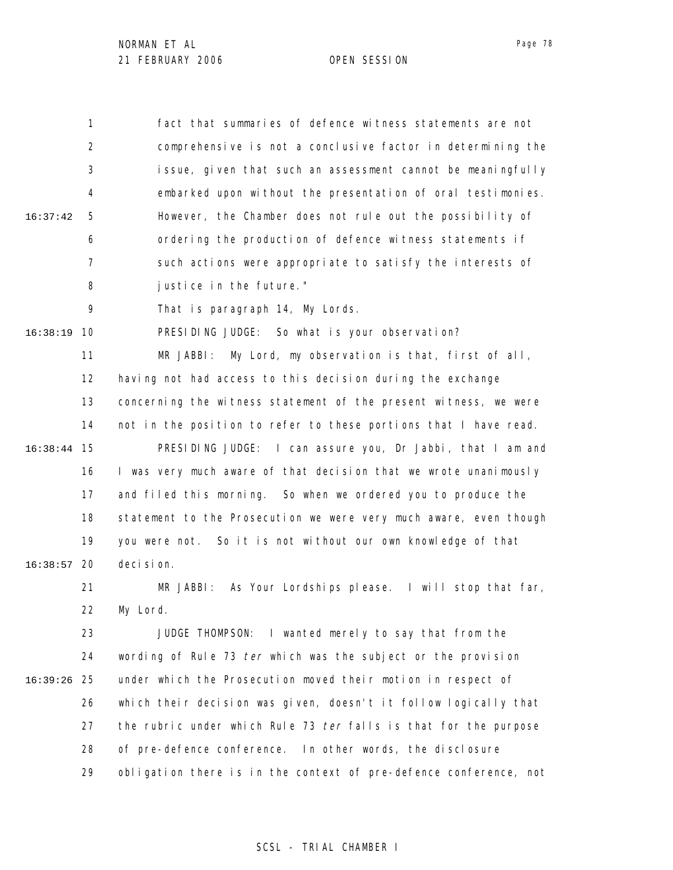1 2 3 4 5 6 7 8 16:37:42 fact that summaries of defence witness statements are not comprehensive is not a conclusive factor in determining the issue, given that such an assessment cannot be meaningfully embarked upon without the presentation of oral testimonies. However, the Chamber does not rule out the possibility of ordering the production of defence witness statements if such actions were appropriate to satisfy the interests of justice in the future."

> 9 That is paragraph 14, My Lords.

10 16:38:19 PRESIDING JUDGE: So what is your observation?

11 12 13 14 15 16:38:44 16 17 18 19 20 16:38:57 MR JABBI: My Lord, my observation is that, first of all, having not had access to this decision during the exchange concerning the witness statement of the present witness, we were not in the position to refer to these portions that I have read. PRESIDING JUDGE: I can assure you, Dr Jabbi, that I am and I was very much aware of that decision that we wrote unanimously and filed this morning. So when we ordered you to produce the statement to the Prosecution we were very much aware, even though you were not. So it is not without our own knowledge of that decision.

21 22 MR JABBI: As Your Lordships please. I will stop that far, My Lord.

23 24 25 16:39:26 26 27 28 29 JUDGE THOMPSON: I wanted merely to say that from the wording of Rule 73 ter which was the subject or the provision under which the Prosecution moved their motion in respect of which their decision was given, doesn't it follow logically that the rubric under which Rule 73 ter falls is that for the purpose of pre-defence conference. In other words, the disclosure obligation there is in the context of pre-defence conference, not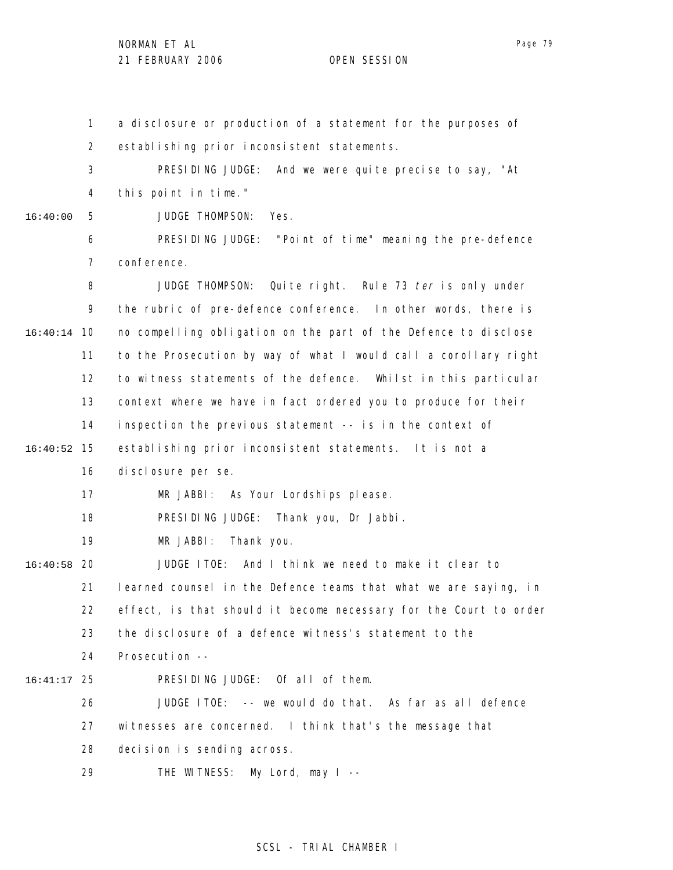1 2 3 4 5 6 7 8 9 10 16:40:14 11 12 13 14 15 16:40:52 16 17 18 19 20 16:40:58 21 22 23 24 25 16:41:17 26 27 28 29 16:40:00 a disclosure or production of a statement for the purposes of establishing prior inconsistent statements. PRESIDING JUDGE: And we were quite precise to say, "At this point in time." JUDGE THOMPSON: Yes. PRESIDING JUDGE: "Point of time" meaning the pre-defence conference. JUDGE THOMPSON: Quite right. Rule 73 ter is only under the rubric of pre-defence conference. In other words, there is no compelling obligation on the part of the Defence to disclose to the Prosecution by way of what I would call a corollary right to witness statements of the defence. Whilst in this particular context where we have in fact ordered you to produce for their inspection the previous statement -- is in the context of establishing prior inconsistent statements. It is not a disclosure per se. MR JABBI: As Your Lordships please. PRESIDING JUDGE: Thank you, Dr Jabbi. MR JABBI: Thank you. JUDGE ITOE: And I think we need to make it clear to learned counsel in the Defence teams that what we are saying, in effect, is that should it become necessary for the Court to order the disclosure of a defence witness's statement to the Prosecution -- PRESIDING JUDGE: Of all of them. JUDGE ITOE: -- we would do that. As far as all defence witnesses are concerned. I think that's the message that decision is sending across. THE WITNESS: My Lord, may I --

# SCSL - TRIAL CHAMBER I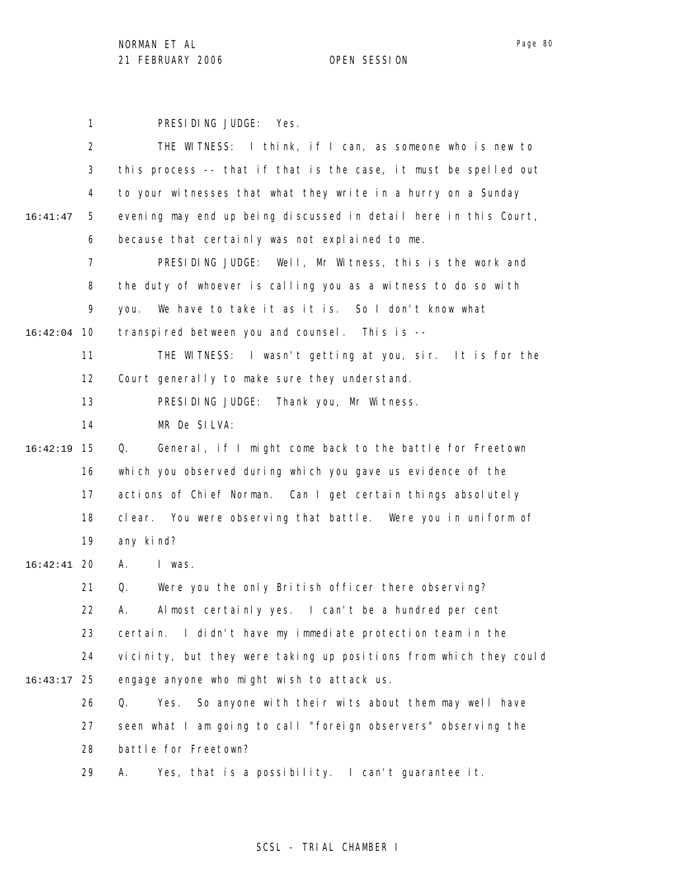Page 80

1 PRESIDING JUDGE: Yes.

|          | 2              | THE WITNESS: I think, if I can, as someone who is new to          |
|----------|----------------|-------------------------------------------------------------------|
|          | 3              | this process -- that if that is the case, it must be spelled out  |
|          | 4              | to your witnesses that what they write in a hurry on a Sunday     |
| 16:41:47 | 5              | evening may end up being discussed in detail here in this Court,  |
|          | 6              | because that certainly was not explained to me.                   |
|          | $\overline{7}$ | PRESIDING JUDGE: Well, Mr Witness, this is the work and           |
|          | 8              | the duty of whoever is calling you as a witness to do so with     |
|          | 9              | We have to take it as it is. So I don't know what<br>you.         |
| 16:42:04 | 10             | transpired between you and counsel. This is --                    |
|          | 11             | THE WITNESS: I wasn't getting at you, sir. It is for the          |
|          | 12             | Court generally to make sure they understand.                     |
|          | 13             | PRESIDING JUDGE: Thank you, Mr Witness.                           |
|          | 14             | MR De SILVA:                                                      |
| 16:42:19 | 15             | General, if I might come back to the battle for Freetown<br>Q.    |
|          | 16             | which you observed during which you gave us evidence of the       |
|          | 17             | actions of Chief Norman. Can I get certain things absolutely      |
|          | 18             | clear. You were observing that battle. Were you in uniform of     |
|          | 19             | any kind?                                                         |
| 16:42:41 | -20            | I was.<br>А.                                                      |
|          | 21             | Were you the only British officer there observing?<br>Q.          |
|          | 22             | Almost certainly yes. I can't be a hundred per cent<br>А.         |
|          | 23             | I didn't have my immediate protection team in the<br>certain.     |
|          | 24             | vicinity, but they were taking up positions from which they could |
| 16:43:17 | 25             | engage anyone who might wish to attack us.                        |
|          | 26             | So anyone with their wits about them may well have<br>Q.<br>Yes.  |
|          | 27             | seen what I am going to call "foreign observers" observing the    |
|          | 28             | battle for Freetown?                                              |
|          | 29             | Yes, that is a possibility. I can't guarantee it.<br>А.           |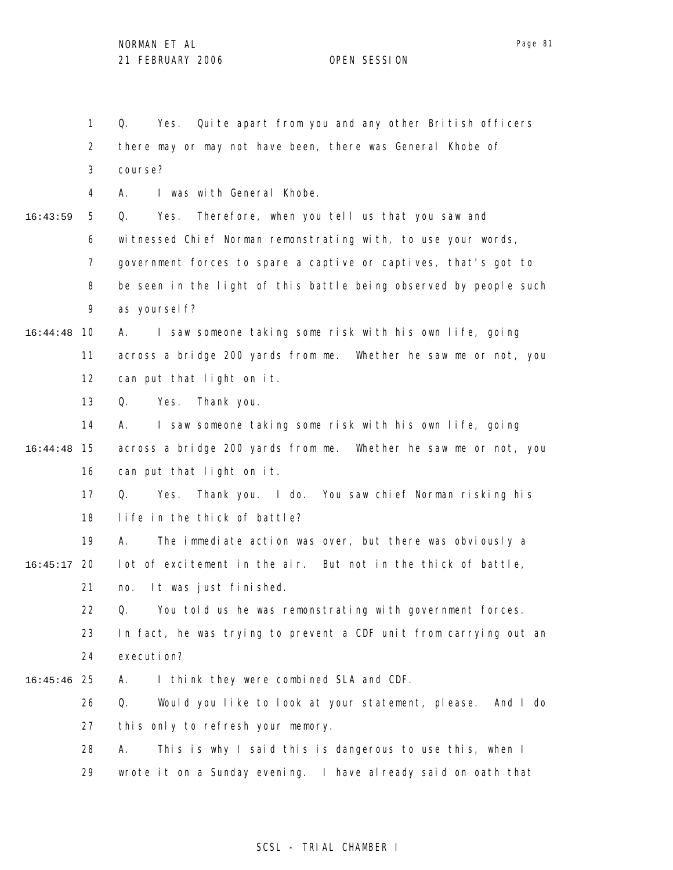1 2 3 4 5 6 7 8 9 10 16:44:48 11 12 13 14 15 16:44:48 16 17 18 19 20 16:45:17 21 22 23 24 25 16:45:46 26 27 28 29 16:43:59 Q. Yes. Quite apart from you and any other British officers there may or may not have been, there was General Khobe of course? A. I was with General Khobe. Q. Yes. Therefore, when you tell us that you saw and witnessed Chief Norman remonstrating with, to use your words, government forces to spare a captive or captives, that's got to be seen in the light of this battle being observed by people such as yourself? A. I saw someone taking some risk with his own life, going across a bridge 200 yards from me. Whether he saw me or not, you can put that light on it. Q. Yes. Thank you. A. I saw someone taking some risk with his own life, going across a bridge 200 yards from me. Whether he saw me or not, you can put that light on it. Q. Yes. Thank you. I do. You saw chief Norman risking his life in the thick of battle? A. The immediate action was over, but there was obviously a lot of excitement in the air. But not in the thick of battle, no. It was just finished. Q. You told us he was remonstrating with government forces. In fact, he was trying to prevent a CDF unit from carrying out an execution? A. I think they were combined SLA and CDF. Q. Would you like to look at your statement, please. And I do this only to refresh your memory. A. This is why I said this is dangerous to use this, when I wrote it on a Sunday evening. I have already said on oath that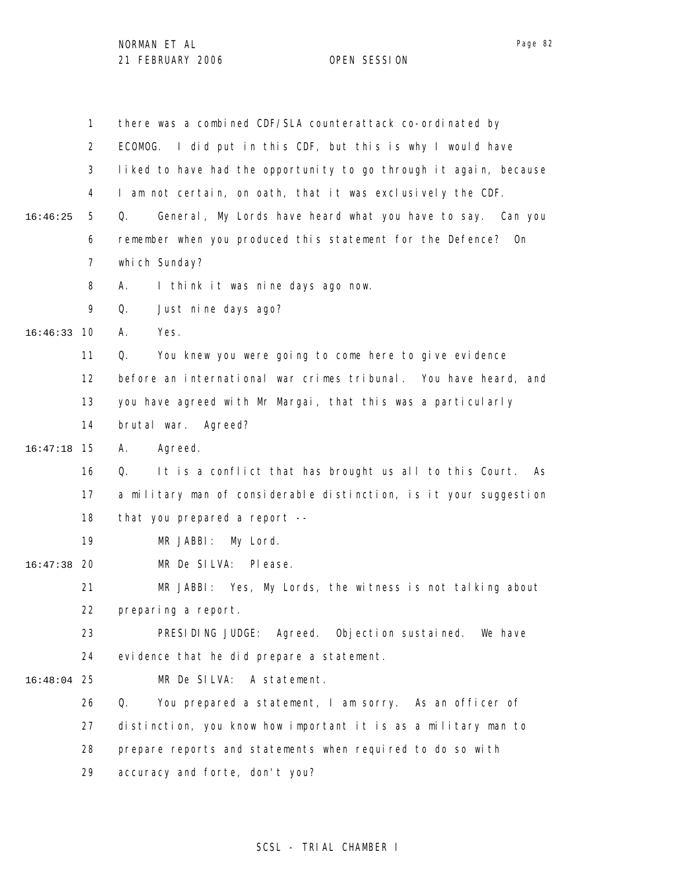1 2 3 4 5 6 7 8 9 10 16:46:33 11 12 13 14 15 16:47:18 16 17 18 19 20 16:47:38 21 22 23 24 25 16:48:04 26 27 28 29 16:46:25 there was a combined CDF/SLA counterattack co-ordinated by ECOMOG. I did put in this CDF, but this is why I would have liked to have had the opportunity to go through it again, because I am not certain, on oath, that it was exclusively the CDF. Q. General, My Lords have heard what you have to say. Can you remember when you produced this statement for the Defence? On which Sunday? A. I think it was nine days ago now. Q. Just nine days ago? A. Yes. Q. You knew you were going to come here to give evidence before an international war crimes tribunal. You have heard, and you have agreed with Mr Margai, that this was a particularly brutal war. Agreed? A. Agreed. Q. It is a conflict that has brought us all to this Court. As a military man of considerable distinction, is it your suggestion that you prepared a report -- MR JABBI: My Lord. MR De SILVA: Please. MR JABBI: Yes, My Lords, the witness is not talking about preparing a report. PRESIDING JUDGE: Agreed. Objection sustained. We have evidence that he did prepare a statement. MR De SILVA: A statement. Q. You prepared a statement, I am sorry. As an officer of distinction, you know how important it is as a military man to prepare reports and statements when required to do so with accuracy and forte, don't you?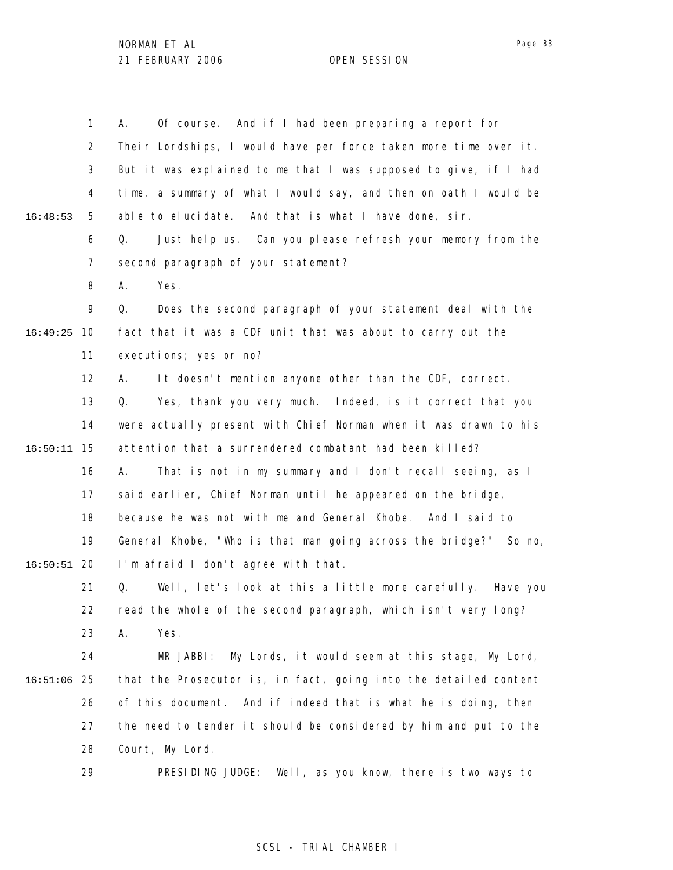|          | $\mathbf{1}$   | Of course. And if I had been preparing a report for<br>А.         |
|----------|----------------|-------------------------------------------------------------------|
|          | $\overline{2}$ | Their Lordships, I would have per force taken more time over it.  |
|          | 3              | But it was explained to me that I was supposed to give, if I had  |
|          | 4              | time, a summary of what I would say, and then on oath I would be  |
| 16:48:53 | 5              | able to elucidate. And that is what I have done, sir.             |
|          | 6              | Just help us. Can you please refresh your memory from the<br>Q.   |
|          | 7              | second paragraph of your statement?                               |
|          | 8              | Yes.<br>А.                                                        |
|          | 9              | Does the second paragraph of your statement deal with the<br>Q.   |
| 16:49:25 | 10             | fact that it was a CDF unit that was about to carry out the       |
|          | 11             | executions; yes or no?                                            |
|          | 12             | It doesn't mention anyone other than the CDF, correct.<br>А.      |
|          | 13             | Yes, thank you very much. Indeed, is it correct that you<br>Q.    |
|          | 14             | were actually present with Chief Norman when it was drawn to his  |
| 16:50:11 | 15             | attention that a surrendered combatant had been killed?           |
|          | 16             | That is not in my summary and I don't recall seeing, as I<br>А.   |
|          | 17             | said earlier, Chief Norman until he appeared on the bridge,       |
|          | 18             | because he was not with me and General Khobe. And I said to       |
|          | 19             | General Khobe, "Who is that man going across the bridge?" So no,  |
| 16:50:51 | 20             | I'm afraid I don't agree with that.                               |
|          | 21             | Well, let's look at this a little more carefully. Have you<br>Q.  |
|          | 22             | read the whole of the second paragraph, which isn't very long?    |
|          | 23             | Α.<br>Yes.                                                        |
|          | 24             | My Lords, it would seem at this stage, My Lord,<br>MR JABBI:      |
| 16:51:06 | 25             | that the Prosecutor is, in fact, going into the detailed content  |
|          | 26             | of this document.<br>And if indeed that is what he is doing, then |
|          | 27             | the need to tender it should be considered by him and put to the  |
|          | 28             | Court, My Lord.                                                   |
|          | 29             | PRESIDING JUDGE:<br>Well, as you know, there is two ways to       |

# SCSL - TRIAL CHAMBER I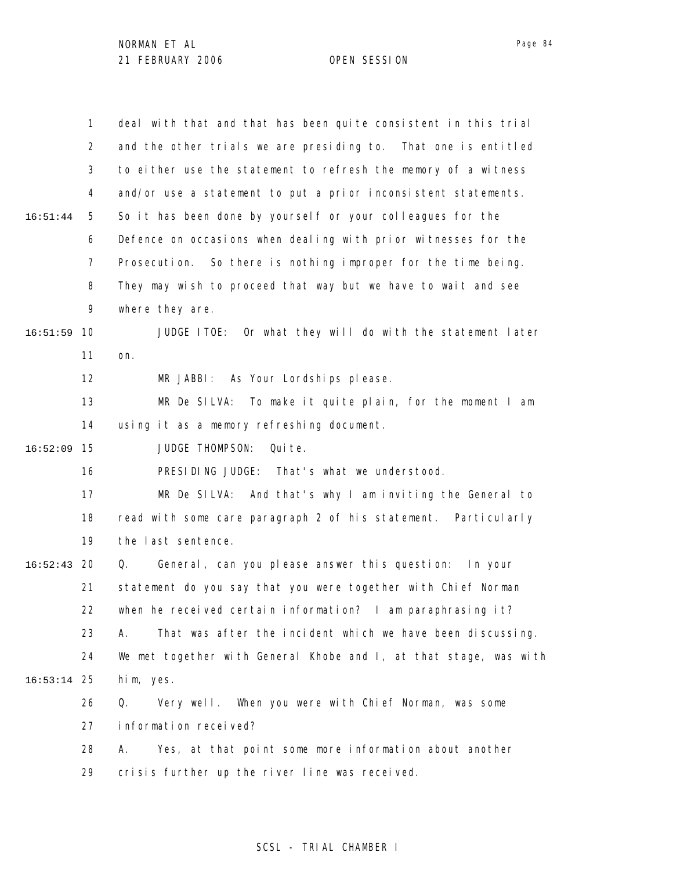|          | 1              | deal with that and that has been quite consistent in this trial    |
|----------|----------------|--------------------------------------------------------------------|
|          | $\overline{2}$ | and the other trials we are presiding to. That one is entitled     |
|          | 3              | to either use the statement to refresh the memory of a witness     |
|          | 4              | and/or use a statement to put a prior inconsistent statements.     |
| 16:51:44 | 5              | So it has been done by yourself or your colleagues for the         |
|          | 6              | Defence on occasions when dealing with prior witnesses for the     |
|          | 7              | Prosecution. So there is nothing improper for the time being.      |
|          | 8              | They may wish to proceed that way but we have to wait and see      |
|          | 9              | where they are.                                                    |
| 16:51:59 | 10             | JUDGE ITOE: Or what they will do with the statement later          |
|          | 11             | on.                                                                |
|          | 12             | MR JABBI: As Your Lordships please.                                |
|          | 13             | MR De SILVA: To make it quite plain, for the moment I am           |
|          | 14             | using it as a memory refreshing document.                          |
| 16:52:09 | 15             | JUDGE THOMPSON:<br>Qui te.                                         |
|          | 16             | PRESIDING JUDGE: That's what we understood.                        |
|          | 17             | MR De SILVA: And that's why I am inviting the General to           |
|          | 18             | read with some care paragraph 2 of his statement. Particularly     |
|          | 19             | the last sentence.                                                 |
| 16:52:43 | 20             | General, can you please answer this question: In your<br>Q.        |
|          | 21             | statement do you say that you were together with Chief Norman      |
|          | 22             | when he received certain information? I am paraphrasing $i \tau$ ? |
|          | 23             | That was after the incident which we have been discussing.<br>А.   |
|          | 24             | We met together with General Khobe and I, at that stage, was with  |
| 16:53:14 | 25             | him, yes.                                                          |
|          | 26             | When you were with Chief Norman, was some<br>Q.<br>Very well.      |
|          | 27             | information received?                                              |
|          | 28             | Yes, at that point some more information about another<br>А.       |
|          | 29             | crisis further up the river line was received.                     |

# SCSL - TRIAL CHAMBER I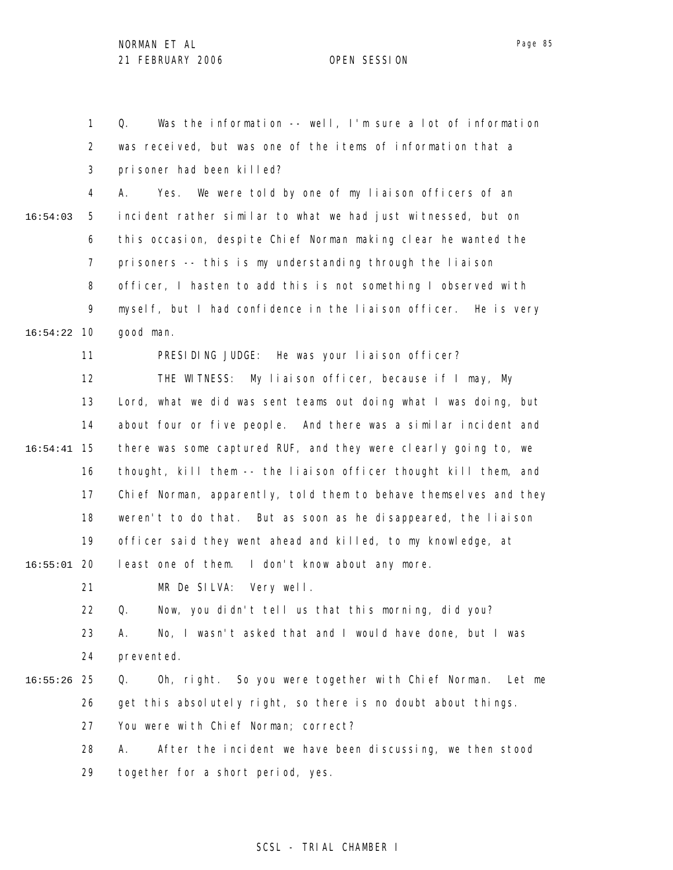1 2 3 4 5 6 7 8 9 10 16:54:22 11 12 13 14 15 16:54:41 16 17 18 19 20 16:55:01 21 22 23 24 25 16:55:26 26 27 28 29 16:54:03 Q. Was the information -- well, I'm sure a lot of information was received, but was one of the items of information that a prisoner had been killed? A. Yes. We were told by one of my liaison officers of an incident rather similar to what we had just witnessed, but on this occasion, despite Chief Norman making clear he wanted the prisoners -- this is my understanding through the liaison officer, I hasten to add this is not something I observed with myself, but I had confidence in the liaison officer. He is very good man. PRESIDING JUDGE: He was your liaison officer? THE WITNESS: My liaison officer, because if I may, My Lord, what we did was sent teams out doing what I was doing, but about four or five people. And there was a similar incident and there was some captured RUF, and they were clearly going to, we thought, kill them -- the liaison officer thought kill them, and Chief Norman, apparently, told them to behave themselves and they weren't to do that. But as soon as he disappeared, the liaison officer said they went ahead and killed, to my knowledge, at least one of them. I don't know about any more. MR De SILVA: Very well. Q. Now, you didn't tell us that this morning, did you? A. No, I wasn't asked that and I would have done, but I was prevented. Q. Oh, right. So you were together with Chief Norman. Let me get this absolutely right, so there is no doubt about things. You were with Chief Norman; correct? A. After the incident we have been discussing, we then stood together for a short period, yes.

# SCSL - TRIAL CHAMBER I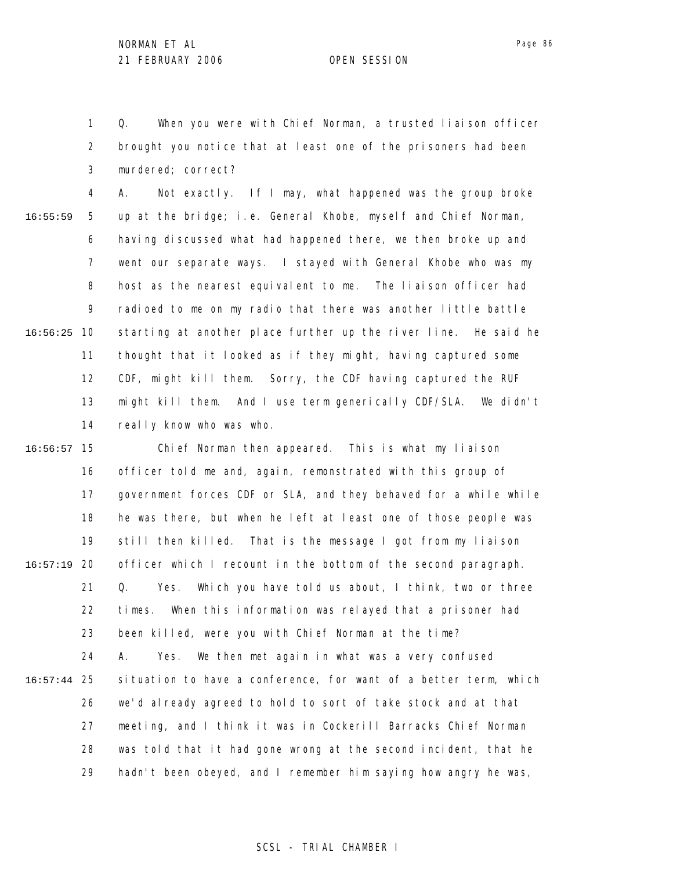1 2 3 Q. When you were with Chief Norman, a trusted liaison officer brought you notice that at least one of the prisoners had been murdered; correct?

4 5 6 7 8 9 10 16:56:25 11 12 13 14 16:55:59 A. Not exactly. If I may, what happened was the group broke up at the bridge; i.e. General Khobe, myself and Chief Norman, having discussed what had happened there, we then broke up and went our separate ways. I stayed with General Khobe who was my host as the nearest equivalent to me. The liaison officer had radioed to me on my radio that there was another little battle starting at another place further up the river line. He said he thought that it looked as if they might, having captured some CDF, might kill them. Sorry, the CDF having captured the RUF might kill them. And I use term generically CDF/SLA. We didn't really know who was who.

15 16:56:57 16 17 18 19 20 16:57:19 21 22 23 24 25 16:57:44 26 27 28 29 Chief Norman then appeared. This is what my liaison officer told me and, again, remonstrated with this group of government forces CDF or SLA, and they behaved for a while while he was there, but when he left at least one of those people was still then killed. That is the message I got from my liaison officer which I recount in the bottom of the second paragraph. Q. Yes. Which you have told us about, I think, two or three times. When this information was relayed that a prisoner had been killed, were you with Chief Norman at the time? A. Yes. We then met again in what was a very confused situation to have a conference, for want of a better term, which we'd already agreed to hold to sort of take stock and at that meeting, and I think it was in Cockerill Barracks Chief Norman was told that it had gone wrong at the second incident, that he hadn't been obeyed, and I remember him saying how angry he was,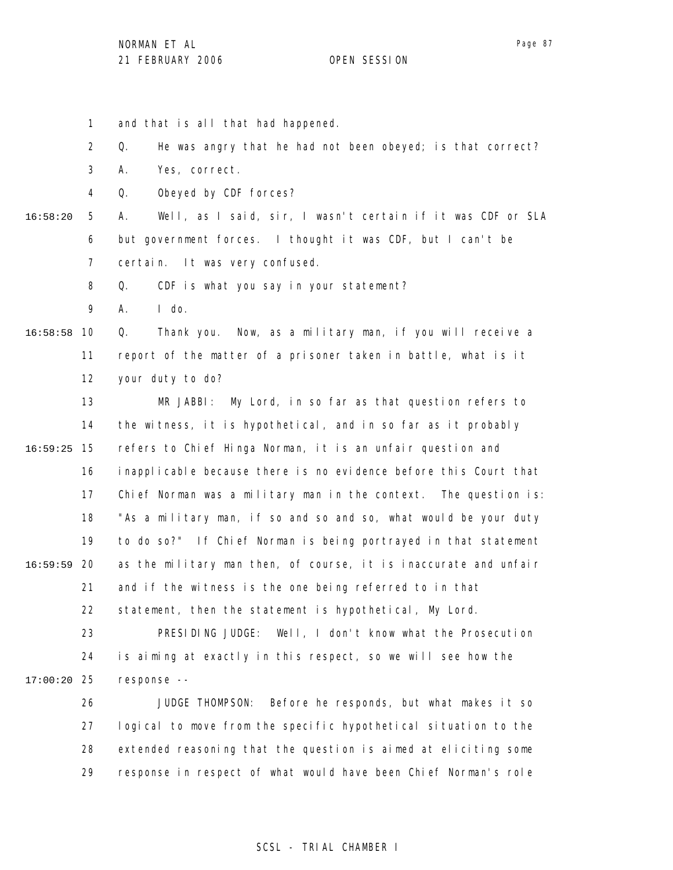1 2 3 4 5 6 7 8 9 10 16:58:58 11 12 13 14 15 16:59:25 16 17 18 19 20 16:59:59 21 22 23 24 25 17:00:20 26 27 28 29 16:58:20 and that is all that had happened. Q. He was angry that he had not been obeyed; is that correct? A. Yes, correct. Q. Obeyed by CDF forces? A. Well, as I said, sir, I wasn't certain if it was CDF or SLA but government forces. I thought it was CDF, but I can't be certain. It was very confused. Q. CDF is what you say in your statement? A. I do. Q. Thank you. Now, as a military man, if you will receive a report of the matter of a prisoner taken in battle, what is it your duty to do? MR JABBI: My Lord, in so far as that question refers to the witness, it is hypothetical, and in so far as it probably refers to Chief Hinga Norman, it is an unfair question and inapplicable because there is no evidence before this Court that Chief Norman was a military man in the context. The question is: "As a military man, if so and so and so, what would be your duty to do so?" If Chief Norman is being portrayed in that statement as the military man then, of course, it is inaccurate and unfair and if the witness is the one being referred to in that statement, then the statement is hypothetical, My Lord. PRESIDING JUDGE: Well, I don't know what the Prosecution is aiming at exactly in this respect, so we will see how the response -- JUDGE THOMPSON: Before he responds, but what makes it so logical to move from the specific hypothetical situation to the extended reasoning that the question is aimed at eliciting some response in respect of what would have been Chief Norman's role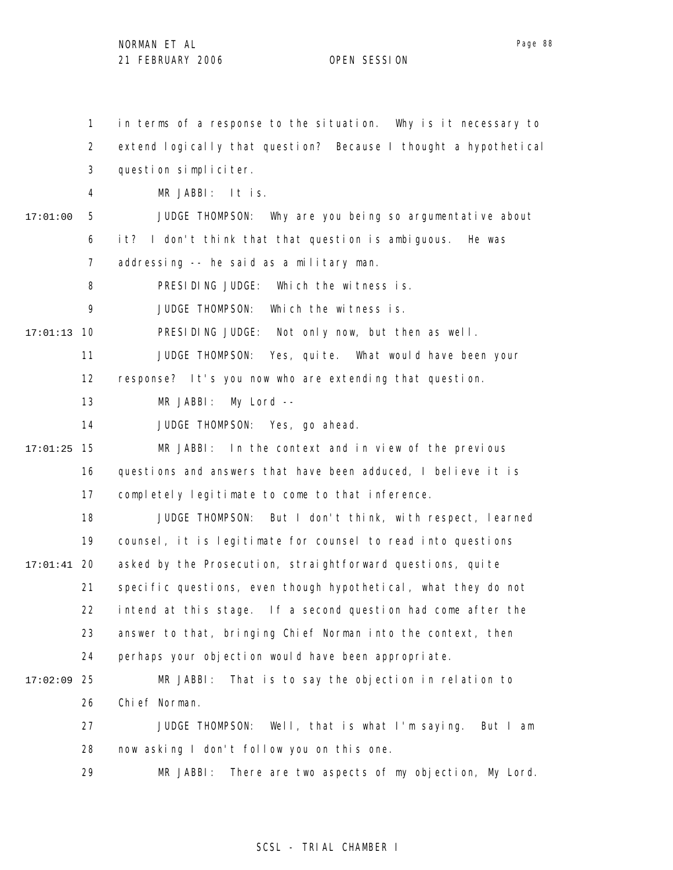1 2 3 4 5 6 7 8 9 10 17:01:13 11 12 13 14 15 17:01:25 16 17 18 19 20 17:01:41 21 22 23 24 25 17:02:09 26 27 28 29 17:01:00 in terms of a response to the situation. Why is it necessary to extend logically that question? Because I thought a hypothetical question simpliciter. MR JABBI: It is. JUDGE THOMPSON: Why are you being so argumentative about it? I don't think that that question is ambiguous. He was addressing -- he said as a military man. PRESIDING JUDGE: Which the witness is. JUDGE THOMPSON: Which the witness is. PRESIDING JUDGE: Not only now, but then as well. JUDGE THOMPSON: Yes, quite. What would have been your response? It's you now who are extending that question. MR JABBI: My Lord -- JUDGE THOMPSON: Yes, go ahead. MR JABBI: In the context and in view of the previous questions and answers that have been adduced, I believe it is completely legitimate to come to that inference. JUDGE THOMPSON: But I don't think, with respect, learned counsel, it is legitimate for counsel to read into questions asked by the Prosecution, straightforward questions, quite specific questions, even though hypothetical, what they do not intend at this stage. If a second question had come after the answer to that, bringing Chief Norman into the context, then perhaps your objection would have been appropriate. MR JABBI: That is to say the objection in relation to Chief Norman. JUDGE THOMPSON: Well, that is what I'm saying. But I am now asking I don't follow you on this one. MR JABBI: There are two aspects of my objection, My Lord.

# SCSL - TRIAL CHAMBER I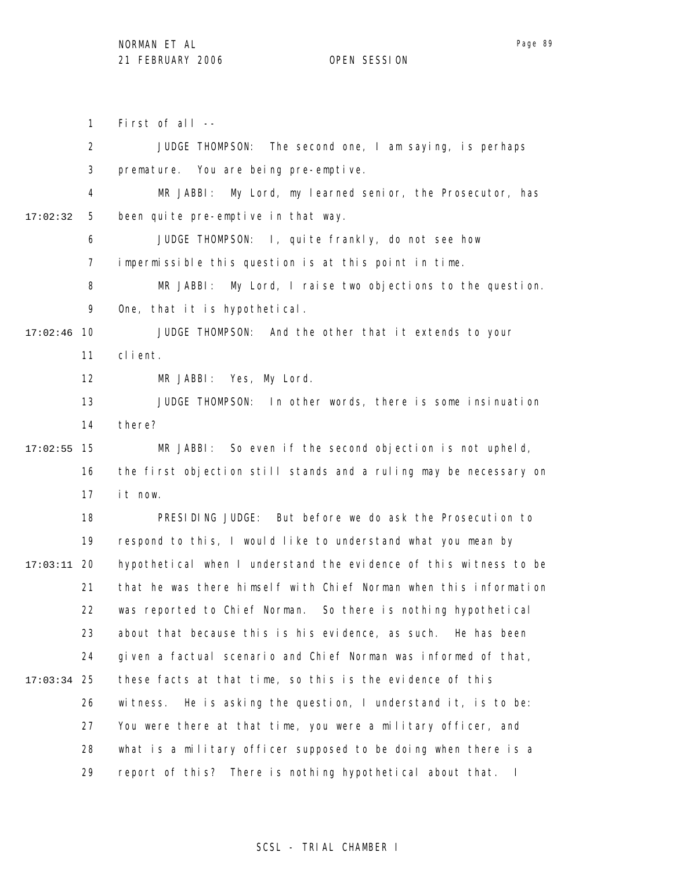1 2 3 4 5 6 7 8 9 17:02:46 10 11 12 13 14 15 17:02:55 16 17 18 19 20 17:03:11 21 22 23 24 25 17:03:34 26 27 28 29 17:02:32 First of all -- JUDGE THOMPSON: The second one, I am saying, is perhaps premature. You are being pre-emptive. MR JABBI: My Lord, my learned senior, the Prosecutor, has been quite pre-emptive in that way. JUDGE THOMPSON: I, quite frankly, do not see how impermissible this question is at this point in time. MR JABBI: My Lord, I raise two objections to the question. One, that it is hypothetical. JUDGE THOMPSON: And the other that it extends to your client. MR JABBI: Yes, My Lord. JUDGE THOMPSON: In other words, there is some insinuation there? MR JABBI: So even if the second objection is not upheld, the first objection still stands and a ruling may be necessary on it now. PRESIDING JUDGE: But before we do ask the Prosecution to respond to this, I would like to understand what you mean by hypothetical when I understand the evidence of this witness to be that he was there himself with Chief Norman when this information was reported to Chief Norman. So there is nothing hypothetical about that because this is his evidence, as such. He has been given a factual scenario and Chief Norman was informed of that, these facts at that time, so this is the evidence of this witness. He is asking the question, I understand it, is to be: You were there at that time, you were a military officer, and what is a military officer supposed to be doing when there is a report of this? There is nothing hypothetical about that. I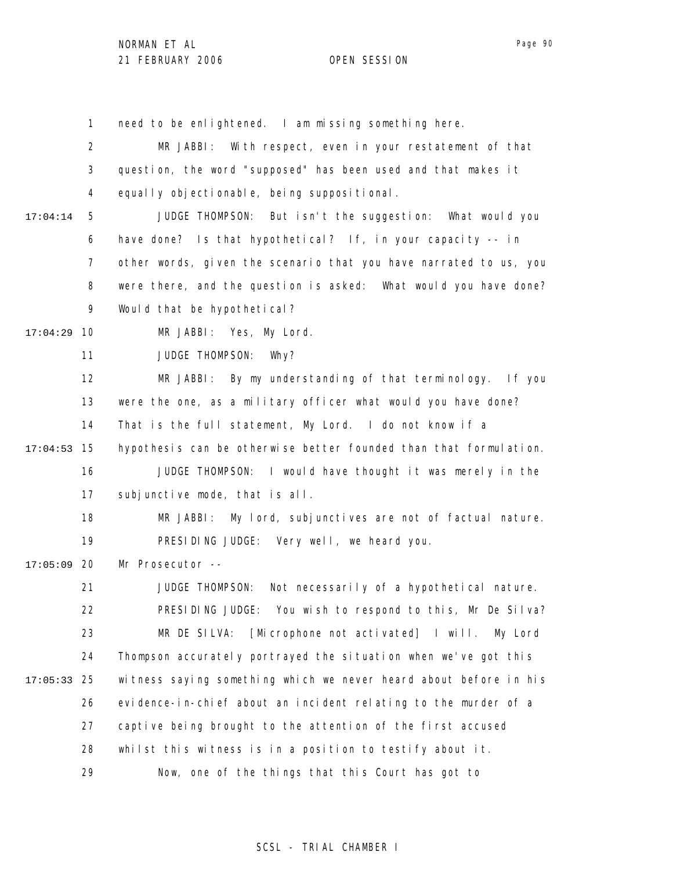1

Page 90

2 3 4 5 6 7 8 9 10 17:04:29 11 12 13 14 15 17:04:53 16 17 18 19 17:05:09 20 21 22 23 24 25 17:05:33 26 27 28 29 17:04:14 MR JABBI: With respect, even in your restatement of that question, the word "supposed" has been used and that makes it equally objectionable, being suppositional. JUDGE THOMPSON: But isn't the suggestion: What would you have done? Is that hypothetical? If, in your capacity -- in other words, given the scenario that you have narrated to us, you were there, and the question is asked: What would you have done? Would that be hypothetical? MR JABBI: Yes, My Lord. JUDGE THOMPSON: Why? MR JABBI: By my understanding of that terminology. If you were the one, as a military officer what would you have done? That is the full statement, My Lord. I do not know if a hypothesis can be otherwise better founded than that formulation. JUDGE THOMPSON: I would have thought it was merely in the subjunctive mode, that is all. MR JABBI: My lord, subjunctives are not of factual nature. PRESIDING JUDGE: Very well, we heard you. Mr Prosecutor -- JUDGE THOMPSON: Not necessarily of a hypothetical nature. PRESIDING JUDGE: You wish to respond to this, Mr De Silva? MR DE SILVA: [Microphone not activated] I will. My Lord Thompson accurately portrayed the situation when we've got this witness saying something which we never heard about before in his evidence-in-chief about an incident relating to the murder of a captive being brought to the attention of the first accused whilst this witness is in a position to testify about it. Now, one of the things that this Court has got to

need to be enlightened. I am missing something here.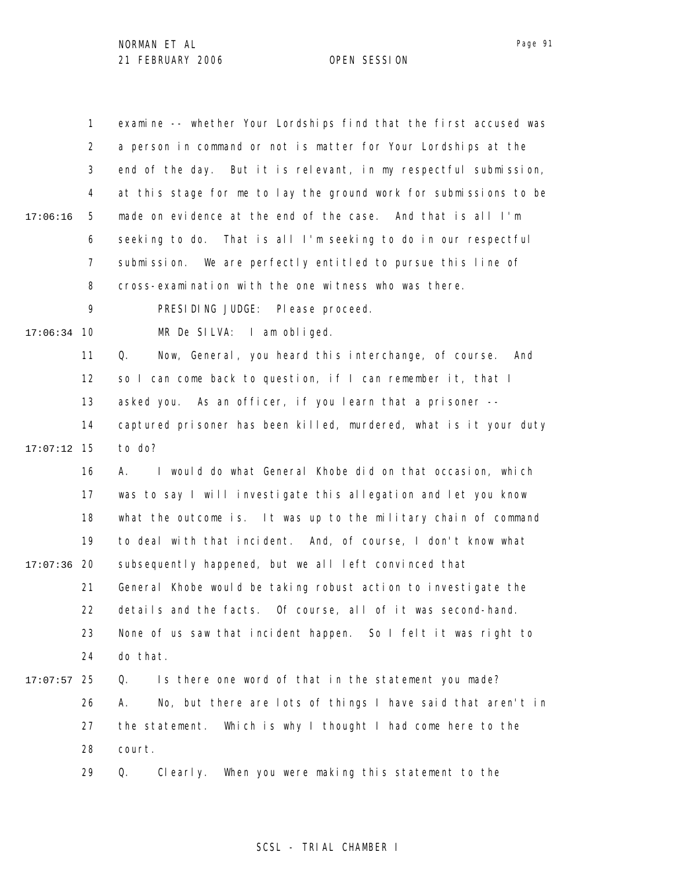|               | 1              | examine -- whether Your Lordships find that the first accused was |
|---------------|----------------|-------------------------------------------------------------------|
|               | $\overline{2}$ | a person in command or not is matter for Your Lordships at the    |
|               | 3              | end of the day. But it is relevant, in my respectful submission,  |
|               | 4              | at this stage for me to lay the ground work for submissions to be |
| 17:06:16      | 5              | made on evidence at the end of the case. And that is all I'm      |
|               | 6              | seeking to do. That is all I'm seeking to do in our respectful    |
|               | $\overline{7}$ | submission. We are perfectly entitled to pursue this line of      |
|               | 8              | cross-examination with the one witness who was there.             |
|               | 9              | PRESIDING JUDGE: Please proceed.                                  |
| $17:06:34$ 10 |                | MR De SILVA: I am obliged.                                        |
|               | 11             | Now, General, you heard this interchange, of course.<br>Q.<br>And |
|               | 12             | so I can come back to question, if I can remember it, that I      |
|               | 13             | asked you. As an officer, if you learn that a prisoner --         |
|               | 14             | captured prisoner has been killed, murdered, what is it your duty |
| 17:07:12      | 15             | to do?                                                            |
|               | 16             | I would do what General Khobe did on that occasion, which<br>А.   |
|               | 17             | was to say I will investigate this allegation and let you know    |
|               | 18             | what the outcome is. It was up to the military chain of command   |
|               | 19             | to deal with that incident. And, of course, I don't know what     |
| $17:07:36$ 20 |                | subsequently happened, but we all left convinced that             |
|               | 21             | General Khobe would be taking robust action to investigate the    |
|               | 22             | details and the facts. Of course, all of it was second-hand.      |
|               | 23             | None of us saw that incident happen. So I felt it was right to    |
|               | 24             | do that.                                                          |
| 17:07:57      | 25             | Is there one word of that in the statement you made?<br>Q.        |
|               | 26             | No, but there are lots of things I have said that aren't in<br>А. |
|               | 27             | Which is why I thought I had come here to the<br>the statement.   |
|               | 28             | court.                                                            |
|               | 29             | When you were making this statement to the<br>Q.<br>Clearly.      |
|               |                |                                                                   |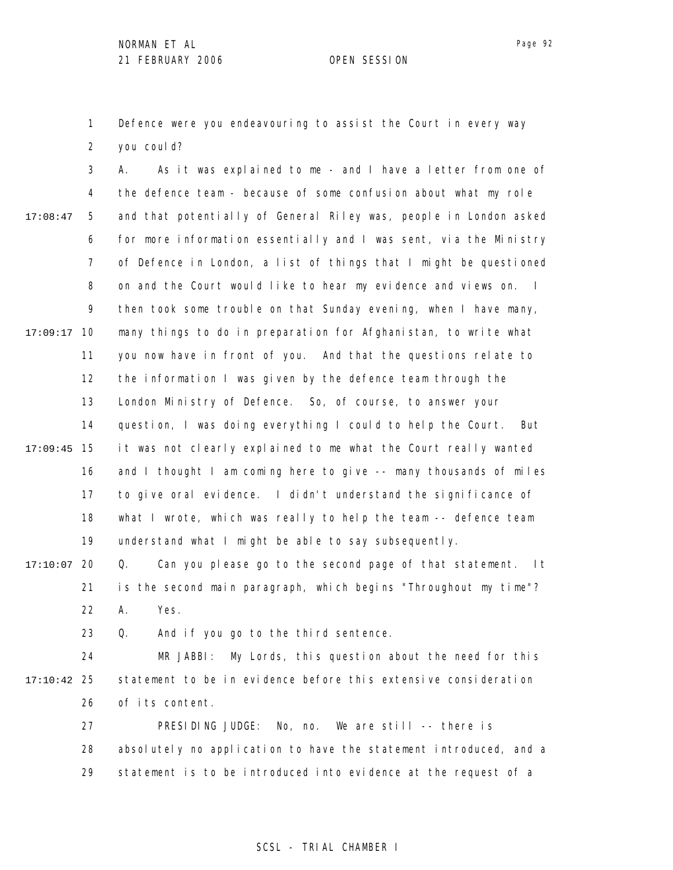1 2 Defence were you endeavouring to assist the Court in every way you coul d?

3 4 5 6 7 8 9 10 17:09:17 11 12 13 14 15 17:09:45 16 17 18 19 20 17:10:07 21 22 23 17:08:47 A. As it was explained to me - and I have a letter from one of the defence team - because of some confusion about what my role and that potentially of General Riley was, people in London asked for more information essentially and I was sent, via the Ministry of Defence in London, a list of things that I might be questioned on and the Court would like to hear my evidence and views on. I then took some trouble on that Sunday evening, when I have many, many things to do in preparation for Afghanistan, to write what you now have in front of you. And that the questions relate to the information I was given by the defence team through the London Ministry of Defence. So, of course, to answer your question, I was doing everything I could to help the Court. But it was not clearly explained to me what the Court really wanted and I thought I am coming here to give -- many thousands of miles to give oral evidence. I didn't understand the significance of what I wrote, which was really to help the team -- defence team understand what I might be able to say subsequently. Q. Can you please go to the second page of that statement. It is the second main paragraph, which begins "Throughout my time"? A. Yes. Q. And if you go to the third sentence.

24 25 17:10:42 26 MR JABBI: My Lords, this question about the need for this statement to be in evidence before this extensive consideration of its content.

> 27 28 29 PRESIDING JUDGE: No, no. We are still -- there is absolutely no application to have the statement introduced, and a statement is to be introduced into evidence at the request of a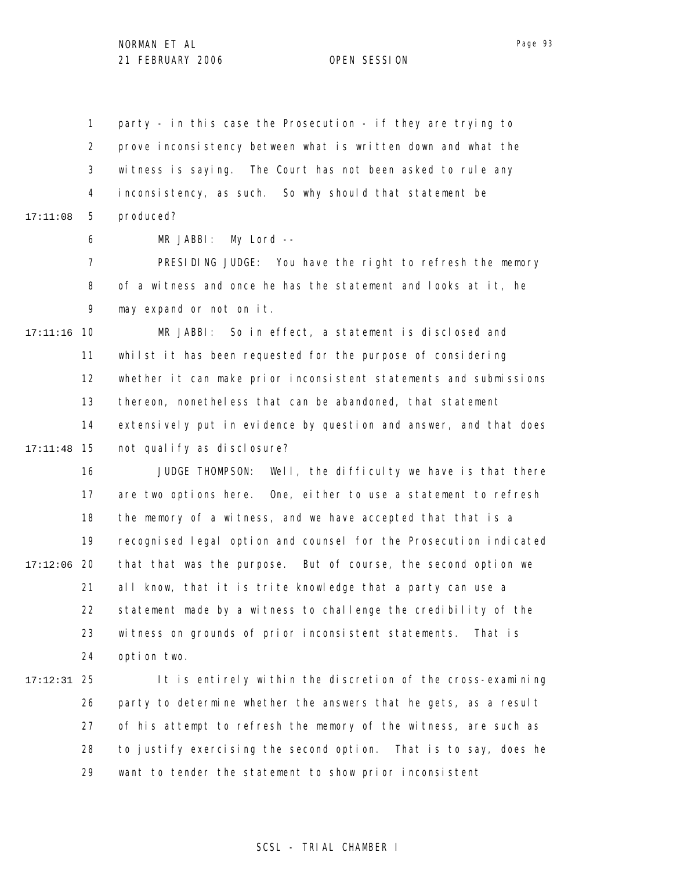1 2 3 4 5 17:11:08 party - in this case the Prosecution - if they are trying to prove inconsistency between what is written down and what the witness is saying. The Court has not been asked to rule any inconsistency, as such. So why should that statement be produced?

> 6 MR JABBI: My Lord --

7 8 9 PRESIDING JUDGE: You have the right to refresh the memory of a witness and once he has the statement and looks at it, he may expand or not on it.

10 17:11:16 11 12 13 14 15 17:11:48 MR JABBI: So in effect, a statement is disclosed and whilst it has been requested for the purpose of considering whether it can make prior inconsistent statements and submissions thereon, nonetheless that can be abandoned, that statement extensively put in evidence by question and answer, and that does not qualify as disclosure?

16 17 18 19 20 17:12:06 21 22 23 24 JUDGE THOMPSON: Well, the difficulty we have is that there are two options here. One, either to use a statement to refresh the memory of a witness, and we have accepted that that is a recognised legal option and counsel for the Prosecution indicated that that was the purpose. But of course, the second option we all know, that it is trite knowledge that a party can use a statement made by a witness to challenge the credibility of the witness on grounds of prior inconsistent statements. That is option two.

25 17:12:31 26 27 28 29 It is entirely within the discretion of the cross-examining party to determine whether the answers that he gets, as a result of his attempt to refresh the memory of the witness, are such as to justify exercising the second option. That is to say, does he want to tender the statement to show prior inconsistent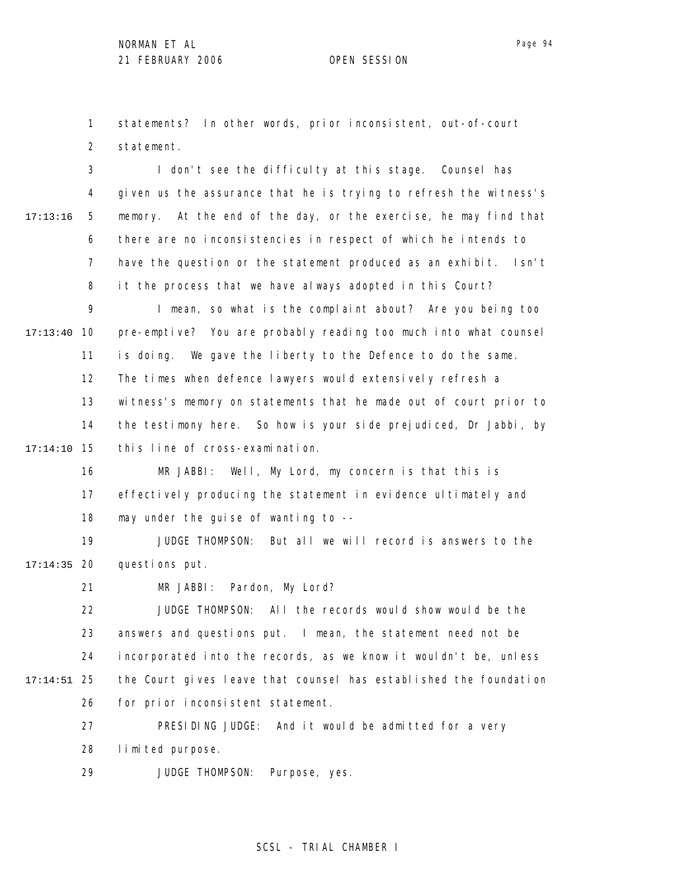1 2 statements? In other words, prior inconsistent, out-of-court statement.

3 4 5 6 7 8 9 10 17:13:40 11 12 13 14 15 17:14:10 17:13:16 I don't see the difficulty at this stage. Counsel has given us the assurance that he is trying to refresh the witness's memory. At the end of the day, or the exercise, he may find that there are no inconsistencies in respect of which he intends to have the question or the statement produced as an exhibit. Isn't it the process that we have always adopted in this Court? I mean, so what is the complaint about? Are you being too pre-emptive? You are probably reading too much into what counsel is doing. We gave the liberty to the Defence to do the same. The times when defence lawyers would extensively refresh a witness's memory on statements that he made out of court prior to the testimony here. So how is your side prejudiced, Dr Jabbi, by this line of cross-examination.

16 17 18 MR JABBI: Well, My Lord, my concern is that this is effectively producing the statement in evidence ultimately and may under the guise of wanting to --

19 20 17:14:35 JUDGE THOMPSON: But all we will record is answers to the questions put.

> 21 MR JABBI: Pardon, My Lord?

22 23 24 25 17:14:51 26 JUDGE THOMPSON: All the records would show would be the answers and questions put. I mean, the statement need not be incorporated into the records, as we know it wouldn't be, unless the Court gives leave that counsel has established the foundation for prior inconsistent statement.

> 27 28 PRESIDING JUDGE: And it would be admitted for a very limited purpose.

29 JUDGE THOMPSON: Purpose, yes.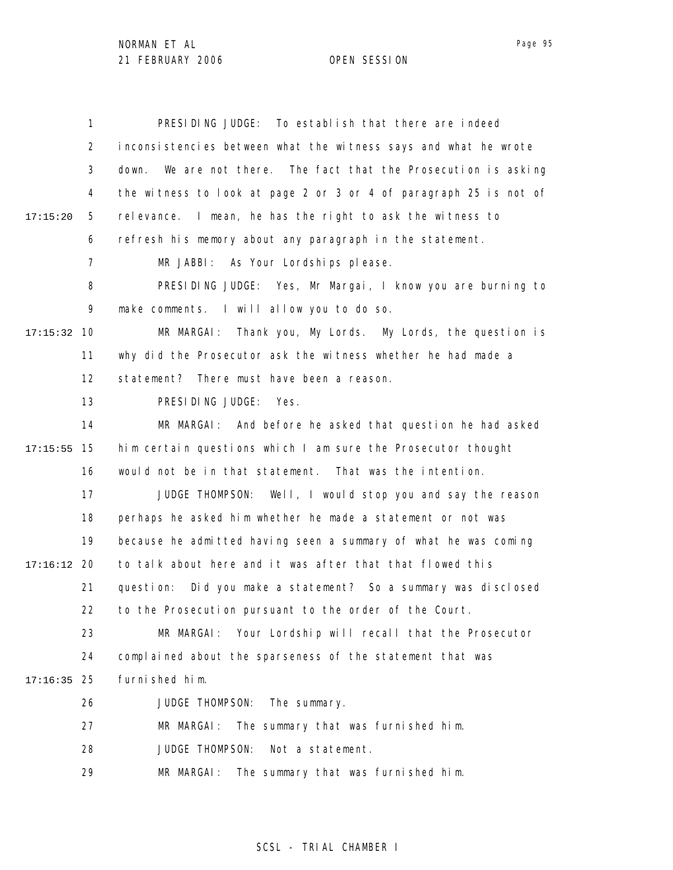|               | $\mathbf{1}$   | PRESIDING JUDGE: To establish that there are indeed                |
|---------------|----------------|--------------------------------------------------------------------|
|               | 2              | inconsistencies between what the witness says and what he wrote    |
|               | 3              | We are not there. The fact that the Prosecution is asking<br>down. |
|               | 4              | the witness to look at page 2 or 3 or 4 of paragraph 25 is not of  |
| 17:15:20      | 5              | relevance. I mean, he has the right to ask the witness to          |
|               | 6              | refresh his memory about any paragraph in the statement.           |
|               | $\overline{7}$ | MR JABBI: As Your Lordships please.                                |
|               | 8              | PRESIDING JUDGE: Yes, Mr Margai, I know you are burning to         |
|               | 9              | make comments. I will allow you to do so.                          |
| 17:15:32      | 10             | Thank you, My Lords. My Lords, the question is<br>MR MARGAI:       |
|               | 11             | why did the Prosecutor ask the witness whether he had made a       |
|               | 12             | statement? There must have been a reason.                          |
|               | 13             | PRESIDING JUDGE: Yes.                                              |
|               | 14             | MR MARGAI: And before he asked that question he had asked          |
| 17:15:55      | 15             | him certain questions which I am sure the Prosecutor thought       |
|               | 16             | would not be in that statement. That was the intention.            |
|               | 17             | JUDGE THOMPSON: Well, I would stop you and say the reason          |
|               | 18             | perhaps he asked him whether he made a statement or not was        |
|               | 19             | because he admitted having seen a summary of what he was coming    |
| $17:16:12$ 20 |                | to talk about here and it was after that that flowed this          |
|               | 21             | Did you make a statement? So a summary was disclosed<br>question:  |
|               | 22             | to the Prosecution pursuant to the order of the Court.             |
|               | 23             | Your Lordship will recall that the Prosecutor<br>MR MARGAI:        |
|               | 24             | complained about the sparseness of the statement that was          |
| 17:16:35      | 25             | furnished him.                                                     |
|               | 26             | JUDGE THOMPSON:<br>The summary.                                    |
|               | 27             | MR MARGAI:<br>The summary that was furnished him.                  |
|               | 28             | JUDGE THOMPSON:<br>Not a statement.                                |
|               | 29             | MR MARGAI: The summary that was furnished him.                     |

# SCSL - TRIAL CHAMBER I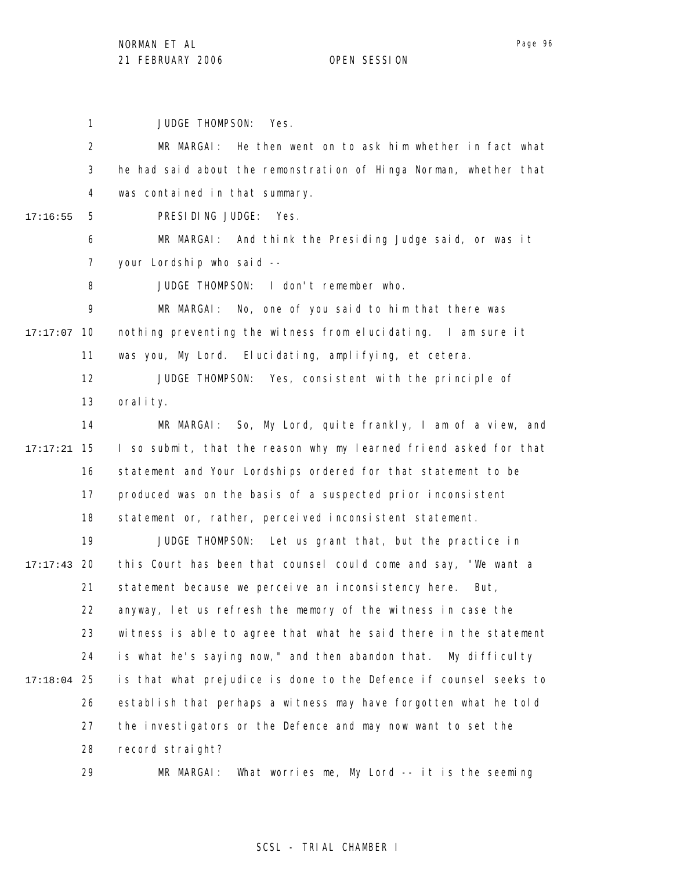1 2 3 4 5 6 7 8 9 17:17:07 10 11 12 13 14 15 17:17:21 16 17 18 19 20 17:17:43 21 22 23 24 25 17:18:04 26 27 28 29 17:16:55 JUDGE THOMPSON: Yes. MR MARGAI: He then went on to ask him whether in fact what he had said about the remonstration of Hinga Norman, whether that was contained in that summary. PRESIDING JUDGE: Yes. MR MARGAI: And think the Presiding Judge said, or was it your Lordship who said -- JUDGE THOMPSON: I don't remember who. MR MARGAI: No, one of you said to him that there was nothing preventing the witness from elucidating. I am sure it was you, My Lord. Elucidating, amplifying, et cetera. JUDGE THOMPSON: Yes, consistent with the principle of orality. MR MARGAI: So, My Lord, quite frankly, I am of a view, and I so submit, that the reason why my learned friend asked for that statement and Your Lordships ordered for that statement to be produced was on the basis of a suspected prior inconsistent statement or, rather, perceived inconsistent statement. JUDGE THOMPSON: Let us grant that, but the practice in this Court has been that counsel could come and say, "We want a statement because we perceive an inconsistency here. But, anyway, let us refresh the memory of the witness in case the witness is able to agree that what he said there in the statement is what he's saying now," and then abandon that. My difficulty is that what prejudice is done to the Defence if counsel seeks to establish that perhaps a witness may have forgotten what he told the investigators or the Defence and may now want to set the record straight?

MR MARGAI: What worries me, My Lord -- it is the seeming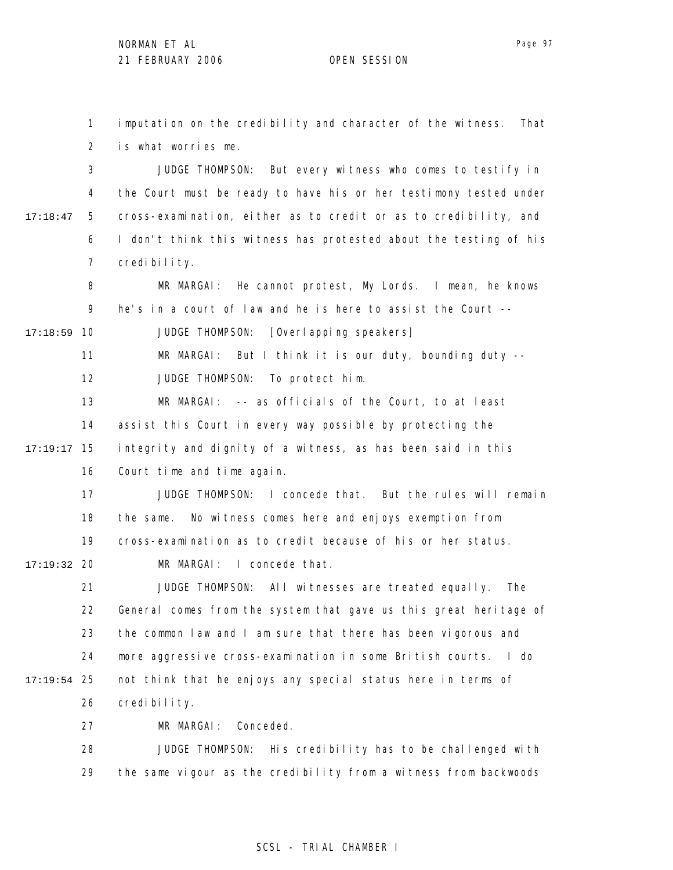1 2 imputation on the credibility and character of the witness. That is what worries me.

3 4 5 6 7 17:18:47 JUDGE THOMPSON: But every witness who comes to testify in the Court must be ready to have his or her testimony tested under cross-examination, either as to credit or as to credibility, and I don't think this witness has protested about the testing of his credibility.

8 9 10 17:18:59 MR MARGAI: He cannot protest, My Lords. I mean, he knows he's in a court of law and he is here to assist the Court -- JUDGE THOMPSON: [Overlapping speakers]

11 MR MARGAI: But I think it is our duty, bounding duty --

12 JUDGE THOMPSON: To protect him.

13 14 15 17:19:17 16 MR MARGAI: -- as officials of the Court, to at least assist this Court in every way possible by protecting the integrity and dignity of a witness, as has been said in this Court time and time again.

> 17 18 19 JUDGE THOMPSON: I concede that. But the rules will remain the same. No witness comes here and enjoys exemption from cross-examination as to credit because of his or her status.

20 17:19:32 MR MARGAI: I concede that.

21 22 23 24 25 17:19:54 26 JUDGE THOMPSON: All witnesses are treated equally. The General comes from the system that gave us this great heritage of the common law and I am sure that there has been vigorous and more aggressive cross-examination in some British courts. I do not think that he enjoys any special status here in terms of credibility.

> 27 MR MARGAI: Conceded.

28 29 JUDGE THOMPSON: His credibility has to be challenged with the same vigour as the credibility from a witness from backwoods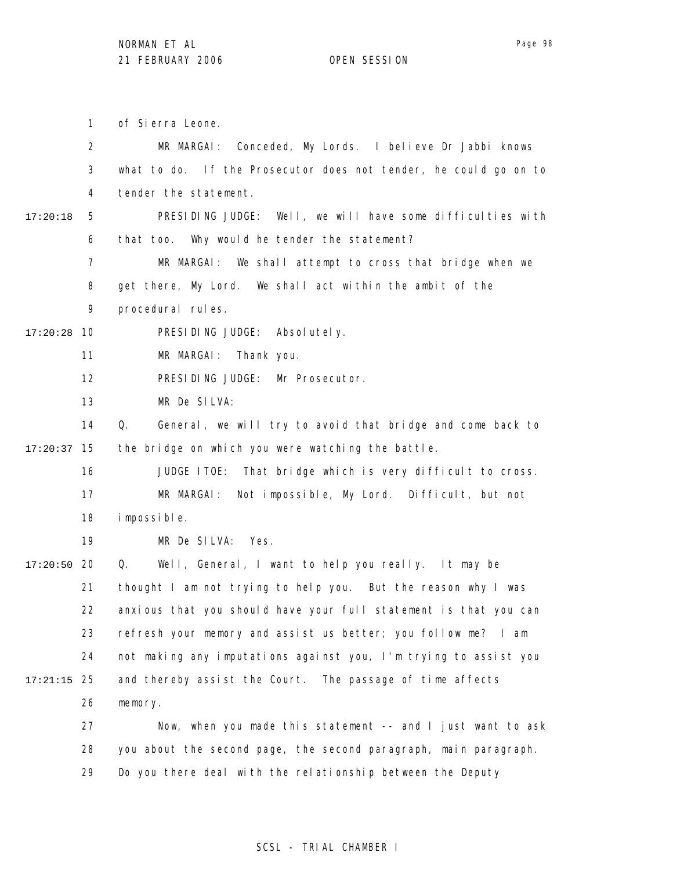1 2 3 4 5 6 7 8 9 10 17:20:28 11 12 13 14 15 17:20:37 16 17 18 19 20 17:20:50 21 22 23 24 25 17:21:15 26 27 28 29 17:20:18 of Sierra Leone. MR MARGAI: Conceded, My Lords. I believe Dr Jabbi knows what to do. If the Prosecutor does not tender, he could go on to tender the statement. PRESIDING JUDGE: Well, we will have some difficulties with that too. Why would he tender the statement? MR MARGAI: We shall attempt to cross that bridge when we get there, My Lord. We shall act within the ambit of the procedural rules. PRESIDING JUDGE: Absolutely. MR MARGAI: Thank you. PRESIDING JUDGE: Mr Prosecutor. MR De SILVA: Q. General, we will try to avoid that bridge and come back to the bridge on which you were watching the battle. JUDGE ITOE: That bridge which is very difficult to cross. MR MARGAI: Not impossible, My Lord. Difficult, but not impossible. MR De SILVA: Yes. Q. Well, General, I want to help you really. It may be thought I am not trying to help you. But the reason why I was anxious that you should have your full statement is that you can refresh your memory and assist us better; you follow me? I am not making any imputations against you, I'm trying to assist you and thereby assist the Court. The passage of time affects memory. Now, when you made this statement -- and I just want to ask you about the second page, the second paragraph, main paragraph. Do you there deal with the relationship between the Deputy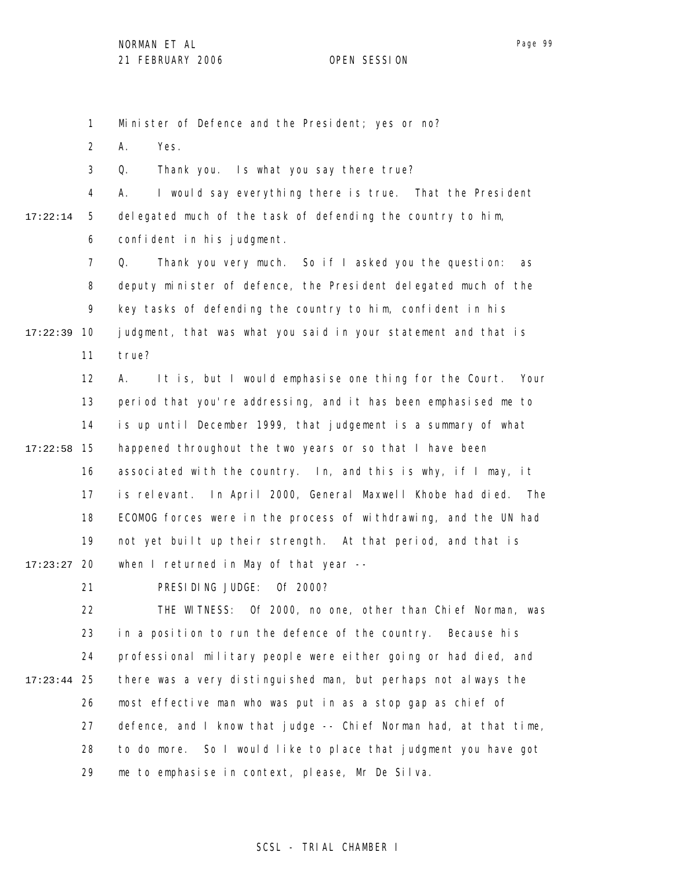Minister of Defence and the President; yes or no?

2 A. Yes.

1

3 Q. Thank you. Is what you say there true?

4 5 6 17:22:14 A. I would say everything there is true. That the President delegated much of the task of defending the country to him, confident in his judgment.

7 8 9 10 17:22:39 11 Q. Thank you very much. So if I asked you the question: as deputy minister of defence, the President delegated much of the key tasks of defending the country to him, confident in his judgment, that was what you said in your statement and that is true?

12 13 14 15 17:22:58 16 17 18 19 20 17:23:27 A. It is, but I would emphasise one thing for the Court. Your period that you're addressing, and it has been emphasised me to is up until December 1999, that judgement is a summary of what happened throughout the two years or so that I have been associated with the country. In, and this is why, if I may, it is relevant. In April 2000, General Maxwell Khobe had died. The ECOMOG forces were in the process of withdrawing, and the UN had not yet built up their strength. At that period, and that is when I returned in May of that year --

21

PRESIDING JUDGE: Of 2000?

22 23 24 25 17:23:44 26 27 28 29 THE WITNESS: Of 2000, no one, other than Chief Norman, was in a position to run the defence of the country. Because his professional military people were either going or had died, and there was a very distinguished man, but perhaps not always the most effective man who was put in as a stop gap as chief of defence, and I know that judge -- Chief Norman had, at that time, to do more. So I would like to place that judgment you have got me to emphasise in context, please, Mr De Silva.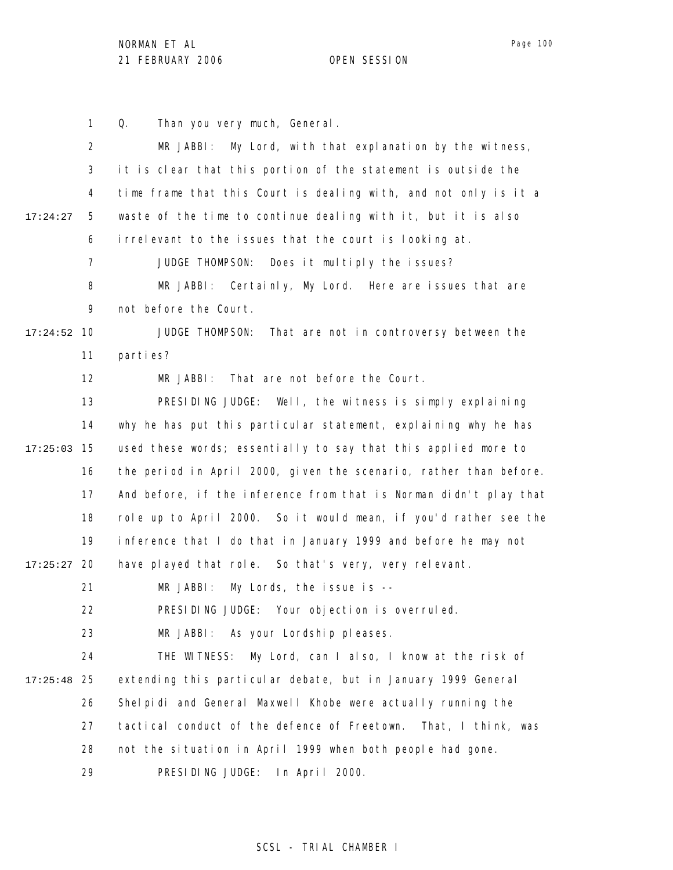Page 100

1 2 3 4 5 6 7 8 9 10 17:24:52 11 12 13 14 15 17:25:03 16 17 18 19 20 17:25:27 21 22 23 24 25 17:25:48 26 27 28 29 17:24:27 Q. Than you very much, General. MR JABBI: My Lord, with that explanation by the witness, it is clear that this portion of the statement is outside the time frame that this Court is dealing with, and not only is it a waste of the time to continue dealing with it, but it is also irrelevant to the issues that the court is looking at. JUDGE THOMPSON: Does it multiply the issues? MR JABBI: Certainly, My Lord. Here are issues that are not before the Court. JUDGE THOMPSON: That are not in controversy between the parties? MR JABBI: That are not before the Court. PRESIDING JUDGE: Well, the witness is simply explaining why he has put this particular statement, explaining why he has used these words; essentially to say that this applied more to the period in April 2000, given the scenario, rather than before. And before, if the inference from that is Norman didn't play that role up to April 2000. So it would mean, if you'd rather see the inference that I do that in January 1999 and before he may not have played that role. So that's very, very relevant. MR JABBI: My Lords, the issue is --PRESIDING JUDGE: Your objection is overruled. MR JABBI: As your Lordship pleases. THE WITNESS: My Lord, can I also, I know at the risk of extending this particular debate, but in January 1999 General Shelpidi and General Maxwell Khobe were actually running the tactical conduct of the defence of Freetown. That, I think, was not the situation in April 1999 when both people had gone. PRESIDING JUDGE: In April 2000.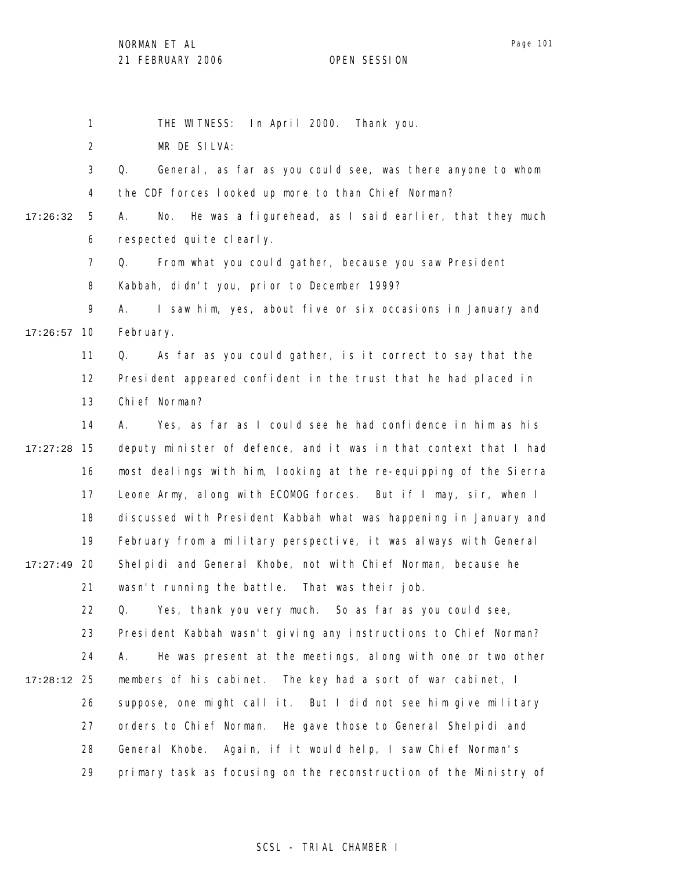1 2 3 4 5 6 7 8 9 10 17:26:57 11 12 13 14 15 17:27:28 16 17 18 19 20 17:27:49 21 22 23 24 25 17:28:12 26 27 28 29 17:26:32 THE WITNESS: In April 2000. Thank you. MR DE SILVA: Q. General, as far as you could see, was there anyone to whom the CDF forces looked up more to than Chief Norman? A. No. He was a figurehead, as I said earlier, that they much respected quite clearly. Q. From what you could gather, because you saw President Kabbah, didn't you, prior to December 1999? A. I saw him, yes, about five or six occasions in January and February. Q. As far as you could gather, is it correct to say that the President appeared confident in the trust that he had placed in Chief Norman? A. Yes, as far as I could see he had confidence in him as his deputy minister of defence, and it was in that context that I had most dealings with him, looking at the re-equipping of the Sierra Leone Army, along with ECOMOG forces. But if I may, sir, when I discussed with President Kabbah what was happening in January and February from a military perspective, it was always with General Shelpidi and General Khobe, not with Chief Norman, because he wasn't running the battle. That was their job. Q. Yes, thank you very much. So as far as you could see, President Kabbah wasn't giving any instructions to Chief Norman? A. He was present at the meetings, along with one or two other members of his cabinet. The key had a sort of war cabinet, I suppose, one might call it. But I did not see him give military orders to Chief Norman. He gave those to General Shelpidi and General Khobe. Again, if it would help, I saw Chief Norman's primary task as focusing on the reconstruction of the Ministry of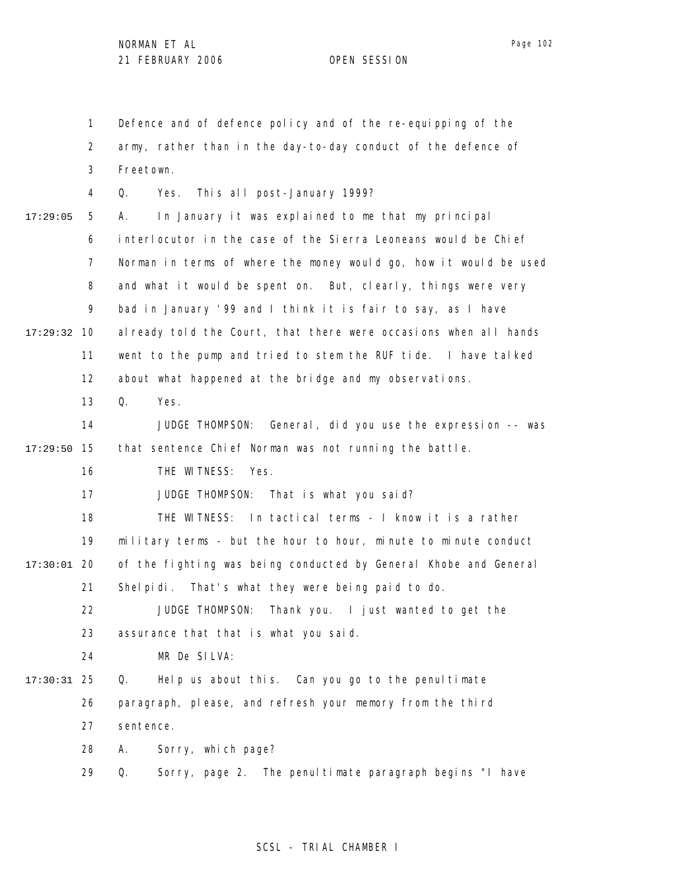1 2 3 4 5 6 7 8 9 10 17:29:32 11 12 13 14 15 17:29:50 16 17 18 19 20 17:30:01 21 22 23 24 25 17:30:31 26 27 28 29 17:29:05 Defence and of defence policy and of the re-equipping of the army, rather than in the day-to-day conduct of the defence of Freetown. Q. Yes. This all post-January 1999? A. In January it was explained to me that my principal interlocutor in the case of the Sierra Leoneans would be Chief Norman in terms of where the money would go, how it would be used and what it would be spent on. But, clearly, things were very bad in January '99 and I think it is fair to say, as I have al ready told the Court, that there were occasions when all hands went to the pump and tried to stem the RUF tide. I have talked about what happened at the bridge and my observations. Q. Yes. JUDGE THOMPSON: General, did you use the expression -- was that sentence Chief Norman was not running the battle. THE WITNESS: Yes. JUDGE THOMPSON: That is what you said? THE WITNESS: In tactical terms - I know it is a rather military terms - but the hour to hour, minute to minute conduct of the fighting was being conducted by General Khobe and General Shelpidi. That's what they were being paid to do. JUDGE THOMPSON: Thank you. I just wanted to get the assurance that that is what you said. MR De SILVA: Q. Help us about this. Can you go to the penultimate paragraph, please, and refresh your memory from the third sentence. A. Sorry, which page? Q. Sorry, page 2. The penultimate paragraph begins "I have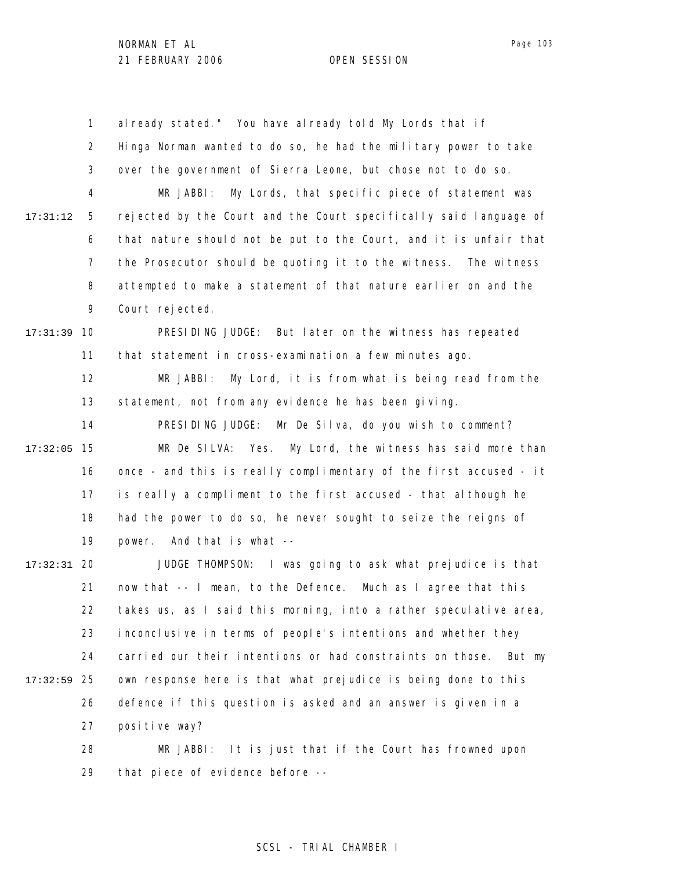1 2 3 4 5 6 7 8 9 10 17:31:39 11 12 13 14 15 17:32:05 16 17 18 19 20 17:32:31 21 22 23 24 25 17:32:59 26 27 28 29 17:31:12 al ready stated." You have al ready told My Lords that if Hinga Norman wanted to do so, he had the military power to take over the government of Sierra Leone, but chose not to do so. MR JABBI: My Lords, that specific piece of statement was rejected by the Court and the Court specifically said language of that nature should not be put to the Court, and it is unfair that the Prosecutor should be quoting it to the witness. The witness attempted to make a statement of that nature earlier on and the Court rejected. PRESIDING JUDGE: But later on the witness has repeated that statement in cross-examination a few minutes ago. MR JABBI: My Lord, it is from what is being read from the statement, not from any evidence he has been giving. PRESIDING JUDGE: Mr De Silva, do you wish to comment? MR De SILVA: Yes. My Lord, the witness has said more than once - and this is really complimentary of the first accused - it is really a compliment to the first accused - that although he had the power to do so, he never sought to seize the reigns of power. And that is what -- JUDGE THOMPSON: I was going to ask what prejudice is that now that -- I mean, to the Defence. Much as I agree that this takes us, as I said this morning, into a rather speculative area, inconclusive in terms of people's intentions and whether they carried our their intentions or had constraints on those. But my own response here is that what prejudice is being done to this defence if this question is asked and an answer is given in a positive way? MR JABBI: It is just that if the Court has frowned upon that piece of evidence before --

### SCSL - TRIAL CHAMBER I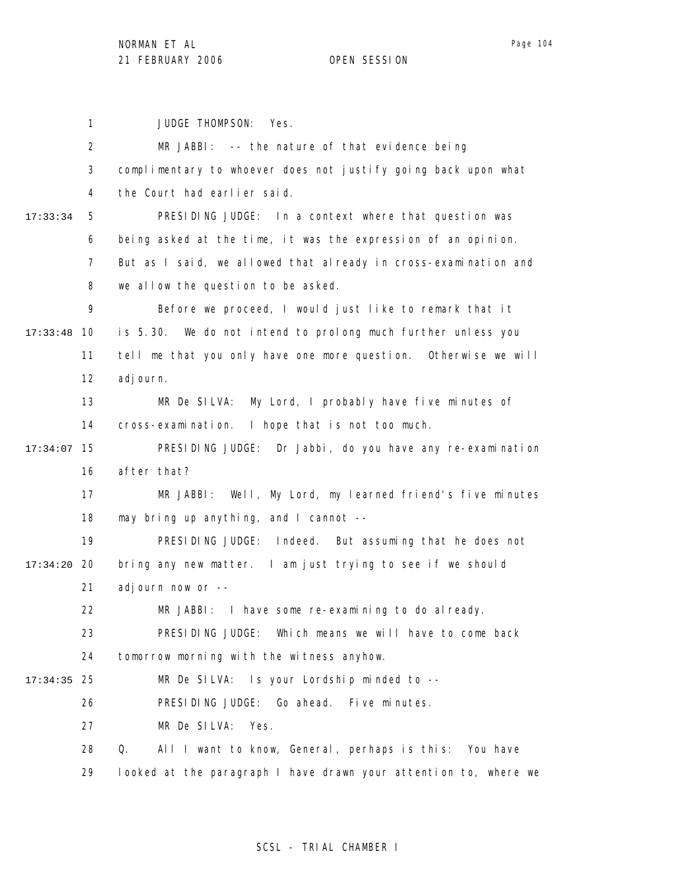1 2 3 4 5 6 7 8 9 17:33:48 10 11 12 13 14 15 17:34:07 16 17 18 19 20 17:34:20 21 22 23 24 25 17:34:35 26 27 28 29 17:33:34 JUDGE THOMPSON: Yes. MR JABBI: -- the nature of that evidence being complimentary to whoever does not justify going back upon what the Court had earlier said. PRESIDING JUDGE: In a context where that question was being asked at the time, it was the expression of an opinion. But as I said, we allowed that already in cross-examination and we allow the question to be asked. Before we proceed, I would just like to remark that it is 5.30. We do not intend to prolong much further unless you tell me that you only have one more question. Otherwise we will adjourn. MR De SILVA: My Lord, I probably have five minutes of cross-examination. I hope that is not too much. PRESIDING JUDGE: Dr Jabbi, do you have any re-examination after that? MR JABBI: Well, My Lord, my learned friend's five minutes may bring up anything, and I cannot -- PRESIDING JUDGE: Indeed. But assuming that he does not bring any new matter. I am just trying to see if we should adjourn now or -- MR JABBI: I have some re-examining to do already. PRESIDING JUDGE: Which means we will have to come back tomorrow morning with the witness anyhow. MR De SILVA: Is your Lordship minded to --PRESIDING JUDGE: Go ahead. Five minutes. MR De SILVA: Yes. Q. All I want to know, General, perhaps is this: You have looked at the paragraph I have drawn your attention to, where we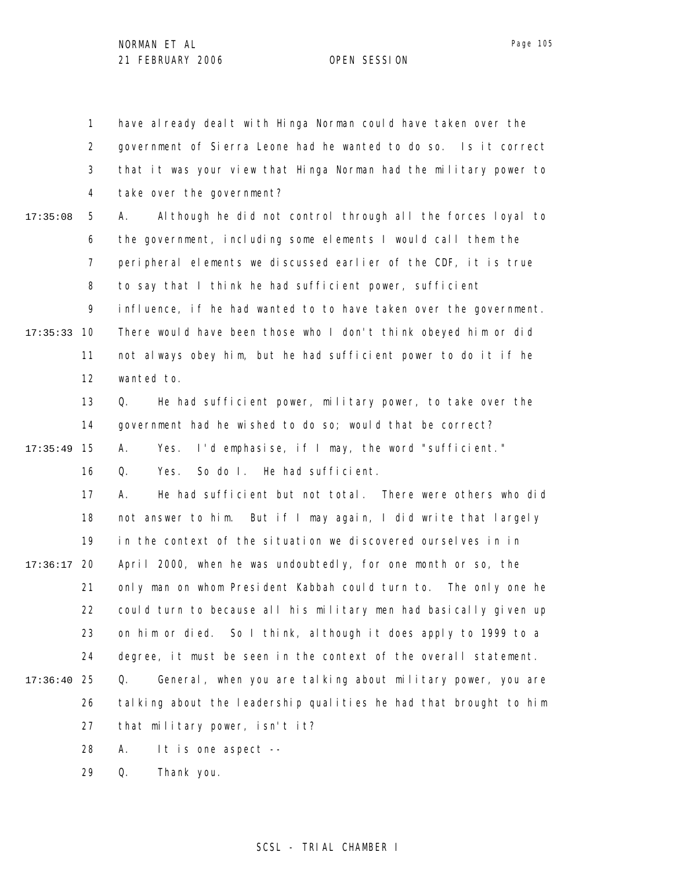1 2 3 4 5 6 7 8 9 10 17:35:33 11 12 13 14 15 17:35:49 16 17 18 19 20 17:36:17 21 22 23 24 25 17:36:40 26 27 28 29 17:35:08 have already dealt with Hinga Norman could have taken over the government of Sierra Leone had he wanted to do so. Is it correct that it was your view that Hinga Norman had the military power to take over the government? A. Although he did not control through all the forces loyal to the government, including some elements I would call them the peripheral elements we discussed earlier of the CDF, it is true to say that I think he had sufficient power, sufficient influence, if he had wanted to to have taken over the government. There would have been those who I don't think obeyed him or did not always obey him, but he had sufficient power to do it if he wanted to. Q. He had sufficient power, military power, to take over the government had he wished to do so; would that be correct? A. Yes. I'd emphasise, if I may, the word "sufficient." Q. Yes. So do I. He had sufficient. A. He had sufficient but not total. There were others who did not answer to him. But if I may again, I did write that largely in the context of the situation we discovered ourselves in in April 2000, when he was undoubtedly, for one month or so, the only man on whom President Kabbah could turn to. The only one he could turn to because all his military men had basically given up on him or died. So I think, although it does apply to 1999 to a degree, it must be seen in the context of the overall statement. Q. General, when you are talking about military power, you are talking about the leadership qualities he had that brought to him that military power, isn't it? A. It is one aspect -- Q. Thank you.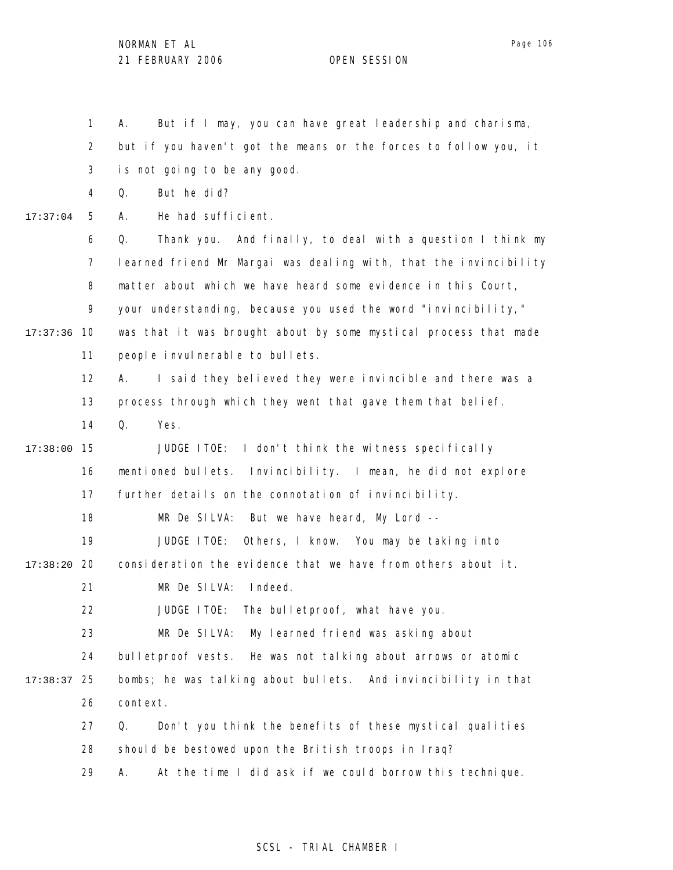1

2 3 4 5 6 7 17:37:04 but if you haven't got the means or the forces to follow you, it is not going to be any good. Q. But he did? A. He had sufficient. Q. Thank you. And finally, to deal with a question I think my learned friend Mr Margai was dealing with, that the invincibility

A. But if I may, you can have great leadership and charisma,

8 matter about which we have heard some evidence in this Court,

9 your understanding, because you used the word "invincibility,"

17:37:36 10 11 was that it was brought about by some mystical process that made people invulnerable to bullets.

> 12 A. I said they believed they were invincible and there was a

13 process through which they went that gave them that belief.

14 Q. Yes.

15 17:38:00 16 17 JUDGE ITOE: I don't think the witness specifically mentioned bullets. Invincibility. I mean, he did not explore further details on the connotation of invincibility.

> 18 MR De SILVA: But we have heard, My Lord --

19 JUDGE ITOE: Others, I know. You may be taking into

20 17:38:20 consideration the evidence that we have from others about it.

21 MR De SILVA: Indeed.

22 JUDGE ITOE: The bulletproof, what have you.

23 MR De SILVA: My learned friend was asking about

24 bulletproof vests. He was not talking about arrows or atomic

25 17:38:37 26 bombs; he was talking about bullets. And invincibility in that context.

> 27 28 Q. Don't you think the benefits of these mystical qualities should be bestowed upon the British troops in Iraq?

29 A. At the time I did ask if we could borrow this technique.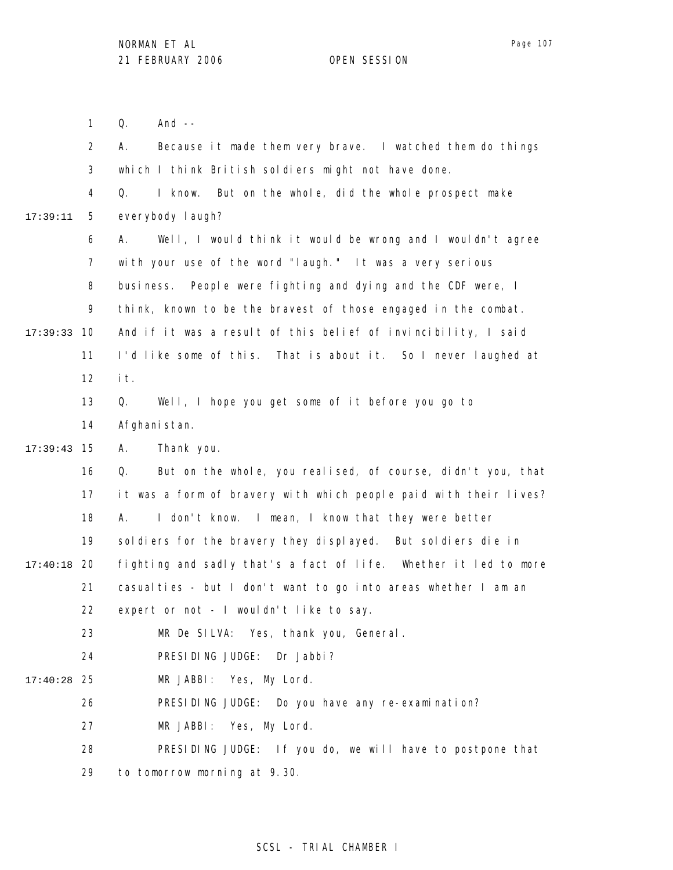Q. And --

1

Page 107

2 3 4 5 6 7 8 9 10 17:39:33 11 12 13 14 15 17:39:43 16 17 18 19 20 17:40:18 21 22 23 24 25 17:40:28 26 27 28 29 17:39:11 A. Because it made them very brave. I watched them do things which I think British soldiers might not have done. Q. I know. But on the whole, did the whole prospect make everybody laugh? A. Well, I would think it would be wrong and I wouldn't agree with your use of the word "laugh." It was a very serious business. People were fighting and dying and the CDF were, I think, known to be the bravest of those engaged in the combat. And if it was a result of this belief of invincibility, I said I'd like some of this. That is about it. So I never laughed at it. Q. Well, I hope you get some of it before you go to Afghanistan. A. Thank you. Q. But on the whole, you realised, of course, didn't you, that it was a form of bravery with which people paid with their lives? A. I don't know. I mean, I know that they were better sol diers for the bravery they displayed. But sol diers die in fighting and sadly that's a fact of life. Whether it led to more casualties - but I don't want to go into areas whether I am an expert or not - I wouldn't like to say. MR De SILVA: Yes, thank you, General. PRESIDING JUDGE: Dr Jabbi? MR JABBI: Yes, My Lord. PRESIDING JUDGE: Do you have any re-examination? MR JABBI: Yes, My Lord. PRESIDING JUDGE: If you do, we will have to postpone that to tomorrow morning at 9.30.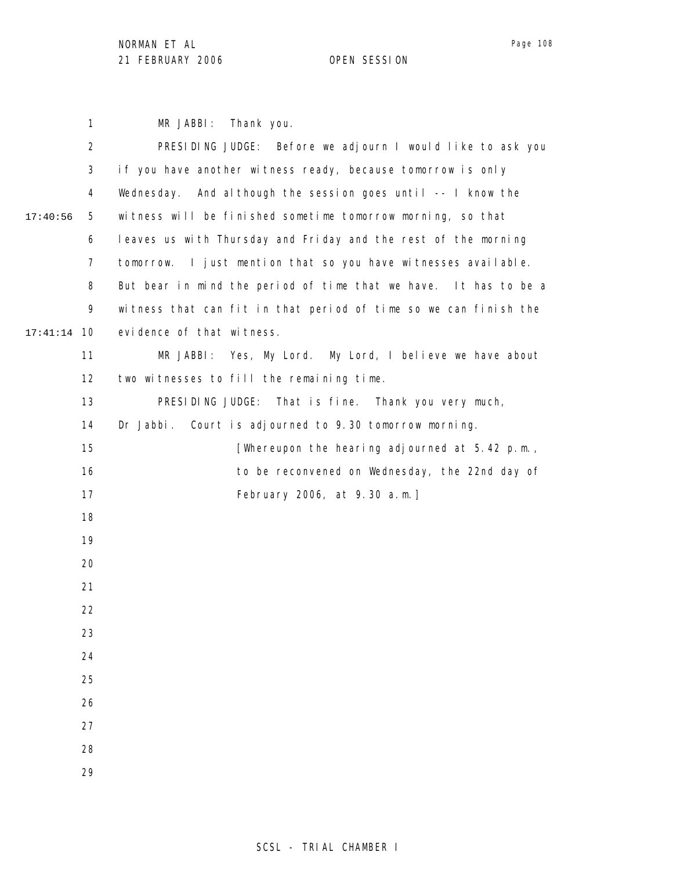17:40:56

1 2 3 4 5 6 7 8 9 10 17:41:14 11 12 13 14 15 16 17 18 19 20 21 22 23 24 25 26 27 28 MR JABBI: Thank you. PRESIDING JUDGE: Before we adjourn I would like to ask you if you have another witness ready, because tomorrow is only Wednesday. And although the session goes until -- I know the witness will be finished sometime tomorrow morning, so that leaves us with Thursday and Friday and the rest of the morning tomorrow. I just mention that so you have witnesses available. But bear in mind the period of time that we have. It has to be a witness that can fit in that period of time so we can finish the evidence of that witness. MR JABBI: Yes, My Lord. My Lord, I believe we have about two witnesses to fill the remaining time. PRESIDING JUDGE: That is fine. Thank you very much, Dr Jabbi. Court is adjourned to 9.30 tomorrow morning. [Whereupon the hearing adjourned at 5.42 p.m., to be reconvened on Wednesday, the 22nd day of February 2006, at 9.30 a.m.]

29